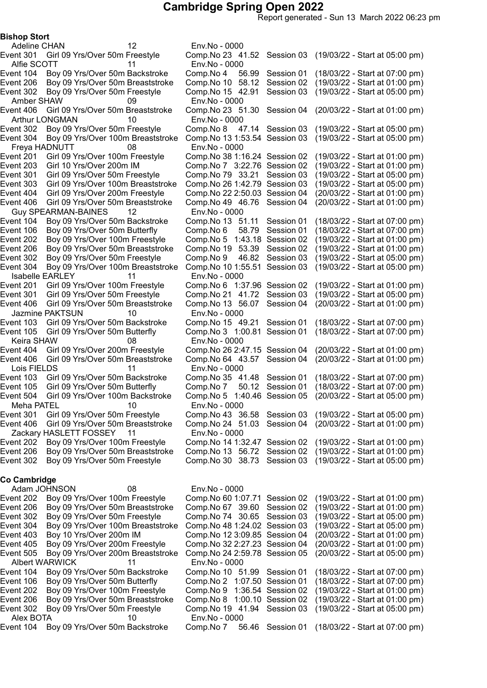Report generated - Sun 13 March 2022 06:23 pm

Bishop Stort

Adeline CHAN 12 Env.No - 0000 Alfie SCOTT 11 Env.No - 0000 Amber SHAW 09 Env.No - 0000 Arthur LONGMAN 10 Env.No - 0000 Freya HADNUTT 08 Env.No - 0000 Guy SPEARMAN-BAINES 12 Env.No - 0000 Event 106 Boy 09 Yrs/Over 50m Butterfly Comp.No 6 58.79 Session 01 Isabelle EARLEY 11 Env.No - 0000 Jazmine PAKTSUN 10 Env.No - 0000 Keira SHAW  $08$  Env.No - 0000 Lois FIELDS 11 Env.No - 0000 Meha PATEL 10 Env.No - 0000 Zackary HASLETT FOSSEY 11 Env.No - 0000

#### Co Cambridge

|           | Adam JOHNSON                  | 08                                | Env.No - 0000                  |  |                                |  |
|-----------|-------------------------------|-----------------------------------|--------------------------------|--|--------------------------------|--|
| Event 202 |                               | Boy 09 Yrs/Over 100m Freestyle    | Comp. No 60 1:07.71 Session 02 |  | (19/03/22 - Start at 01:00 pm) |  |
| Event 206 |                               | Boy 09 Yrs/Over 50m Breaststroke  | Comp. No 67 39.60 Session 02   |  | (19/03/22 - Start at 01:00 pm) |  |
| Event 302 | Boy 09 Yrs/Over 50m Freestyle |                                   | Comp. No 74 30.65 Session 03   |  | (19/03/22 - Start at 05:00 pm) |  |
| Event 304 |                               | Boy 09 Yrs/Over 100m Breaststroke | Comp. No 48 1:24.02 Session 03 |  | (19/03/22 - Start at 05:00 pm) |  |
| Event 403 | Boy 10 Yrs/Over 200m IM       |                                   | Comp. No 12 3:09.85 Session 04 |  | (20/03/22 - Start at 01:00 pm) |  |
| Event 405 |                               | Boy 09 Yrs/Over 200m Freestyle    | Comp. No 32 2:27.23 Session 04 |  | (20/03/22 - Start at 01:00 pm) |  |
| Event 505 |                               | Boy 09 Yrs/Over 200m Breaststroke | Comp. No 24 2:59.78 Session 05 |  | (20/03/22 - Start at 05:00 pm) |  |
|           | Albert WARWICK                |                                   | Env.No - 0000                  |  |                                |  |
| Event 104 |                               | Boy 09 Yrs/Over 50m Backstroke    | Comp. No 10 51.99 Session 01   |  | (18/03/22 - Start at 07:00 pm) |  |
| Event 106 | Boy 09 Yrs/Over 50m Butterfly |                                   | Comp. No 2 1:07.50 Session 01  |  | (18/03/22 - Start at 07:00 pm) |  |
| Event 202 |                               | Boy 09 Yrs/Over 100m Freestyle    | Comp. No 9 1:36.54 Session 02  |  | (19/03/22 - Start at 01:00 pm) |  |
| Event 206 |                               | Boy 09 Yrs/Over 50m Breaststroke  | Comp. No 8 1:00.10 Session 02  |  | (19/03/22 - Start at 01:00 pm) |  |
| Event 302 | Boy 09 Yrs/Over 50m Freestyle |                                   | Comp. No 19 41.94 Session 03   |  | (19/03/22 - Start at 05:00 pm) |  |
| Alex BOTA |                               |                                   |                                |  |                                |  |
|           |                               | 10                                | Env.No - 0000                  |  |                                |  |

Event 301 Girl 09 Yrs/Over 50m Freestyle Comp.No 23 41.52 Session 03 (19/03/22 - Start at 05:00 pm) Event 104 Boy 09 Yrs/Over 50m Backstroke Comp.No 4 56.99 Session 01 (18/03/22 - Start at 07:00 pm) Event 206 Boy 09 Yrs/Over 50m Breaststroke Comp.No 10 58.12 Session 02 (19/03/22 - Start at 01:00 pm) Event 302 Boy 09 Yrs/Over 50m Freestyle Comp.No 15 42.91 Session 03 (19/03/22 - Start at 05:00 pm) Event 406 Girl 09 Yrs/Over 50m Breaststroke Comp.No 23 51.30 Session 04 (20/03/22 - Start at 01:00 pm) Event 302 Boy 09 Yrs/Over 50m Freestyle Comp.No 8 47.14 Session 03 (19/03/22 - Start at 05:00 pm) Event 304 Boy 09 Yrs/Over 100m Breaststroke Comp.No 131:53.54 Session 03 (19/03/22 - Start at 05:00 pm) Event 201 Girl 09 Yrs/Over 100m Freestyle Comp.No 381:16.24 Session 02 (19/03/22 - Start at 01:00 pm) Event 203 Girl 10 Yrs/Over 200m IM Comp.No 7 3:22.76 Session 02 (19/03/22 - Start at 01:00 pm) Event 301 Girl 09 Yrs/Over 50m Freestyle Comp.No 79 33.21 Session 03 (19/03/22 - Start at 05:00 pm) Event 303 Girl 09 Yrs/Over 100m Breaststroke Comp.No 261:42.79 Session 03 (19/03/22 - Start at 05:00 pm) Event 404 Girl 09 Yrs/Over 200m Freestyle Comp.No 222:50.03 Session 04 (20/03/22 - Start at 01:00 pm) Event 406 Girl 09 Yrs/Over 50m Breaststroke Comp.No 49 46.76 Session 04 (20/03/22 - Start at 01:00 pm) Event 104 Boy 09 Yrs/Over 50m Backstroke Comp.No 13 51.11 Session 01 (18/03/22 - Start at 07:00 pm)<br>Event 106 Boy 09 Yrs/Over 50m Butterfly Comp.No 6 58.79 Session 01 (18/03/22 - Start at 07:00 pm) Event 202 Boy 09 Yrs/Over 100m Freestyle Comp.No 5 1:43.18 Session 02 (19/03/22 - Start at 01:00 pm) Event 206 Boy 09 Yrs/Over 50m Breaststroke Comp.No 19 53.39 Session 02 (19/03/22 - Start at 01:00 pm) Event 302 Boy 09 Yrs/Over 50m Freestyle Comp.No 9 46.82 Session 03 (19/03/22 - Start at 05:00 pm) Event 304 Boy 09 Yrs/Over 100m Breaststroke Comp.No 101:55.51 Session 03 (19/03/22 - Start at 05:00 pm) Event 201 Girl 09 Yrs/Over 100m Freestyle Comp.No 6 1:37.96 Session 02 (19/03/22 - Start at 01:00 pm) Event 301 Girl 09 Yrs/Over 50m Freestyle Comp.No 21 41.72 Session 03 (19/03/22 - Start at 05:00 pm) Event 406 Girl 09 Yrs/Over 50m Breaststroke Comp.No 13 56.07 Session 04 (20/03/22 - Start at 01:00 pm) Event 103 Girl 09 Yrs/Over 50m Backstroke Comp.No 15 49.21 Session 01 (18/03/22 - Start at 07:00 pm) Event 105 Girl 09 Yrs/Over 50m Butterfly Comp.No 3 1:00.81 Session 01 (18/03/22 - Start at 07:00 pm) Event 404 Girl 09 Yrs/Over 200m Freestyle Comp.No 262:47.15 Session 04 (20/03/22 - Start at 01:00 pm) Event 406 Girl 09 Yrs/Over 50m Breaststroke Comp.No 64 43.57 Session 04 (20/03/22 - Start at 01:00 pm) Event 103 Girl 09 Yrs/Over 50m Backstroke Comp.No 35 41.48 Session 01 (18/03/22 - Start at 07:00 pm) Event 105 Girl 09 Yrs/Over 50m Butterfly Comp.No 7 50.12 Session 01 (18/03/22 - Start at 07:00 pm) Event 504 Girl 09 Yrs/Over 100m Backstroke Comp.No 5 1:40.46 Session 05 (20/03/22 - Start at 05:00 pm) Event 301 Girl 09 Yrs/Over 50m Freestyle Comp.No 43 36.58 Session 03 (19/03/22 - Start at 05:00 pm) Event 406 Girl 09 Yrs/Over 50m Breaststroke Comp.No 24 51.03 Session 04 (20/03/22 - Start at 01:00 pm) Event 202 Boy 09 Yrs/Over 100m Freestyle Comp.No 141:32.47 Session 02 (19/03/22 - Start at 01:00 pm) Event 206 Boy 09 Yrs/Over 50m Breaststroke Comp.No 13 56.72 Session 02 (19/03/22 - Start at 01:00 pm) Event 302 Boy 09 Yrs/Over 50m Freestyle Comp.No 30 38.73 Session 03 (19/03/22 - Start at 05:00 pm)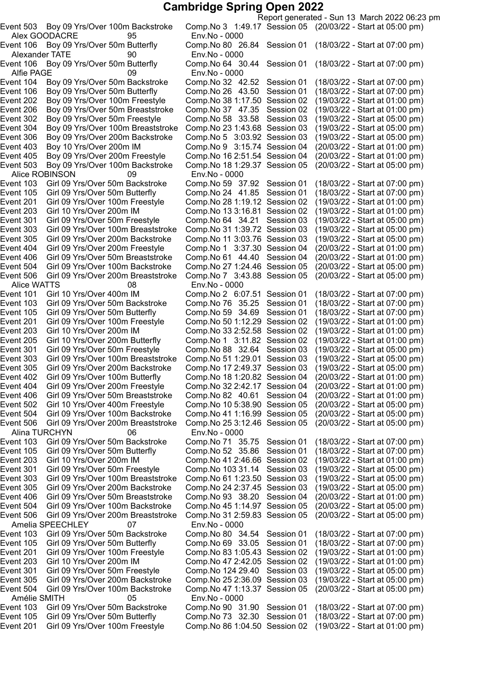Alex GOODACRE 95 Env.No - 0000 Alexander TATE 90 Env.No - 0000 Alfie PAGE 09 Env.No - 0000 Event 503 Boy 09 Yrs/Over 100m Backstroke Alice ROBINSON 09 Env.No - 0000 Event 201 Girl 09 Yrs/Over 100m Freestyle Comp.No 28 1:19.12 Session 02<br>Event 203 Girl 10 Yrs/Over 200m IM Comp.No 13 3:16.81 Session 02 Event 506 Girl 09 Yrs/Over 200m Breaststroke Alice WATTS 08 Env.No - 0000<br>ent 101 Girl 10 Yrs/Over 400m IM Comp.No 2 6:0 Event 105 Girl 09 Yrs/Over 50m Butterfly Comp.No 59 34.69 Session 01 Event 205 Girl 10 Yrs/Over 200m Butterfly Comp.No 1 3:11.82 Session 02 Alina TURCHYN 06 Env.No - 0000 Amelia SPEECHLEY 07 Env.No - 0000 Amélie SMITH 05 Env.No - 0000

Report generated - Sun 13 March 2022 06:23 pm Event 503 Boy 09 Yrs/Over 100m Backstroke Comp.No 3 1:49.17 Session 05 (20/03/22 - Start at 05:00 pm) Event 106 Boy 09 Yrs/Over 50m Butterfly Comp.No 80 26.84 Session 01 (18/03/22 - Start at 07:00 pm) Event 106 Boy 09 Yrs/Over 50m Butterfly Comp.No 64 30.44 Session 01 (18/03/22 - Start at 07:00 pm) Event 104 Boy 09 Yrs/Over 50m Backstroke Comp.No 32 42.52 Session 01 (18/03/22 - Start at 07:00 pm) Event 106 Boy 09 Yrs/Over 50m Butterfly Comp.No 26 43.50 Session 01 (18/03/22 - Start at 07:00 pm) Event 202 Boy 09 Yrs/Over 100m Freestyle Comp.No 381:17.50 Session 02 (19/03/22 - Start at 01:00 pm) Event 206 Boy 09 Yrs/Over 50m Breaststroke Comp.No 37 47.35 Session 02 (19/03/22 - Start at 01:00 pm) Event 302 Boy 09 Yrs/Over 50m Freestyle Comp.No 58 33.58 Session 03 (19/03/22 - Start at 05:00 pm) Event 304 Boy 09 Yrs/Over 100m Breaststroke Comp.No 231:43.68 Session 03 (19/03/22 - Start at 05:00 pm) Event 306 Boy 09 Yrs/Over 200m Backstroke Comp.No 5 3:03.92 Session 03 (19/03/22 - Start at 05:00 pm) Event 403 Boy 10 Yrs/Over 200m IM Comp.No 9 3:15.74 Session 04 (20/03/22 - Start at 01:00 pm)<br>Event 405 Boy 09 Yrs/Over 200m Freestyle Comp.No 16 2:51.54 Session 04 (20/03/22 - Start at 01:00 pm) Event 405 Boy 09 Yrs/Over 200m Freestyle Comp.No 16 2:51.54 Session 04 (20/03/22 - Start at 01:00 pm)<br>Event 503 Boy 09 Yrs/Over 100m Backstroke Comp.No 18 1:29.37 Session 05 (20/03/22 - Start at 05:00 pm) Event 103 Girl 09 Yrs/Over 50m Backstroke Comp.No 59 37.92 Session 01 (18/03/22 - Start at 07:00 pm) Event 105 Girl 09 Yrs/Over 50m Butterfly Comp.No 24  41.85 Session 01 (18/03/22 - Start at 07:00 pm)<br>Event 201 Girl 09 Yrs/Over 100m Freestyle Comp.No 28 1:19.12 Session 02 (19/03/22 - Start at 01:00 pm) Event 203 Girl 10 Yrs/Over 200m IM Comp.No 133:16.81 Session 02 (19/03/22 - Start at 01:00 pm) Event 301 Girl 09 Yrs/Over 50m Freestyle Comp.No 64 34.21 Session 03 (19/03/22 - Start at 05:00 pm) Event 303 Girl 09 Yrs/Over 100m Breaststroke Comp.No 311:39.72 Session 03 (19/03/22 - Start at 05:00 pm) Event 305 Girl 09 Yrs/Over 200m Backstroke Comp.No 11 3:03.76 Session 03 (19/03/22 - Start at 05:00 pm)<br>Event 404 Girl 09 Yrs/Over 200m Freestyle Comp.No 1 3:37.30 Session 04 (20/03/22 - Start at 01:00 pm) Event 404 Girl 09 Yrs/Over 200m Freestyle Comp.No 1 3:37.30 Session 04 (20/03/22 - Start at 01:00 pm) Event 406 Girl 09 Yrs/Over 50m Breaststroke Comp.No 61 44.40 Session 04 (20/03/22 - Start at 01:00 pm)<br>Event 504 Girl 09 Yrs/Over 100m Backstroke Comp.No 27 1:24.46 Session 05 (20/03/22 - Start at 05:00 pm) Girl 09 Yrs/Over 100m Backstroke Comp.No 27 1:24.46 Session 05 (20/03/22 - Start at 05:00 pm)<br>Girl 09 Yrs/Over 200m Breaststroke Comp.No 7 3:43.88 Session 05 (20/03/22 - Start at 05:00 pm) Event 101 Girl 10 Yrs/Over 400m IM Comp.No 2 6:07.51 Session 01 (18/03/22 - Start at 07:00 pm) Event 103 Girl 09 Yrs/Over 50m Backstroke Comp.No 76 35.25 Session 01 (18/03/22 - Start at 07:00 pm)<br>Event 105 Girl 09 Yrs/Over 50m Butterfly Comp.No 59 34.69 Session 01 (18/03/22 - Start at 07:00 pm) Event 201 Girl 09 Yrs/Over 100m Freestyle Comp.No 50 1:12.29 Session 02 (19/03/22 - Start at 01:00 pm)<br>Event 203 Girl 10 Yrs/Over 200m IM Comp.No 33 2:52.58 Session 02 (19/03/22 - Start at 01:00 pm) Event 203 Girl 10 Yrs/Over 200m IM Comp.No 332:52.58 Session 02 (19/03/22 - Start at 01:00 pm) Event 301 Girl 09 Yrs/Over 50m Freestyle Comp.No 88 32.64 Session 03 (19/03/22 - Start at 05:00 pm) Event 303 Girl 09 Yrs/Over 100m Breaststroke Comp.No 511:29.01 Session 03 (19/03/22 - Start at 05:00 pm) Event 305 Girl 09 Yrs/Over 200m Backstroke Comp.No 17 2:49.37 Session 03 (19/03/22 - Start at 05:00 pm)<br>Event 402 Girl 09 Yrs/Over 100m Butterfly Comp.No 18 1:20.82 Session 04 (20/03/22 - Start at 01:00 pm) Event 402 Girl 09 Yrs/Over 100m Butterfly Comp.No 181:20.82 Session 04 (20/03/22 - Start at 01:00 pm) Event 404 Girl 09 Yrs/Over 200m Freestyle Comp.No 322:42.17 Session 04 (20/03/22 - Start at 01:00 pm) Girl 09 Yrs/Over 50m Breaststroke Comp.No 82 40.61 Session 04 (20/03/22 - Start at 01:00 pm) Event 502 Girl 10 Yrs/Over 400m Freestyle Comp.No 105:38.90 Session 05 (20/03/22 - Start at 05:00 pm) Girl 09 Yrs/Over 100m Backstroke Comp.No 41 1:16.99 Session 05 (20/03/22 - Start at 05:00 pm) Event 506 Girl 09 Yrs/Over 200m Breaststroke Comp.No 253:12.46 Session 05 (20/03/22 - Start at 05:00 pm) Event 103 Girl 09 Yrs/Over 50m Backstroke Comp.No 71 35.75 Session 01 (18/03/22 - Start at 07:00 pm) Event 105 Girl 09 Yrs/Over 50m Butterfly Comp.No 52 35.86 Session 01 (18/03/22 - Start at 07:00 pm) Event 203 Girl 10 Yrs/Over 200m IM Comp.No 412:46.66 Session 02 (19/03/22 - Start at 01:00 pm) Event 301 Girl 09 Yrs/Over 50m Freestyle Comp.No 103 31.14 Session 03 (19/03/22 - Start at 05:00 pm) Event 303 Girl 09 Yrs/Over 100m Breaststroke Comp.No 611:23.50 Session 03 (19/03/22 - Start at 05:00 pm) Event 305 Girl 09 Yrs/Over 200m Backstroke Comp.No 242:37.45 Session 03 (19/03/22 - Start at 05:00 pm) Event 406 Girl 09 Yrs/Over 50m Breaststroke Comp.No 93 38.20 Session 04 (20/03/22 - Start at 01:00 pm) Event 504 Girl 09 Yrs/Over 100m Backstroke Comp.No 451:14.97 Session 05 (20/03/22 - Start at 05:00 pm) Event 506 Girl 09 Yrs/Over 200m Breaststroke Comp.No 312:59.83 Session 05 (20/03/22 - Start at 05:00 pm) Event 103 Girl 09 Yrs/Over 50m Backstroke Comp.No 80 34.54 Session 01 (18/03/22 - Start at 07:00 pm) Event 105 Girl 09 Yrs/Over 50m Butterfly Comp.No 69 33.05 Session 01 (18/03/22 - Start at 07:00 pm) Event 201 Girl 09 Yrs/Over 100m Freestyle Comp.No 831:05.43 Session 02 (19/03/22 - Start at 01:00 pm) Event 203 Girl 10 Yrs/Over 200m IM Comp.No 472:42.05 Session 02 (19/03/22 - Start at 01:00 pm) Event 301 Girl 09 Yrs/Over 50m Freestyle Comp.No 124 29.40 Session 03 (19/03/22 - Start at 05:00 pm) Event 305 Girl 09 Yrs/Over 200m Backstroke Comp.No 252:36.09 Session 03 (19/03/22 - Start at 05:00 pm) Event 504 Girl 09 Yrs/Over 100m Backstroke Comp.No 471:13.37 Session 05 (20/03/22 - Start at 05:00 pm) Event 103 Girl 09 Yrs/Over 50m Backstroke Comp.No 90 31.90 Session 01 (18/03/22 - Start at 07:00 pm) Event 105 Girl 09 Yrs/Over 50m Butterfly Comp.No 73 32.30 Session 01 (18/03/22 - Start at 07:00 pm) Event 201 Girl 09 Yrs/Over 100m Freestyle Comp.No 861:04.50 Session 02 (19/03/22 - Start at 01:00 pm)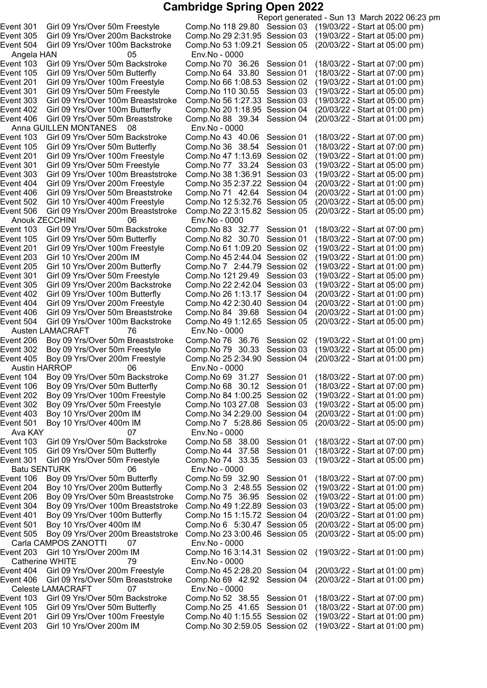Angela HAN 05 Env.No - 0000 Anna GUILLEN MONTANES 08 Env.No - 0000 Event 506 Girl 09 Yrs/Over 200m Breaststroke Anouk ZECCHINI 06 Env.No - 0000 Event 404 Girl 09 Yrs/Over 200m Freestyle Comp.No 42 2:30.40 Session 04 Event 504 Girl 09 Yrs/Over 100m Backstroke Comp.No 49 1:12.65 Session 05 Austen LAMACRAFT 76 Env.No - 0000 Event 405 Boy 09 Yrs/Over 200m Freestyle Comp.No 25 2:34.90 Session 04 Austin HARROP 06 Env.No - 0000 Ava KAY 07 Env.No - 0000 Batu SENTURK 06 Env.No - 0000 Carla CAMPOS ZANOTTI 07 Env.No - 0000 Catherine WHITE 79 Env.No - 0000 Celeste LAMACRAFT 07 Env.No - 0000

Report generated - Sun 13 March 2022 06:23 pm Event 301 Girl 09 Yrs/Over 50m Freestyle Comp.No 118 29.80 Session 03 (19/03/22 - Start at 05:00 pm) Event 305 Girl 09 Yrs/Over 200m Backstroke Comp.No 292:31.95 Session 03 (19/03/22 - Start at 05:00 pm) Event 504 Girl 09 Yrs/Over 100m Backstroke Comp.No 531:09.21 Session 05 (20/03/22 - Start at 05:00 pm) Event 103 Girl 09 Yrs/Over 50m Backstroke Comp.No 70 36.26 Session 01 (18/03/22 - Start at 07:00 pm) Event 105 Girl 09 Yrs/Over 50m Butterfly Comp.No 64 33.80 Session 01 (18/03/22 - Start at 07:00 pm) Event 201 Girl 09 Yrs/Over 100m Freestyle Comp.No 661:08.53 Session 02 (19/03/22 - Start at 01:00 pm) Event 301 Girl 09 Yrs/Over 50m Freestyle Comp.No 110 30.55 Session 03 (19/03/22 - Start at 05:00 pm) Event 303 Girl 09 Yrs/Over 100m Breaststroke Comp.No 561:27.33 Session 03 (19/03/22 - Start at 05:00 pm) Event 402 Girl 09 Yrs/Over 100m Butterfly Comp.No 201:18.95 Session 04 (20/03/22 - Start at 01:00 pm) Event 406 Girl 09 Yrs/Over 50m Breaststroke Comp.No 88 39.34 Session 04 (20/03/22 - Start at 01:00 pm) Event 103 Girl 09 Yrs/Over 50m Backstroke Comp.No 43 40.06 Session 01 (18/03/22 - Start at 07:00 pm)<br>Event 105 Girl 09 Yrs/Over 50m Butterfly Comp.No 36 38.54 Session 01 (18/03/22 - Start at 07:00 pm) Event 105 Girl 09 Yrs/Over 50m Butterfly Comp.No 36 38.54 Session 01 (18/03/22 - Start at 07:00 pm)<br>Event 201 Girl 09 Yrs/Over 100m Freestyle Comp.No 47 1:13.69 Session 02 (19/03/22 - Start at 01:00 pm) Event 201 Girl 09 Yrs/Over 100m Freestyle Comp.No 47 1:13.69 Session 02 (19/03/22 - Start at 01:00 pm)<br>Event 301 Girl 09 Yrs/Over 50m Freestyle Comp.No 77 33.24 Session 03 (19/03/22 - Start at 05:00 pm) Event 301 Girl 09 Yrs/Over 50m Freestyle Comp.No 77 33.24 Session 03 (19/03/22 - Start at 05:00 pm)<br>Event 303 Girl 09 Yrs/Over 100m Breaststroke Comp.No 38 1:36.91 Session 03 (19/03/22 - Start at 05:00 pm) Event 303 Girl 09 Yrs/Over 100m Breaststroke Comp.No 38 1:36.91 Session 03 (19/03/22 - Start at 05:00 pm)<br>Event 404 Girl 09 Yrs/Over 200m Freestyle Comp.No 35 2:37.22 Session 04 (20/03/22 - Start at 01:00 pm) Event 404 Girl 09 Yrs/Over 200m Freestyle Comp.No 352:37.22 Session 04 (20/03/22 - Start at 01:00 pm) Event 406 Girl 09 Yrs/Over 50m Breaststroke Comp.No 71 42.64 Session 04 (20/03/22 - Start at 01:00 pm) Event 502 Girl 10 Yrs/Over 400m Freestyle Comp.No 12 5:32.76 Session 05 (20/03/22 - Start at 05:00 pm)<br>Event 506 Girl 09 Yrs/Over 200m Breaststroke Comp.No 22 3:15.82 Session 05 (20/03/22 - Start at 05:00 pm) Event 103 Girl 09 Yrs/Over 50m Backstroke Comp.No 83 32.77 Session 01 (18/03/22 - Start at 07:00 pm) Event 105 Girl 09 Yrs/Over 50m Butterfly Comp.No 82 30.70 Session 01 (18/03/22 - Start at 07:00 pm)<br>Event 201 Girl 09 Yrs/Over 100m Freestyle Comp.No 61 1:09.20 Session 02 (19/03/22 - Start at 01:00 pm) Event 201 Girl 09 Yrs/Over 100m Freestyle Comp.No 61 1:09.20 Session 02 (19/03/22 - Start at 01:00 pm)<br>Event 203 Girl 10 Yrs/Over 200m IM Comp.No 45 2:44.04 Session 02 (19/03/22 - Start at 01:00 pm) Event 203 Girl 10 Yrs/Over 200m IM Comp.No 45 2:44.04 Session 02 (19/03/22 - Start at 01:00 pm)<br>Event 205 Girl 10 Yrs/Over 200m Butterfly Comp.No 7 2:44.79 Session 02 (19/03/22 - Start at 01:00 pm) Event 205 Girl 10 Yrs/Over 200m Butterfly Comp.No 7 2:44.79 Session 02 (19/03/22 - Start at 01:00 pm)<br>Event 301 Girl 09 Yrs/Over 50m Freestyle Comp.No 121 29.49 Session 03 (19/03/22 - Start at 05:00 pm) Event 301 Girl 09 Yrs/Over 50m Freestyle Comp.No 121 29.49 Session 03 (19/03/22 - Start at 05:00 pm)<br>Event 305 Girl 09 Yrs/Over 200m Backstroke Comp.No 22 2:42.04 Session 03 (19/03/22 - Start at 05:00 pm) Event 305 Girl 09 Yrs/Over 200m Backstroke Comp.No 22 2:42.04 Session 03 (19/03/22 - Start at 05:00 pm)<br>Event 402 Girl 09 Yrs/Over 100m Butterfly Comp.No 26 1:13.17 Session 04 (20/03/22 - Start at 01:00 pm) Event 402 Girl 09 Yrs/Over 100m Butterfly Comp.No 26 1:13.17 Session 04 (20/03/22 - Start at 01:00 pm)<br>Event 404 Girl 09 Yrs/Over 200m Freestyle Comp.No 42 2:30.40 Session 04 (20/03/22 - Start at 01:00 pm) Event 406 Girl 09 Yrs/Over 50m Breaststroke Comp.No 84 39.68 Session 04 (20/03/22 - Start at 01:00 pm) Event 206 Boy 09 Yrs/Over 50m Breaststroke Comp.No 76 36.76 Session 02 (19/03/22 - Start at 01:00 pm) Boy 09 Yrs/Over 50m Freestyle Comp.No 79 30.33 Session 03 (19/03/22 - Start at 05:00 pm)<br>Boy 09 Yrs/Over 200m Freestyle Comp.No 25 2:34.90 Session 04 (20/03/22 - Start at 01:00 pm) Event 104 Boy 09 Yrs/Over 50m Backstroke Comp.No 69 31.27 Session 01 (18/03/22 - Start at 07:00 pm) Event 106 Boy 09 Yrs/Over 50m Butterfly Comp.No 68 30.12 Session 01 (18/03/22 - Start at 07:00 pm) Event 202 Boy 09 Yrs/Over 100m Freestyle Comp.No 841:00.25 Session 02 (19/03/22 - Start at 01:00 pm) Event 302 Boy 09 Yrs/Over 50m Freestyle Comp.No 103 27.08 Session 03 (19/03/22 - Start at 05:00 pm) Event 403 Boy 10 Yrs/Over 200m IM Comp.No 342:29.00 Session 04 (20/03/22 - Start at 01:00 pm) Event 501 Boy 10 Yrs/Over 400m IM Comp.No 7 5:28.86 Session 05 (20/03/22 - Start at 05:00 pm) Event 103 Girl 09 Yrs/Over 50m Backstroke Comp.No 58 38.00 Session 01 (18/03/22 - Start at 07:00 pm) Event 105 Girl 09 Yrs/Over 50m Butterfly Comp.No 44 37.58 Session 01 (18/03/22 - Start at 07:00 pm) Event 301 Girl 09 Yrs/Over 50m Freestyle Comp.No 74 33.35 Session 03 (19/03/22 - Start at 05:00 pm) Event 106 Boy 09 Yrs/Over 50m Butterfly Comp.No 59 32.90 Session 01 (18/03/22 - Start at 07:00 pm) Event 204 Boy 10 Yrs/Over 200m Butterfly Comp.No 3 2:48.55 Session 02 (19/03/22 - Start at 01:00 pm) Event 206 Boy 09 Yrs/Over 50m Breaststroke Comp.No 75 36.95 Session 02 (19/03/22 - Start at 01:00 pm) Event 304 Boy 09 Yrs/Over 100m Breaststroke Comp.No 491:22.89 Session 03 (19/03/22 - Start at 05:00 pm) Event 401 Boy 09 Yrs/Over 100m Butterfly Comp.No 151:15.72 Session 04 (20/03/22 - Start at 01:00 pm) Event 501 Boy 10 Yrs/Over 400m IM Comp.No 6 5:30.47 Session 05 (20/03/22 - Start at 05:00 pm) Event 505 Boy 09 Yrs/Over 200m Breaststroke Comp.No 233:00.46 Session 05 (20/03/22 - Start at 05:00 pm) Event 203 Girl 10 Yrs/Over 200m IM Comp.No 163:14.31 Session 02 (19/03/22 - Start at 01:00 pm) Event 404 Girl 09 Yrs/Over 200m Freestyle Comp.No 452:28.20 Session 04 (20/03/22 - Start at 01:00 pm) Event 406 Girl 09 Yrs/Over 50m Breaststroke Comp.No 69 42.92 Session 04 (20/03/22 - Start at 01:00 pm) Event 103 Girl 09 Yrs/Over 50m Backstroke Comp.No 52 38.55 Session 01 (18/03/22 - Start at 07:00 pm) Event 105 Girl 09 Yrs/Over 50m Butterfly Comp.No 25 41.65 Session 01 (18/03/22 - Start at 07:00 pm) Event 201 Girl 09 Yrs/Over 100m Freestyle Comp.No 401:15.55 Session 02 (19/03/22 - Start at 01:00 pm) Event 203 Girl 10 Yrs/Over 200m IM Comp.No 302:59.05 Session 02 (19/03/22 - Start at 01:00 pm)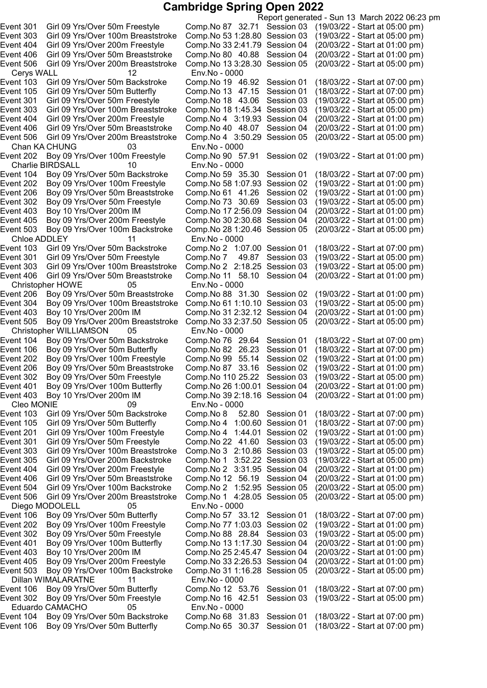Cerys WALL 12 Env.No - 0000 Chan KA CHUNG 03 Env.No - 0000<br>
ent 202 Boy 09 Yrs/Over 100m Freestyle Comp.No 90 57.91 Session 02 Charlie BIRDSALL 10 Env.No - 0000<br>ent 104 Boy 09 Yrs/Over 50m Backstroke Comp.No 59 35.30 Session 01 Event 405 Boy 09 Yrs/Over 200m Freestyle Comp.No 30 2:30.68 Session 04 Chloe ADDLEY 11 Env.No - 0000<br>Event 103 Girl 09 Yrs/Over 50m Backstroke Comp.No 2 1:0 Event 406 Girl 09 Yrs/Over 50m Breaststroke Comp.No 11 58.10 Session 04 Christopher HOWE 05 Env.No - 0000 Event 505 Boy 09 Yrs/Over 200m Breaststroke Comp.No 33 2:37.50 Session 05 Christopher WILLIAMSON 05 Env.No - 0000 Cleo MONIE 09 Env.No - 0000 Diego MODOLELL 05 Env.No - 0000<br>ent 106 Boy 09 Yrs/Over 50m Butterfly Comp.No 57 3 Dillan WIMALARATNE 11 Env.No - 0000 Eduardo CAMACHO 05 Env.No - 0000

Report generated - Sun 13 March 2022 06:23 pm Event 301 Girl 09 Yrs/Over 50m Freestyle Comp.No 87 32.71 Session 03 (19/03/22 - Start at 05:00 pm) Event 303 Girl 09 Yrs/Over 100m Breaststroke Comp.No 531:28.80 Session 03 (19/03/22 - Start at 05:00 pm) Event 404 Girl 09 Yrs/Over 200m Freestyle Comp.No 332:41.79 Session 04 (20/03/22 - Start at 01:00 pm) Event 406 Girl 09 Yrs/Over 50m Breaststroke Comp.No 80 40.88 Session 04 (20/03/22 - Start at 01:00 pm) Event 506 Girl 09 Yrs/Over 200m Breaststroke Comp.No 133:28.30 Session 05 (20/03/22 - Start at 05:00 pm) Event 103 Girl 09 Yrs/Over 50m Backstroke Comp.No 19 46.92 Session 01 (18/03/22 - Start at 07:00 pm) Event 105 Girl 09 Yrs/Over 50m Butterfly Comp.No 13 47.15 Session 01 (18/03/22 - Start at 07:00 pm) Event 301 Girl 09 Yrs/Over 50m Freestyle Comp.No 18 43.06 Session 03 (19/03/22 - Start at 05:00 pm) Event 303 Girl 09 Yrs/Over 100m Breaststroke Comp.No 181:45.34 Session 03 (19/03/22 - Start at 05:00 pm) Event 404 Girl 09 Yrs/Over 200m Freestyle Comp.No 4 3:19.93 Session 04 (20/03/22 - Start at 01:00 pm) Event 406 Girl 09 Yrs/Over 50m Breaststroke Comp.No 40 48.07 Session 04 (20/03/22 - Start at 01:00 pm) Comp.No 4 3:50.29 Session 05<br>Env.No - 0000 Event 202 Boy 09 Yrs/Over 100m Freestyle Comp.No 90 57.91 Session 02 (19/03/22 - Start at 01:00 pm) Event 104 Boy 09 Yrs/Over 50m Backstroke Comp.No 59 35.30 Session 01 (18/03/22 - Start at 07:00 pm)<br>Event 202 Boy 09 Yrs/Over 100m Freestyle Comp.No 58 1:07.93 Session 02 (19/03/22 - Start at 01:00 pm) Event 202 Boy 09 Yrs/Over 100m Freestyle Comp.No 581:07.93 Session 02 (19/03/22 - Start at 01:00 pm) Event 206 Boy 09 Yrs/Over 50m Breaststroke Comp.No 61 41.26 Session 02 (19/03/22 - Start at 01:00 pm) Event 302 Boy 09 Yrs/Over 50m Freestyle Comp.No 73 30.69 Session 03 (19/03/22 - Start at 05:00 pm)<br>Event 403 Boy 10 Yrs/Over 200m IM Comp.No 17 2:56.09 Session 04 (20/03/22 - Start at 01:00 pm) Event 403 Boy 10 Yrs/Over 200m IM Comp.No 172:56.09 Session 04 (20/03/22 - Start at 01:00 pm) Event 503 Boy 09 Yrs/Over 100m Backstroke Comp.No 281:20.46 Session 05 (20/03/22 - Start at 05:00 pm) Comp.No 2 1:07.00 Session 01 (18/03/22 - Start at 07:00 pm)<br>Comp.No 7 49.87 Session 03 (19/03/22 - Start at 05:00 pm) Event 301 Girl 09 Yrs/Over 50m Freestyle Comp.No 7 49.87 Session 03 (19/03/22 - Start at 05:00 pm)<br>Event 303 Girl 09 Yrs/Over 100m Breaststroke Comp.No 2 2:18.25 Session 03 (19/03/22 - Start at 05:00 pm) Event 303 Girl 09 Yrs/Over 100m Breaststroke Comp.No 2 2:18.25 Session 03 (19/03/22 - Start at 05:00 pm) Boy 09 Yrs/Over 50m Breaststroke Comp.No 88 31.30 Session 02 (19/03/22 - Start at 01:00 pm)<br>Boy 09 Yrs/Over 100m Breaststroke Comp.No 61 1:10.10 Session 03 (19/03/22 - Start at 05:00 pm) Event 304 Boy 09 Yrs/Over 100m Breaststroke Comp.No 61 1:10.10 Session 03 (19/03/22 - Start at 05:00 pm)<br>Event 403 Boy 10 Yrs/Over 200m IM Comp.No 31 2:32.12 Session 04 (20/03/22 - Start at 01:00 pm) Event 403 Boy 10 Yrs/Over 200m IM Comp.No 312:32.12 Session 04 (20/03/22 - Start at 01:00 pm) Event 104 Boy 09 Yrs/Over 50m Backstroke Comp.No 76 29.64 Session 01 (18/03/22 - Start at 07:00 pm) Event 106 Boy 09 Yrs/Over 50m Butterfly Comp.No 82 26.23 Session 01 (18/03/22 - Start at 07:00 pm) Event 202 Boy 09 Yrs/Over 100m Freestyle Comp.No 99 55.14 Session 02 (19/03/22 - Start at 01:00 pm) Event 206 Boy 09 Yrs/Over 50m Breaststroke Comp.No 87 33.16 Session 02 (19/03/22 - Start at 01:00 pm) Event 302 Boy 09 Yrs/Over 50m Freestyle Comp.No 110 25.22 Session 03 (19/03/22 - Start at 05:00 pm)<br>Event 401 Boy 09 Yrs/Over 100m Butterfly Comp.No 26 1:00.01 Session 04 (20/03/22 - Start at 01:00 pm) Boy 09 Yrs/Over 100m Butterfly Comp.No 26 1:00.01 Session 04 (20/03/22 - Start at 01:00 pm) Event 403 Boy 10 Yrs/Over 200m IM Comp.No 392:18.16 Session 04 (20/03/22 - Start at 01:00 pm) Event 103 Girl 09 Yrs/Over 50m Backstroke Comp.No 8 52.80 Session 01 (18/03/22 - Start at 07:00 pm) Event 105 Girl 09 Yrs/Over 50m Butterfly Comp.No 4 1:00.60 Session 01 (18/03/22 - Start at 07:00 pm) Event 201 Girl 09 Yrs/Over 100m Freestyle Comp.No 4 1:44.01 Session 02 (19/03/22 - Start at 01:00 pm) Event 301 Girl 09 Yrs/Over 50m Freestyle Comp.No 22 41.60 Session 03 (19/03/22 - Start at 05:00 pm) Event 303 Girl 09 Yrs/Over 100m Breaststroke Comp.No 3 2:10.86 Session 03 (19/03/22 - Start at 05:00 pm) Event 305 Girl 09 Yrs/Over 200m Backstroke Comp.No 1 3:52.22 Session 03 (19/03/22 - Start at 05:00 pm) Event 404 Girl 09 Yrs/Over 200m Freestyle Comp.No 2 3:31.95 Session 04 (20/03/22 - Start at 01:00 pm) Event 406 Girl 09 Yrs/Over 50m Breaststroke Comp.No 12 56.19 Session 04 (20/03/22 - Start at 01:00 pm) Event 504 Girl 09 Yrs/Over 100m Backstroke Comp.No 2 1:52.95 Session 05 (20/03/22 - Start at 05:00 pm) Event 506 Girl 09 Yrs/Over 200m Breaststroke Comp.No 1 4:28.05 Session 05 (20/03/22 - Start at 05:00 pm) Event 106 Boy 09 Yrs/Over 50m Butterfly Comp.No 57 33.12 Session 01 (18/03/22 - Start at 07:00 pm) Event 202 Boy 09 Yrs/Over 100m Freestyle Comp.No 771:03.03 Session 02 (19/03/22 - Start at 01:00 pm) Event 302 Boy 09 Yrs/Over 50m Freestyle Comp.No 88 28.84 Session 03 (19/03/22 - Start at 05:00 pm) Event 401 Boy 09 Yrs/Over 100m Butterfly Comp.No 131:17.30 Session 04 (20/03/22 - Start at 01:00 pm) Event 403 Boy 10 Yrs/Over 200m IM Comp.No 252:45.47 Session 04 (20/03/22 - Start at 01:00 pm) Event 405 Boy 09 Yrs/Over 200m Freestyle Comp.No 332:26.53 Session 04 (20/03/22 - Start at 01:00 pm) Event 503 Boy 09 Yrs/Over 100m Backstroke Comp.No 311:16.28 Session 05 (20/03/22 - Start at 05:00 pm) Event 106 Boy 09 Yrs/Over 50m Butterfly Comp.No 12 53.76 Session 01 (18/03/22 - Start at 07:00 pm) Event 302 Boy 09 Yrs/Over 50m Freestyle Comp.No 16 42.51 Session 03 (19/03/22 - Start at 05:00 pm) Event 104 Boy 09 Yrs/Over 50m Backstroke Comp.No 68 31.83 Session 01 (18/03/22 - Start at 07:00 pm) Event 106 Boy 09 Yrs/Over 50m Butterfly Comp.No 65 30.37 Session 01 (18/03/22 - Start at 07:00 pm)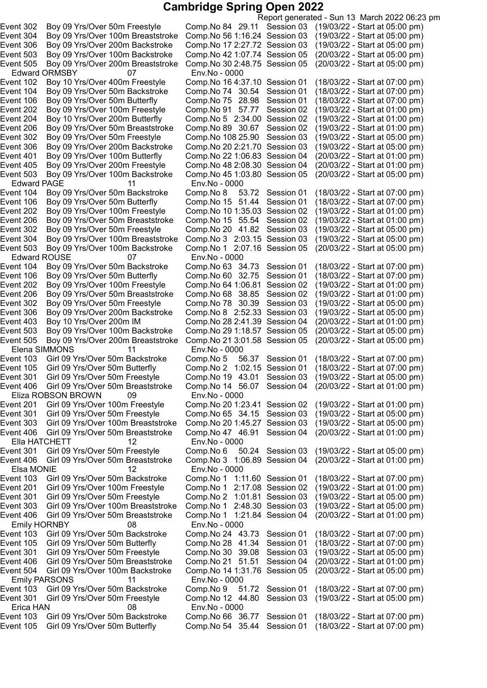Report generated - Sun 13 March 2022 06:23 pm Event 302 Boy 09 Yrs/Over 50m Freestyle Comp.No 84 29.11 Session 03 (19/03/22 - Start at 05:00 pm) Event 304 Boy 09 Yrs/Over 100m Breaststroke Comp.No 561:16.24 Session 03 (19/03/22 - Start at 05:00 pm) Event 306 Boy 09 Yrs/Over 200m Backstroke Comp.No 172:27.72 Session 03 (19/03/22 - Start at 05:00 pm) Event 503 Boy 09 Yrs/Over 100m Backstroke Comp.No 421:07.74 Session 05 (20/03/22 - Start at 05:00 pm) Event 505 Boy 09 Yrs/Over 200m Breaststroke Comp.No 302:48.75 Session 05 (20/03/22 - Start at 05:00 pm) Edward ORMSBY 07 Env.No - 0000 Event 102 Boy 10 Yrs/Over 400m Freestyle Comp.No 164:37.10 Session 01 (18/03/22 - Start at 07:00 pm) Event 104 Boy 09 Yrs/Over 50m Backstroke Comp.No 74 30.54 Session 01 (18/03/22 - Start at 07:00 pm) Event 106 Boy 09 Yrs/Over 50m Butterfly Comp.No 75 28.98 Session 01 (18/03/22 - Start at 07:00 pm) Event 202 Boy 09 Yrs/Over 100m Freestyle Comp.No 91 57.77 Session 02 (19/03/22 - Start at 01:00 pm) Event 204 Boy 10 Yrs/Over 200m Butterfly Comp.No 5 2:34.00 Session 02 (19/03/22 - Start at 01:00 pm) Event 206 Boy 09 Yrs/Over 50m Breaststroke Comp.No 89 30.67 Session 02 (19/03/22 - Start at 01:00 pm) Event 302 Boy 09 Yrs/Over 50m Freestyle Comp.No 108 25.90 Session 03 (19/03/22 - Start at 05:00 pm)<br>Event 306 Boy 09 Yrs/Over 200m Backstroke Comp.No 20 2:21.70 Session 03 (19/03/22 - Start at 05:00 pm) Event 306 Boy 09 Yrs/Over 200m Backstroke Comp.No 20 2:21.70 Session 03 (19/03/22 - Start at 05:00 pm)<br>Event 401 Boy 09 Yrs/Over 100m Butterfly Comp.No 22 1:06.83 Session 04 (20/03/22 - Start at 01:00 pm) Event 401 Boy 09 Yrs/Over 100m Butterfly Comp.No 22 1:06.83 Session 04 (20/03/22 - Start at 01:00 pm)<br>Event 405 Boy 09 Yrs/Over 200m Freestyle Comp.No 48 2:08.30 Session 04 (20/03/22 - Start at 01:00 pm) Event 405 Boy 09 Yrs/Over 200m Freestyle Comp.No 48 2:08.30 Session 04 (20/03/22 - Start at 01:00 pm)<br>Event 503 Boy 09 Yrs/Over 100m Backstroke Comp.No 45 1:03.80 Session 05 (20/03/22 - Start at 05:00 pm) Event 503 Boy 09 Yrs/Over 100m Backstroke Edward PAGE 11 Env.No - 0000<br>ent 104 Boy 09 Yrs/Over 50m Backstroke Comp.No 8 5 Event 104 Boy 09 Yrs/Over 50m Backstroke Comp.No 8 53.72 Session 01 (18/03/22 - Start at 07:00 pm)<br>Event 106 Boy 09 Yrs/Over 50m Butterfly Comp.No 15 51.44 Session 01 (18/03/22 - Start at 07:00 pm) Event 106 Boy 09 Yrs/Over 50m Butterfly Comp.No 15 51.44 Session 01 (18/03/22 - Start at 07:00 pm)<br>Event 202 Boy 09 Yrs/Over 100m Freestyle Comp.No 10 1:35.03 Session 02 (19/03/22 - Start at 01:00 pm) Event 202 Boy 09 Yrs/Over 100m Freestyle Comp.No 10 1:35.03 Session 02 (19/03/22 - Start at 01:00 pm)<br>Event 206 Boy 09 Yrs/Over 50m Breaststroke Comp.No 15  55.54 Session 02 (19/03/22 - Start at 01:00 pm) Event 206 Boy 09 Yrs/Over 50m Breaststroke Comp.No 15 55.54 Session 02 Event 302 Boy 09 Yrs/Over 50m Freestyle Comp.No 20 41.82 Session 03 (19/03/22 - Start at 05:00 pm) Event 304 Boy 09 Yrs/Over 100m Breaststroke Comp.No 3 2:03.15 Session 03 (19/03/22 - Start at 05:00 pm) Event 503 Boy 09 Yrs/Over 100m Backstroke Edward ROUSE 07 Env.No - 0000 Event 104 Boy 09 Yrs/Over 50m Backstroke Comp.No 63 34.73 Session 01 (18/03/22 - Start at 07:00 pm)<br>Event 106 Boy 09 Yrs/Over 50m Butterfly Comp.No 60 32.75 Session 01 (18/03/22 - Start at 07:00 pm) Event 106 Boy 09 Yrs/Over 50m Butterfly Comp.No 60 32.75 Session 01 Event 202 Boy 09 Yrs/Over 100m Freestyle Comp.No 641:06.81 Session 02 (19/03/22 - Start at 01:00 pm) Event 206 Boy 09 Yrs/Over 50m Breaststroke Comp.No 68 38.85 Session 02 (19/03/22 - Start at 01:00 pm) Event 302 Boy 09 Yrs/Over 50m Freestyle Comp.No 78 30.39 Session 03 (19/03/22 - Start at 05:00 pm) Event 306 Boy 09 Yrs/Over 200m Backstroke Comp.No 8 2:52.33 Session 03 (19/03/22 - Start at 05:00 pm) Event 403 Boy 10 Yrs/Over 200m IM Comp.No 282:41.39 Session 04 (20/03/22 - Start at 01:00 pm) Boy 09 Yrs/Over 100m Backstroke Comp.No 29 1:18.57 Session 05 (20/03/22 - Start at 05:00 pm)<br>Boy 09 Yrs/Over 200m Breaststroke Comp.No 21 3:01.58 Session 05 (20/03/22 - Start at 05:00 pm) Event 505 Boy 09 Yrs/Over 200m Breaststroke Comp.No 21 3:01.58 Session 05 Elena SIMMONS 11 Env.No - 0000 Event 103 Girl 09 Yrs/Over 50m Backstroke Comp.No 5 56.37 Session 01 (18/03/22 - Start at 07:00 pm)<br>Event 105 Girl 09 Yrs/Over 50m Butterfly Comp.No 2 1:02.15 Session 01 (18/03/22 - Start at 07:00 pm) Event 105 Girl 09 Yrs/Over 50m Butterfly Comp.No 2 1:02.15 Session 01 (18/03/22 - Start at 07:00 pm)<br>Event 301 Girl 09 Yrs/Over 50m Freestyle Comp.No 19 43.01 Session 03 (19/03/22 - Start at 05:00 pm) Girl 09 Yrs/Over 50m Freestyle Comp.No 19 43.01 Session 03 (19/03/22 - Start at 05:00 pm) Event 406 Girl 09 Yrs/Over 50m Breaststroke Comp.No 14 56.07 Session 04 (20/03/22 - Start at 01:00 pm) 19 Eliza ROBSON BROWN<br>Event 201 Girl 09 Yrs/Over 100m F Girl 09 Yrs/Over 100m Freestyle Comp.No 20 1:23.41 Session 02 (19/03/22 - Start at 01:00 pm) Event 301 Girl 09 Yrs/Over 50m Freestyle Comp.No 65 34.15 Session 03 (19/03/22 - Start at 05:00 pm) Event 303 Girl 09 Yrs/Over 100m Breaststroke Comp.No 201:45.27 Session 03 (19/03/22 - Start at 05:00 pm) Event 406 Girl 09 Yrs/Over 50m Breaststroke Comp.No 47 46.91 Session 04 (20/03/22 - Start at 01:00 pm) Ella HATCHETT 12 Env.No - 0000 Event 301 Girl 09 Yrs/Over 50m Freestyle Comp.No 6 50.24 Session 03 (19/03/22 - Start at 05:00 pm) Event 406 Girl 09 Yrs/Over 50m Breaststroke Comp.No 3 1:06.89 Session 04 (20/03/22 - Start at 01:00 pm) Elsa MONIE 12 Env.No - 0000 Event 103 Girl 09 Yrs/Over 50m Backstroke Comp.No 1 1:11.60 Session 01 (18/03/22 - Start at 07:00 pm) Event 201 Girl 09 Yrs/Over 100m Freestyle Comp.No 1 2:17.08 Session 02 (19/03/22 - Start at 01:00 pm) Event 301 Girl 09 Yrs/Over 50m Freestyle Comp.No 2 1:01.81 Session 03 (19/03/22 - Start at 05:00 pm) Event 303 Girl 09 Yrs/Over 100m Breaststroke Comp.No 1 2:48.30 Session 03 (19/03/22 - Start at 05:00 pm) Event 406 Girl 09 Yrs/Over 50m Breaststroke Comp.No 1 1:21.84 Session 04 (20/03/22 - Start at 01:00 pm) Emily HORNBY 08 Env.No - 0000 Event 103 Girl 09 Yrs/Over 50m Backstroke Comp.No 24 43.73 Session 01 (18/03/22 - Start at 07:00 pm) Event 105 Girl 09 Yrs/Over 50m Butterfly Comp.No 28 41.34 Session 01 (18/03/22 - Start at 07:00 pm) Event 301 Girl 09 Yrs/Over 50m Freestyle Comp.No 30 39.08 Session 03 (19/03/22 - Start at 05:00 pm) Event 406 Girl 09 Yrs/Over 50m Breaststroke Comp.No 21 51.51 Session 04 (20/03/22 - Start at 01:00 pm) Event 504 Girl 09 Yrs/Over 100m Backstroke Comp.No 141:31.76 Session 05 (20/03/22 - Start at 05:00 pm) Emily PARSONS 11 Env.No - 0000 Event 103 Girl 09 Yrs/Over 50m Backstroke Comp.No 9 51.72 Session 01 (18/03/22 - Start at 07:00 pm) Event 301 Girl 09 Yrs/Over 50m Freestyle Comp.No 12 44.80 Session 03 (19/03/22 - Start at 05:00 pm) Erica HAN 08 Env.No - 0000 Event 103 Girl 09 Yrs/Over 50m Backstroke Comp.No 66 36.77 Session 01 (18/03/22 - Start at 07:00 pm) Event 105 Girl 09 Yrs/Over 50m Butterfly Comp.No 54 35.44 Session 01 (18/03/22 - Start at 07:00 pm)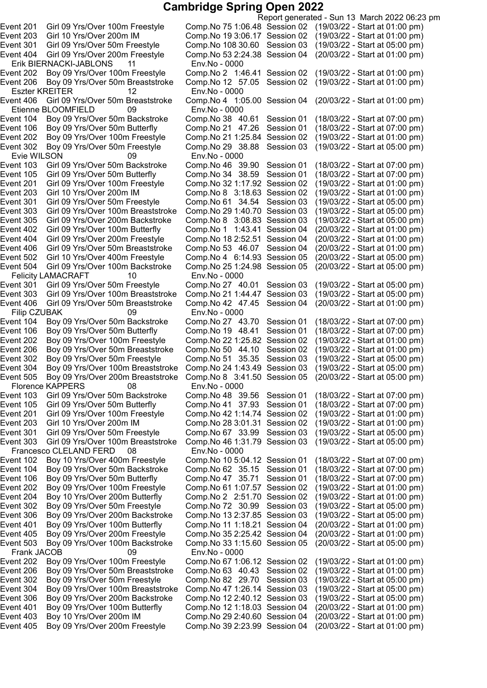Erik BIERNACKI-JABLONS 11 Env.No - 0000 Eszter KREITER 12 Env.No - 0000 Etienne BLOOMFIELD 09 Env.No - 0000 Event 302 Boy 09 Yrs/Over 50m Freestyle Comp.No 29 38.88 Session 03 Evie WILSON 09 Env.No - 0000 Event 305 Girl 09 Yrs/Over 200m Backstroke Comp.No 8 3:08.83 Session 03 Event 504 Girl 09 Yrs/Over 100m Backstroke Felicity LAMACRAFT 10 Env.No - 0000<br>14 ent 301 Girl 09 Yrs/Over 50m Freestyle Comp.No 27 Event 406 Girl 09 Yrs/Over 50m Breaststroke Filip CZUBAK 09 Env.No - 0000 Event 202 Boy 09 Yrs/Over 100m Freestyle Comp.No 22 1:25.82 Session 02 Event 505 Boy 09 Yrs/Over 200m Breaststroke Comp.No 8 3:41.50 Session 05 Florence KAPPERS 08 Env.No - 0000 Francesco CLELAND FERD 08 Env.No - 0000 Frank JACOB 09 Env.No - 0000 Event 405 Boy 09 Yrs/Over 200m Freestyle Comp.No 392:23.99 Session 04 (20/03/22 - Start at 01:00 pm)

Report generated - Sun 13 March 2022 06:23 pm Event 201 Girl 09 Yrs/Over 100m Freestyle Comp.No 751:06.48 Session 02 (19/03/22 - Start at 01:00 pm) Event 203 Girl 10 Yrs/Over 200m IM Comp.No 193:06.17 Session 02 (19/03/22 - Start at 01:00 pm) Event 301 Girl 09 Yrs/Over 50m Freestyle Comp.No 108 30.60 Session 03 (19/03/22 - Start at 05:00 pm) Event 404 Girl 09 Yrs/Over 200m Freestyle Comp.No 532:24.38 Session 04 (20/03/22 - Start at 01:00 pm) Event 202 Boy 09 Yrs/Over 100m Freestyle Comp.No 2 1:46.41 Session 02 (19/03/22 - Start at 01:00 pm) Event 206 Boy 09 Yrs/Over 50m Breaststroke Comp.No 12 57.05 Session 02 (19/03/22 - Start at 01:00 pm) Event 406 Girl 09 Yrs/Over 50m Breaststroke Comp.No 4 1:05.00 Session 04 (20/03/22 - Start at 01:00 pm) Event 104 Boy 09 Yrs/Over 50m Backstroke Comp.No 38 40.61 Session 01 (18/03/22 - Start at 07:00 pm) Event 106 Boy 09 Yrs/Over 50m Butterfly Comp.No 21 47.26 Session 01 (18/03/22 - Start at 07:00 pm)<br>Event 202 Boy 09 Yrs/Over 100m Freestyle Comp.No 21 1:25.84 Session 02 (19/03/22 - Start at 01:00 pm) Event 202 Boy 09 Yrs/Over 100m Freestyle Comp.No 21 1:25.84 Session 02 (19/03/22 - Start at 01:00 pm)<br>Event 302 Boy 09 Yrs/Over 50m Freestyle Comp.No 29 38.88 Session 03 (19/03/22 - Start at 05:00 pm) Event 103 Girl 09 Yrs/Over 50m Backstroke Comp.No 46 39.90 Session 01 (18/03/22 - Start at 07:00 pm) Girl 09 Yrs/Over 50m Butterfly Comp.No 34 38.59 Session 01 (18/03/22 - Start at 07:00 pm)<br>Girl 09 Yrs/Over 100m Freestyle Comp.No 32 1:17.92 Session 02 (19/03/22 - Start at 01:00 pm) Event 201 Girl 09 Yrs/Over 100m Freestyle Comp.No 321:17.92 Session 02 (19/03/22 - Start at 01:00 pm) Event 203 Girl 10 Yrs/Over 200m IM Comp.No 8 3:18.63 Session 02 (19/03/22 - Start at 01:00 pm) Event 301 Girl 09 Yrs/Over 50m Freestyle Comp.No 61 34.54 Session 03 (19/03/22 - Start at 05:00 pm)<br>Event 303 Girl 09 Yrs/Over 100m Breaststroke Comp.No 29 1:40.70 Session 03 (19/03/22 - Start at 05:00 pm) Event 303 Girl 09 Yrs/Over 100m Breaststroke Comp.No 29 1:40.70 Session 03 (19/03/22 - Start at 05:00 pm)<br>Event 305 Girl 09 Yrs/Over 200m Backstroke Comp.No 8 3:08.83 Session 03 (19/03/22 - Start at 05:00 pm) Event 402 Girl 09 Yrs/Over 100m Butterfly Comp.No 1 1:43.41 Session 04 (20/03/22 - Start at 01:00 pm) Event 404 Girl 09 Yrs/Over 200m Freestyle Comp.No 18 2:52.51 Session 04 (20/03/22 - Start at 01:00 pm)<br>Event 406 Girl 09 Yrs/Over 50m Breaststroke Comp.No 53 46.07 Session 04 (20/03/22 - Start at 01:00 pm) Event 406 Girl 09 Yrs/Over 50m Breaststroke Comp.No 53 46.07 Session 04 (20/03/22 - Start at 01:00 pm) Comp.No 4 6:14.93 Session 05 (20/03/22 - Start at 05:00 pm)<br>Comp.No 25 1:24.98 Session 05 (20/03/22 - Start at 05:00 pm) Event 301 Girl 09 Yrs/Over 50m Freestyle Comp.No 27 40.01 Session 03 (19/03/22 - Start at 05:00 pm)<br>Event 303 Girl 09 Yrs/Over 100m Breaststroke Comp.No 21 1:44.47 Session 03 (19/03/22 - Start at 05:00 pm) Girl 09 Yrs/Over 100m Breaststroke Comp.No 21 1:44.47 Session 03 (19/03/22 - Start at 05:00 pm)<br>Girl 09 Yrs/Over 50m Breaststroke Comp.No 42 47.45 Session 04 (20/03/22 - Start at 01:00 pm) Event 104 Boy 09 Yrs/Over 50m Backstroke Comp.No 27 43.70 Session 01 (18/03/22 - Start at 07:00 pm)<br>Event 106 Boy 09 Yrs/Over 50m Butterfly Comp.No 19 48.41 Session 01 (18/03/22 - Start at 07:00 pm) Event 106 Boy 09 Yrs/Over 50m Butterfly Comp.No 19 48.41 Session 01 (18/03/22 - Start at 07:00 pm)<br>Event 202 Boy 09 Yrs/Over 100m Freestyle Comp.No 22 1:25.82 Session 02 (19/03/22 - Start at 01:00 pm) Event 206 Boy 09 Yrs/Over 50m Breaststroke Comp.No 50 44.10 Session 02 (19/03/22 - Start at 01:00 pm) Event 302 Boy 09 Yrs/Over 50m Freestyle Comp.No 51 35.35 Session 03 (19/03/22 - Start at 05:00 pm)<br>Event 304 Boy 09 Yrs/Over 100m Breaststroke Comp.No 24 1:43.49 Session 03 (19/03/22 - Start at 05:00 pm) Boy 09 Yrs/Over 100m Breaststroke Comp.No 24 1:43.49 Session 03 (19/03/22 - Start at 05:00 pm)<br>Boy 09 Yrs/Over 200m Breaststroke Comp.No 8 3:41.50 Session 05 (20/03/22 - Start at 05:00 pm) Event 103 Girl 09 Yrs/Over 50m Backstroke Comp.No 48 39.56 Session 01 (18/03/22 - Start at 07:00 pm) Girl 09 Yrs/Over 50m Butterfly Comp.No 41 37.93 Session 01 (18/03/22 - Start at 07:00 pm) Event 201 Girl 09 Yrs/Over 100m Freestyle Comp.No 421:14.74 Session 02 (19/03/22 - Start at 01:00 pm) Event 203 Girl 10 Yrs/Over 200m IM Comp.No 283:01.31 Session 02 (19/03/22 - Start at 01:00 pm) Event 301 Girl 09 Yrs/Over 50m Freestyle Comp.No 67 33.99 Session 03 (19/03/22 - Start at 05:00 pm) Event 303 Girl 09 Yrs/Over 100m Breaststroke Comp.No 461:31.79 Session 03 (19/03/22 - Start at 05:00 pm) Event 102 Boy 10 Yrs/Over 400m Freestyle Comp.No 105:04.12 Session 01 (18/03/22 - Start at 07:00 pm) Event 104 Boy 09 Yrs/Over 50m Backstroke Comp.No 62 35.15 Session 01 (18/03/22 - Start at 07:00 pm) Event 106 Boy 09 Yrs/Over 50m Butterfly Comp.No 47 35.71 Session 01 (18/03/22 - Start at 07:00 pm) Event 202 Boy 09 Yrs/Over 100m Freestyle Comp.No 611:07.57 Session 02 (19/03/22 - Start at 01:00 pm) Event 204 Boy 10 Yrs/Over 200m Butterfly Comp.No 2 2:51.70 Session 02 (19/03/22 - Start at 01:00 pm) Event 302 Boy 09 Yrs/Over 50m Freestyle Comp.No 72 30.99 Session 03 (19/03/22 - Start at 05:00 pm) Event 306 Boy 09 Yrs/Over 200m Backstroke Comp.No 132:37.85 Session 03 (19/03/22 - Start at 05:00 pm) Event 401 Boy 09 Yrs/Over 100m Butterfly Comp.No 11 1:18.21 Session 04 (20/03/22 - Start at 01:00 pm) Event 405 Boy 09 Yrs/Over 200m Freestyle Comp.No 352:25.42 Session 04 (20/03/22 - Start at 01:00 pm) Event 503 Boy 09 Yrs/Over 100m Backstroke Comp.No 331:15.60 Session 05 (20/03/22 - Start at 05:00 pm) Event 202 Boy 09 Yrs/Over 100m Freestyle Comp.No 671:06.12 Session 02 (19/03/22 - Start at 01:00 pm) Event 206 Boy 09 Yrs/Over 50m Breaststroke Comp.No 63 40.43 Session 02 (19/03/22 - Start at 01:00 pm) Event 302 Boy 09 Yrs/Over 50m Freestyle Comp.No 82 29.70 Session 03 (19/03/22 - Start at 05:00 pm) Event 304 Boy 09 Yrs/Over 100m Breaststroke Comp.No 471:26.14 Session 03 (19/03/22 - Start at 05:00 pm) Event 306 Boy 09 Yrs/Over 200m Backstroke Comp.No 122:40.12 Session 03 (19/03/22 - Start at 05:00 pm) Event 401 Boy 09 Yrs/Over 100m Butterfly Comp.No 121:18.03 Session 04 (20/03/22 - Start at 01:00 pm) Event 403 Boy 10 Yrs/Over 200m IM Comp.No 292:40.60 Session 04 (20/03/22 - Start at 01:00 pm)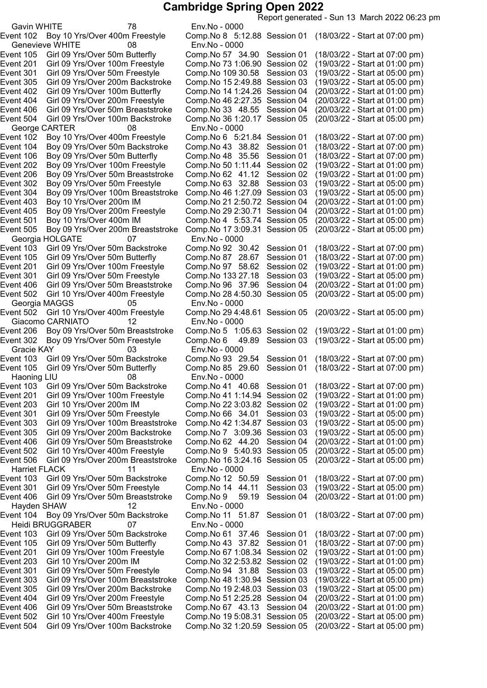Report generated - Sun 13 March 2022 06:23 pm

Gavin WHITE 78 Env.No - 0000 Genevieve WHITE 08 Env.No - 0000 George CARTER 08 Env.No - 0000<br>Event 102 Boy 10 Yrs/Over 400m Freestyle Comp.No 6 5:2 Event 501 Boy 10 Yrs/Over 400m IM Comp.No 4 5:53.74 Session 05 Georgia HOLGATE 07 Event 201 Girl 09 Yrs/Over 100m Freestyle Comp.No 97 58.62 Session 02 Event 502 Girl 10 Yrs/Over 400m Freestyle Comp.No 28 4:50.30 Session 05 Georgia MAGGS 05 Env.No - 0000 Giacomo CARNIATO 12 Env.No - 0000<br>1:C ent 206 Boy 09 Yrs/Over 50m Breaststroke Comp.No 5 1 Gracie KAY 03 Env.No - 0000<br>ent 103 Girl 09 Yrs/Over 50m Backstroke Comp.No 93 29.54 Event 105 Girl 09 Yrs/Over 50m Butterfly Comp.No 85 29.60 Haoning LIU 108 Env.No - 0000<br>14 ent 103 Girl 09 Yrs/Over 50m Backstroke Comp.No 41 Harriet FLACK 11 Env.No - 0000 Hayden SHAW 12 Env.No - 0000 Heidi BRUGGRABER 07 Env.No - 0000 Event 504 Girl 09 Yrs/Over 100m Backstroke Comp.No 321:20.59 Session 05 (20/03/22 - Start at 05:00 pm)

Event 102 Boy 10 Yrs/Over 400m Freestyle Comp.No 8 5:12.88 Session 01 (18/03/22 - Start at 07:00 pm) Event 105 Girl 09 Yrs/Over 50m Butterfly Comp.No 57 34.90 Session 01 (18/03/22 - Start at 07:00 pm) Event 201 Girl 09 Yrs/Over 100m Freestyle Comp.No 731:06.90 Session 02 (19/03/22 - Start at 01:00 pm) Event 301 Girl 09 Yrs/Over 50m Freestyle Comp.No 109 30.58 Session 03 (19/03/22 - Start at 05:00 pm) Event 305 Girl 09 Yrs/Over 200m Backstroke Comp.No 152:49.88 Session 03 (19/03/22 - Start at 05:00 pm) Event 402 Girl 09 Yrs/Over 100m Butterfly Comp.No 141:24.26 Session 04 (20/03/22 - Start at 01:00 pm) Event 404 Girl 09 Yrs/Over 200m Freestyle Comp.No 462:27.35 Session 04 (20/03/22 - Start at 01:00 pm) Event 406 Girl 09 Yrs/Over 50m Breaststroke Comp.No 33 48.55 Session 04 (20/03/22 - Start at 01:00 pm) Event 504 Girl 09 Yrs/Over 100m Backstroke Comp.No 361:20.17 Session 05 (20/03/22 - Start at 05:00 pm) Comp.No 6 5:21.84 Session 01 (18/03/22 - Start at 07:00 pm)<br>Comp.No 43 38.82 Session 01 (18/03/22 - Start at 07:00 pm) Event 104 Boy 09 Yrs/Over 50m Backstroke Comp.No 43 38.82 Session 01 (18/03/22 - Start at 07:00 pm)<br>Event 106 Boy 09 Yrs/Over 50m Butterfly Comp.No 48 35.56 Session 01 (18/03/22 - Start at 07:00 pm) Event 106 Boy 09 Yrs/Over 50m Butterfly Comp.No 48 35.56 Session 01 (18/03/22 - Start at 07:00 pm)<br>Event 202 Boy 09 Yrs/Over 100m Freestyle Comp.No 50 1:11.44 Session 02 (19/03/22 - Start at 01:00 pm) Event 202 Boy 09 Yrs/Over 100m Freestyle Comp.No 50 1:11.44 Session 02 (19/03/22 - Start at 01:00 pm)<br>Event 206 Boy 09 Yrs/Over 50m Breaststroke Comp.No 62 41.12 Session 02 (19/03/22 - Start at 01:00 pm) Event 206 Boy 09 Yrs/Over 50m Breaststroke Comp.No 62 41.12 Session 02 (19/03/22 - Start at 01:00 pm) Event 302 Boy 09 Yrs/Over 50m Freestyle Comp.No 63 32.88 Session 03 (19/03/22 - Start at 05:00 pm) Event 304 Boy 09 Yrs/Over 100m Breaststroke Comp.No 461:27.09 Session 03 (19/03/22 - Start at 05:00 pm) Event 403 Boy 10 Yrs/Over 200m IM Comp.No 21 2:50.72 Session 04 (20/03/22 - Start at 01:00 pm)<br>Event 405 Boy 09 Yrs/Over 200m Freestyle Comp.No 29 2:30.71 Session 04 (20/03/22 - Start at 01:00 pm) Event 405 Boy 09 Yrs/Over 200m Freestyle Comp.No 29 2:30.71 Session 04 (20/03/22 - Start at 01:00 pm)<br>Event 501 Boy 10 Yrs/Over 400m IM Comp.No 4 5:53.74 Session 05 (20/03/22 - Start at 05:00 pm) Event 505 Boy 09 Yrs/Over 200m Breaststroke Comp.No 173:09.31 Session 05 (20/03/22 - Start at 05:00 pm) Event 103 Girl 09 Yrs/Over 50m Backstroke Comp.No 92 30.42 Session 01 (18/03/22 - Start at 07:00 pm)<br>Event 105 Girl 09 Yrs/Over 50m Butterfly Comp.No 87 28.67 Session 01 (18/03/22 - Start at 07:00 pm) Event 105 Girl 09 Yrs/Over 50m Butterfly Comp.No 87 28.67 Session 01 (18/03/22 - Start at 07:00 pm)<br>Event 201 Girl 09 Yrs/Over 100m Freestyle Comp.No 97 58.62 Session 02 (19/03/22 - Start at 01:00 pm) Event 301 Girl 09 Yrs/Over 50m Freestyle Comp.No 133 27.18 Session 03 (19/03/22 - Start at 05:00 pm) Event 406 Girl 09 Yrs/Over 50m Breaststroke Comp.No 96 37.96 Session 04 (20/03/22 - Start at 01:00 pm) Event 502 Girl 10 Yrs/Over 400m Freestyle Comp.No 294:48.61 Session 05 (20/03/22 - Start at 05:00 pm) Event 206 Boy 09 Yrs/Over 50m Breaststroke Comp.No 5 1:05.63 Session 02 (19/03/22 - Start at 01:00 pm) Event 302 Boy 09 Yrs/Over 50m Freestyle Comp.No 6 49.89 Session 03 (19/03/22 - Start at 05:00 pm) Event 103 Girl 09 Yrs/Over 50m Backstroke Comp.No 93 29.54 Session 01 (18/03/22 - Start at 07:00 pm)<br>Event 105 Girl 09 Yrs/Over 50m Butterfly Comp.No 85 29.60 Session 01 (18/03/22 - Start at 07:00 pm) Event 103 Girl 09 Yrs/Over 50m Backstroke Comp.No 41 40.68 Session 01 (18/03/22 - Start at 07:00 pm) Event 201 Girl 09 Yrs/Over 100m Freestyle Comp.No 411:14.94 Session 02 (19/03/22 - Start at 01:00 pm) Event 203 Girl 10 Yrs/Over 200m IM Comp.No 223:03.82 Session 02 (19/03/22 - Start at 01:00 pm) Event 301 Girl 09 Yrs/Over 50m Freestyle Comp.No 66 34.01 Session 03 (19/03/22 - Start at 05:00 pm) Event 303 Girl 09 Yrs/Over 100m Breaststroke Comp.No 421:34.87 Session 03 (19/03/22 - Start at 05:00 pm) Event 305 Girl 09 Yrs/Over 200m Backstroke Comp.No 7 3:09.36 Session 03 (19/03/22 - Start at 05:00 pm) Event 406 Girl 09 Yrs/Over 50m Breaststroke Comp.No 62 44.20 Session 04 (20/03/22 - Start at 01:00 pm) Event 502 Girl 10 Yrs/Over 400m Freestyle Comp.No 9 5:40.93 Session 05 (20/03/22 - Start at 05:00 pm) Event 506 Girl 09 Yrs/Over 200m Breaststroke Comp.No 163:24.16 Session 05 (20/03/22 - Start at 05:00 pm) Event 103 Girl 09 Yrs/Over 50m Backstroke Comp.No 12 50.59 Session 01 (18/03/22 - Start at 07:00 pm) Event 301 Girl 09 Yrs/Over 50m Freestyle Comp.No 14 44.11 Session 03 (19/03/22 - Start at 05:00 pm) Event 406 Girl 09 Yrs/Over 50m Breaststroke Comp.No 9 59.19 Session 04 (20/03/22 - Start at 01:00 pm) Event 104 Boy 09 Yrs/Over 50m Backstroke Comp.No 11 51.87 Session 01 (18/03/22 - Start at 07:00 pm) Event 103 Girl 09 Yrs/Over 50m Backstroke Comp.No 61 37.46 Session 01 (18/03/22 - Start at 07:00 pm) Event 105 Girl 09 Yrs/Over 50m Butterfly Comp.No 43 37.82 Session 01 (18/03/22 - Start at 07:00 pm) Event 201 Girl 09 Yrs/Over 100m Freestyle Comp.No 671:08.34 Session 02 (19/03/22 - Start at 01:00 pm) Event 203 Girl 10 Yrs/Over 200m IM Comp.No 322:53.82 Session 02 (19/03/22 - Start at 01:00 pm) Event 301 Girl 09 Yrs/Over 50m Freestyle Comp.No 94 31.88 Session 03 (19/03/22 - Start at 05:00 pm) Event 303 Girl 09 Yrs/Over 100m Breaststroke Comp.No 481:30.94 Session 03 (19/03/22 - Start at 05:00 pm) Event 305 Girl 09 Yrs/Over 200m Backstroke Comp.No 192:48.03 Session 03 (19/03/22 - Start at 05:00 pm) Event 404 Girl 09 Yrs/Over 200m Freestyle Comp.No 512:25.28 Session 04 (20/03/22 - Start at 01:00 pm) Event 406 Girl 09 Yrs/Over 50m Breaststroke Comp.No 67 43.13 Session 04 (20/03/22 - Start at 01:00 pm) Event 502 Girl 10 Yrs/Over 400m Freestyle Comp.No 195:08.31 Session 05 (20/03/22 - Start at 05:00 pm)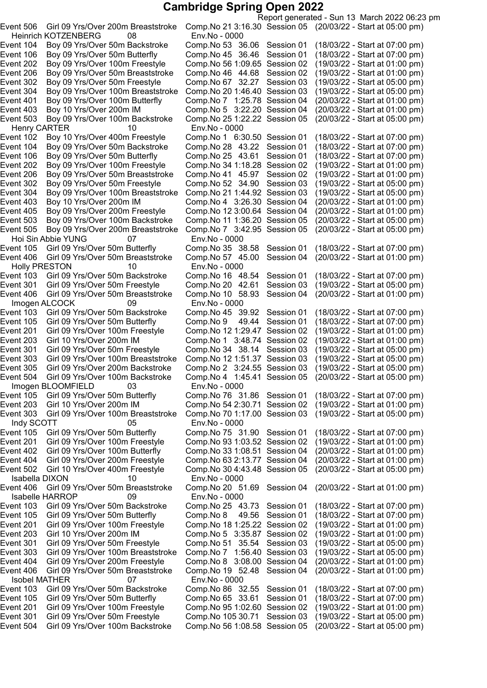Report generated - Sun 13 March 2022 06:23 pm Event 506 Girl 09 Yrs/Over 200m Breaststroke Comp.No 213:16.30 Session 05 (20/03/22 - Start at 05:00 pm) Heinrich KOTZENBERG 08 Env.No - 0000 Event 104 Boy 09 Yrs/Over 50m Backstroke Comp.No 53 36.06 Session 01 (18/03/22 - Start at 07:00 pm) Event 106 Boy 09 Yrs/Over 50m Butterfly Comp.No 45 36.46 Session 01 (18/03/22 - Start at 07:00 pm) Event 202 Boy 09 Yrs/Over 100m Freestyle Comp.No 56 1:09.65 Session 02 (19/03/22 - Start at 01:00 pm)<br>Event 206 Boy 09 Yrs/Over 50m Breaststroke Comp.No 46 44.68 Session 02 (19/03/22 - Start at 01:00 pm) Event 206 Boy 09 Yrs/Over 50m Breaststroke Comp.No 46 44.68 Session 02 (19/03/22 - Start at 01:00 pm) Event 302 Boy 09 Yrs/Over 50m Freestyle Comp.No 67 32.27 Session 03 (19/03/22 - Start at 05:00 pm) Event 304 Boy 09 Yrs/Over 100m Breaststroke Comp.No 201:46.40 Session 03 (19/03/22 - Start at 05:00 pm) Event 401 Boy 09 Yrs/Over 100m Butterfly Comp.No 7 1:25.78 Session 04 (20/03/22 - Start at 01:00 pm) Event 403 Boy 10 Yrs/Over 200m IM Comp.No 5 3:22.20 Session 04 (20/03/22 - Start at 01:00 pm) Event 503 Boy 09 Yrs/Over 100m Backstroke Comp.No 251:22.22 Session 05 (20/03/22 - Start at 05:00 pm) Henry CARTER 10 Env.No - 0000<br>16:3 ent 102 Boy 10 Yrs/Over 400m Freestyle Comp.No 1 Event 102 Boy 10 Yrs/Over 400m Freestyle Comp.No 1 6:30.50 Session 01 (18/03/22 - Start at 07:00 pm)<br>Event 104 Boy 09 Yrs/Over 50m Backstroke Comp.No 28 43.22 Session 01 (18/03/22 - Start at 07:00 pm) Event 104 Boy 09 Yrs/Over 50m Backstroke Comp.No 28 43.22 Session 01 (18/03/22 - Start at 07:00 pm)<br>Event 106 Boy 09 Yrs/Over 50m Butterfly Comp.No 25 43.61 Session 01 (18/03/22 - Start at 07:00 pm) Boy 09 Yrs/Over 50m Butterfly Comp.No 25 43.61 Session 01 (18/03/22 - Start at 07:00 pm)<br>Boy 09 Yrs/Over 100m Freestyle Comp.No 34 1:18.28 Session 02 (19/03/22 - Start at 01:00 pm) Event 202 Boy 09 Yrs/Over 100m Freestyle Comp.No 34 1:18.28 Session 02 (19/03/22 - Start at 01:00 pm)<br>Event 206 Boy 09 Yrs/Over 50m Breaststroke Comp.No 41 45.97 Session 02 (19/03/22 - Start at 01:00 pm) Event 206 Boy 09 Yrs/Over 50m Breaststroke Comp.No 41 45.97 Session 02 (19/03/22 - Start at 01:00 pm) Event 302 Boy 09 Yrs/Over 50m Freestyle Comp.No 52 34.90 Session 03 (19/03/22 - Start at 05:00 pm) Event 304 Boy 09 Yrs/Over 100m Breaststroke Comp.No 211:44.92 Session 03 (19/03/22 - Start at 05:00 pm) Event 403 Boy 10 Yrs/Over 200m IM Comp.No 4 3:26.30 Session 04 (20/03/22 - Start at 01:00 pm)<br>Event 405 Boy 09 Yrs/Over 200m Freestyle Comp.No 12 3:00.64 Session 04 (20/03/22 - Start at 01:00 pm) Event 405 Boy 09 Yrs/Over 200m Freestyle Comp.No 12 3:00.64 Session 04 (20/03/22 - Start at 01:00 pm)<br>Event 503 Boy 09 Yrs/Over 100m Backstroke Comp.No 11 1:36.20 Session 05 (20/03/22 - Start at 05:00 pm) Event 503 Boy 09 Yrs/Over 100m Backstroke Comp.No 11 1:36.20 Session 05 Event 505 Boy 09 Yrs/Over 200m Breaststroke Comp.No 7 3:42.95 Session 05 (20/03/22 - Start at 05:00 pm) Hoi Sin Abbie YUNG 07 Env.No - 0000 Comp.No 35 38.58 Session 01 (18/03/22 - Start at 07:00 pm)<br>Comp.No 57 45.00 Session 04 (20/03/22 - Start at 01:00 pm) Event 406 Girl 09 Yrs/Over 50m Breaststroke Comp.No 57 45.00 Session 04 Holly PRESTON 10 the Holly PRESTON 10<br>4 Event 103 Girl 09 Yrs/Over 50m Backstroke Comp.No 16 Girl 09 Yrs/Over 50m Backstroke Comp.No 16 48.54 Session 01 (18/03/22 - Start at 07:00 pm)<br>Girl 09 Yrs/Over 50m Freestyle Comp.No 20 42.61 Session 03 (19/03/22 - Start at 05:00 pm) Event 301 Girl 09 Yrs/Over 50m Freestyle Comp.No 20 42.61 Session 03 (19/03/22 - Start at 05:00 pm)<br>Event 406 Girl 09 Yrs/Over 50m Breaststroke Comp.No 10 58.93 Session 04 (20/03/22 - Start at 01:00 pm) Event 406 Girl 09 Yrs/Over 50m Breaststroke Comp.No 10 58.93 Session 04 Imogen ALCOCK 09 Env.No - 0000 Event 103 Girl 09 Yrs/Over 50m Backstroke Comp.No 45 39.92 Session 01 (18/03/22 - Start at 07:00 pm)<br>Event 105 Girl 09 Yrs/Over 50m Butterfly Comp.No 9 49.44 Session 01 (18/03/22 - Start at 07:00 pm) Event 105 Girl 09 Yrs/Over 50m Butterfly Comp.No 9 49.44 Session 01 (18/03/22 - Start at 07:00 pm)<br>Event 201 Girl 09 Yrs/Over 100m Freestyle Comp.No 12 1:29.47 Session 02 (19/03/22 - Start at 01:00 pm) Event 201 Girl 09 Yrs/Over 100m Freestyle Comp.No 12 1:29.47 Session 02 (19/03/22 - Start at 01:00 pm)<br>Event 203 Girl 10 Yrs/Over 200m IM Comp.No 1 3:48.74 Session 02 (19/03/22 - Start at 01:00 pm) Event 203 Girl 10 Yrs/Over 200m IM Comp.No 1 3:48.74 Session 02 (19/03/22 - Start at 01:00 pm) Event 301 Girl 09 Yrs/Over 50m Freestyle Comp.No 34 38.14 Session 03 (19/03/22 - Start at 05:00 pm)<br>Event 303 Girl 09 Yrs/Over 100m Breaststroke Comp.No 12 1:51.37 Session 03 (19/03/22 - Start at 05:00 pm) Event 303 Girl 09 Yrs/Over 100m Breaststroke Comp.No 12 1:51.37 Session 03 Event 305 Girl 09 Yrs/Over 200m Backstroke Comp.No 2 3:24.55 Session 03 (19/03/22 - Start at 05:00 pm)<br>Event 504 Girl 09 Yrs/Over 100m Backstroke Comp.No 4 1:45.41 Session 05 (20/03/22 - Start at 05:00 pm) Event 504 Girl 09 Yrs/Over 100m Backstroke Comp.No 4 1:45.41 Session 05 (20/03/22 - Start at 05:00 pm) Imogen BLOOMFIELD 03 Event 105 Girl 09 Yrs/Over 50m Butterfly Comp.No 76 31.86 Session 01 (18/03/22 - Start at 07:00 pm)<br>Event 203 Girl 10 Yrs/Over 200m IM Comp.No 54 2:30.71 Session 02 (19/03/22 - Start at 01:00 pm) Event 203 Girl 10 Yrs/Over 200m IM Comp.No 542:30.71 Session 02 (19/03/22 - Start at 01:00 pm) Girl 09 Yrs/Over 100m Breaststroke Comp.No 70 1:17.00 Session 03 Indy SCOTT 05 Env.No - 0000 Event 105 Girl 09 Yrs/Over 50m Butterfly Comp.No 75 31.90 Session 01 (18/03/22 - Start at 07:00 pm) Event 201 Girl 09 Yrs/Over 100m Freestyle Comp.No 931:03.52 Session 02 (19/03/22 - Start at 01:00 pm) Event 402 Girl 09 Yrs/Over 100m Butterfly Comp.No 331:08.51 Session 04 (20/03/22 - Start at 01:00 pm) Event 404 Girl 09 Yrs/Over 200m Freestyle Comp.No 632:13.77 Session 04 (20/03/22 - Start at 01:00 pm) Event 502 Girl 10 Yrs/Over 400m Freestyle Comp.No 304:43.48 Session 05 (20/03/22 - Start at 05:00 pm) Isabella DIXON 10 Env.No - 0000 Event 406 Girl 09 Yrs/Over 50m Breaststroke Comp.No 20 51.69 Session 04 (20/03/22 - Start at 01:00 pm) Isabelle HARROP 09 Env.No - 0000 Event 103 Girl 09 Yrs/Over 50m Backstroke Comp.No 25 43.73 Session 01 (18/03/22 - Start at 07:00 pm) Event 105 Girl 09 Yrs/Over 50m Butterfly Comp.No 8 49.56 Session 01 (18/03/22 - Start at 07:00 pm) Event 201 Girl 09 Yrs/Over 100m Freestyle Comp.No 181:25.22 Session 02 (19/03/22 - Start at 01:00 pm) Event 203 Girl 10 Yrs/Over 200m IM Comp.No 5 3:35.87 Session 02 (19/03/22 - Start at 01:00 pm) Event 301 Girl 09 Yrs/Over 50m Freestyle Comp.No 51 35.54 Session 03 (19/03/22 - Start at 05:00 pm) Event 303 Girl 09 Yrs/Over 100m Breaststroke Comp.No 7 1:56.40 Session 03 (19/03/22 - Start at 05:00 pm) Event 404 Girl 09 Yrs/Over 200m Freestyle Comp.No 8 3:08.00 Session 04 (20/03/22 - Start at 01:00 pm) Event 406 Girl 09 Yrs/Over 50m Breaststroke Comp.No 19 52.48 Session 04 (20/03/22 - Start at 01:00 pm) Isobel MATHER 07 Env.No - 0000 Event 103 Girl 09 Yrs/Over 50m Backstroke Comp.No 86 32.55 Session 01 (18/03/22 - Start at 07:00 pm) Event 105 Girl 09 Yrs/Over 50m Butterfly Comp.No 65 33.61 Session 01 (18/03/22 - Start at 07:00 pm) Event 201 Girl 09 Yrs/Over 100m Freestyle Comp.No 951:02.60 Session 02 (19/03/22 - Start at 01:00 pm) Event 301 Girl 09 Yrs/Over 50m Freestyle Comp.No 105 30.71 Session 03 (19/03/22 - Start at 05:00 pm) Event 504 Girl 09 Yrs/Over 100m Backstroke Comp.No 561:08.58 Session 05 (20/03/22 - Start at 05:00 pm)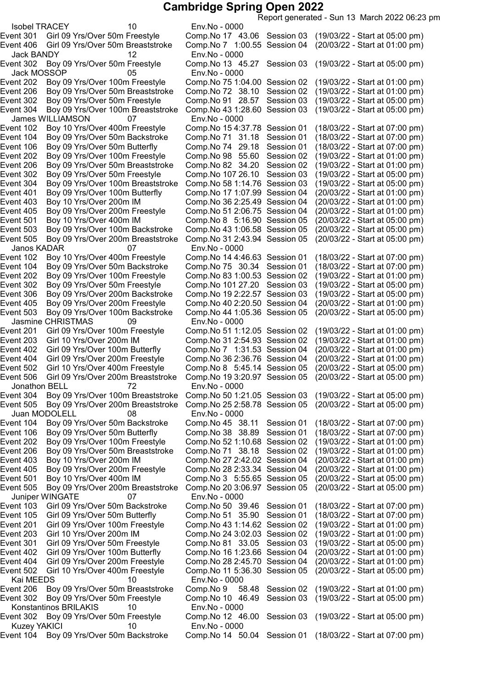Report generated - Sun 13 March 2022 06:23 pm Isobel TRACEY 10 Env.No - 0000 Event 301 Girl 09 Yrs/Over 50m Freestyle Comp.No 17 43.06 Session 03 (19/03/22 - Start at 05:00 pm) Event 406 Girl 09 Yrs/Over 50m Breaststroke Comp.No 7 1:00.55 Session 04 (20/03/22 - Start at 01:00 pm) Jack BANDY 12 Env.No - 0000 Event 302 Boy 09 Yrs/Over 50m Freestyle Comp.No 13 45.27 Session 03 (19/03/22 - Start at 05:00 pm) Jack MOSSOP 05 Env.No - 0000 Event 202 Boy 09 Yrs/Over 100m Freestyle Comp.No 75 1:04.00 Session 02 (19/03/22 - Start at 01:00 pm)<br>Event 206 Boy 09 Yrs/Over 50m Breaststroke Comp.No 72 38.10 Session 02 (19/03/22 - Start at 01:00 pm) Event 206 Boy 09 Yrs/Over 50m Breaststroke Comp.No 72 38.10 Session 02 Event 302 Boy 09 Yrs/Over 50m Freestyle Comp.No 91 28.57 Session 03 (19/03/22 - Start at 05:00 pm) Event 304 Boy 09 Yrs/Over 100m Breaststroke Comp.No 431:28.60 Session 03 (19/03/22 - Start at 05:00 pm) James WILLIAMSON 07 Env.No - 0000 Event 102 Boy 10 Yrs/Over 400m Freestyle Comp.No 154:37.78 Session 01 (18/03/22 - Start at 07:00 pm) Event 104 Boy 09 Yrs/Over 50m Backstroke Comp.No 71  31.18 Session 01 (18/03/22 - Start at 07:00 pm)<br>Event 106 Boy 09 Yrs/Over 50m Butterfly Comp.No 74 29.18 Session 01 (18/03/22 - Start at 07:00 pm) Event 106 Boy 09 Yrs/Over 50m Butterfly Comp.No 74 29.18 Session 01 (18/03/22 - Start at 07:00 pm)<br>Event 202 Boy 09 Yrs/Over 100m Freestyle Comp.No 98 55.60 Session 02 (19/03/22 - Start at 01:00 pm) Event 202 Boy 09 Yrs/Over 100m Freestyle Comp.No 98 55.60 Session 02 (19/03/22 - Start at 01:00 pm)<br>Event 206 Boy 09 Yrs/Over 50m Breaststroke Comp.No 82 34.20 Session 02 (19/03/22 - Start at 01:00 pm) Event 206 Boy 09 Yrs/Over 50m Breaststroke Comp.No 82 34.20 Session 02 (19/03/22 - Start at 01:00 pm) Event 302 Boy 09 Yrs/Over 50m Freestyle Comp.No 107 26.10 Session 03 (19/03/22 - Start at 05:00 pm)<br>Event 304 Boy 09 Yrs/Over 100m Breaststroke Comp.No 58 1:14.76 Session 03 (19/03/22 - Start at 05:00 pm) Event 304 Boy 09 Yrs/Over 100m Breaststroke Comp.No 581:14.76 Session 03 (19/03/22 - Start at 05:00 pm) Event 401 Boy 09 Yrs/Over 100m Butterfly Comp.No 17 1:07.99 Session 04<br>Event 403 Boy 10 Yrs/Over 200m IM Comp.No 36 2:25.49 Session 04 Event 403 Boy 10 Yrs/Over 200m IM Comp.No 362:25.49 Session 04 (20/03/22 - Start at 01:00 pm) Event 405 Boy 09 Yrs/Over 200m Freestyle Event 501 Boy 10 Yrs/Over 400m IM Comp.No 8 5:16.90 Session 05 (20/03/22 - Start at 05:00 pm) Boy 09 Yrs/Over 100m Backstroke Comp.No 43 1:06.58 Session 05 (20/03/22 - Start at 05:00 pm) Event 505 Boy 09 Yrs/Over 200m Breaststroke Comp.No 312:43.94 Session 05 (20/03/22 - Start at 05:00 pm) Janos KADAR 07 Env.No - 0000 Event 102 Boy 10 Yrs/Over 400m Freestyle Comp.No 14 4:46.63 Session 01 (18/03/22 - Start at 07:00 pm)<br>Event 104 Boy 09 Yrs/Over 50m Backstroke Comp.No 75 30.34 Session 01 (18/03/22 - Start at 07:00 pm) Event 104 Boy 09 Yrs/Over 50m Backstroke Comp.No 75 30.34 Session 01 Event 202 Boy 09 Yrs/Over 100m Freestyle Comp.No 831:00.53 Session 02 (19/03/22 - Start at 01:00 pm) Event 302 Boy 09 Yrs/Over 50m Freestyle Comp.No 101 27.20 Session 03 (19/03/22 - Start at 05:00 pm) Event 306 Boy 09 Yrs/Over 200m Backstroke Comp.No 192:22.57 Session 03 (19/03/22 - Start at 05:00 pm) Event 405 Boy 09 Yrs/Over 200m Freestyle Comp.No 40 2:20.50 Session 04 (20/03/22 - Start at 01:00 pm)<br>Event 503 Boy 09 Yrs/Over 100m Backstroke Comp.No 44 1:05.36 Session 05 (20/03/22 - Start at 05:00 pm) Event 503 Boy 09 Yrs/Over 100m Backstroke Comp.No 44 1:05.36 Session 05 Jasmine CHRISTMAS 09 Env.No - 0000 Event 201 Girl 09 Yrs/Over 100m Freestyle Comp.No 51 1:12.05 Session 02 (19/03/22 - Start at 01:00 pm) Event 203 Girl 10 Yrs/Over 200m IM Comp.No 312:54.93 Session 02 (19/03/22 - Start at 01:00 pm) Event 402 Girl 09 Yrs/Over 100m Butterfly Comp.No 7 1:31.53 Session 04 (20/03/22 - Start at 01:00 pm) Event 404 Girl 09 Yrs/Over 200m Freestyle Comp.No 362:36.76 Session 04 (20/03/22 - Start at 01:00 pm) Girl 10 Yrs/Over 400m Freestyle Comp.No 8 5:45.14 Session 05 (20/03/22 - Start at 05:00 pm) Event 506 Girl 09 Yrs/Over 200m Breaststroke Comp.No 193:20.97 Session 05 (20/03/22 - Start at 05:00 pm) Jonathon BELL 72 Env.No - 0000 Event 304 Boy 09 Yrs/Over 100m Breaststroke Comp.No 501:21.05 Session 03 (19/03/22 - Start at 05:00 pm) Event 505 Boy 09 Yrs/Over 200m Breaststroke Comp.No 252:58.78 Session 05 (20/03/22 - Start at 05:00 pm) Juan MODOLELL 08 Env.No - 0000 Event 104 Boy 09 Yrs/Over 50m Backstroke Comp.No 45 38.11 Session 01 (18/03/22 - Start at 07:00 pm) Event 106 Boy 09 Yrs/Over 50m Butterfly Comp.No 38 38.89 Session 01 (18/03/22 - Start at 07:00 pm) Event 202 Boy 09 Yrs/Over 100m Freestyle Comp.No 521:10.68 Session 02 (19/03/22 - Start at 01:00 pm) Event 206 Boy 09 Yrs/Over 50m Breaststroke Comp.No 71 38.18 Session 02 (19/03/22 - Start at 01:00 pm) Event 403 Boy 10 Yrs/Over 200m IM Comp.No 272:42.02 Session 04 (20/03/22 - Start at 01:00 pm) Event 405 Boy 09 Yrs/Over 200m Freestyle Comp.No 282:33.34 Session 04 (20/03/22 - Start at 01:00 pm) Event 501 Boy 10 Yrs/Over 400m IM Comp.No 3 5:55.65 Session 05 (20/03/22 - Start at 05:00 pm) Event 505 Boy 09 Yrs/Over 200m Breaststroke Comp.No 203:06.97 Session 05 (20/03/22 - Start at 05:00 pm) Juniper WINGATE 07 Env.No - 0000 Event 103 Girl 09 Yrs/Over 50m Backstroke Comp.No 50 39.46 Session 01 (18/03/22 - Start at 07:00 pm) Event 105 Girl 09 Yrs/Over 50m Butterfly Comp.No 51 35.90 Session 01 (18/03/22 - Start at 07:00 pm) Event 201 Girl 09 Yrs/Over 100m Freestyle Comp.No 431:14.62 Session 02 (19/03/22 - Start at 01:00 pm) Event 203 Girl 10 Yrs/Over 200m IM Comp.No 243:02.03 Session 02 (19/03/22 - Start at 01:00 pm) Event 301 Girl 09 Yrs/Over 50m Freestyle Comp.No 81 33.05 Session 03 (19/03/22 - Start at 05:00 pm) Event 402 Girl 09 Yrs/Over 100m Butterfly Comp.No 161:23.66 Session 04 (20/03/22 - Start at 01:00 pm) Event 404 Girl 09 Yrs/Over 200m Freestyle Comp.No 282:45.70 Session 04 (20/03/22 - Start at 01:00 pm) Event 502 Girl 10 Yrs/Over 400m Freestyle Comp.No 11 5:36.30 Session 05 (20/03/22 - Start at 05:00 pm) Kai MEEDS 10 Env.No - 0000 Event 206 Boy 09 Yrs/Over 50m Breaststroke Comp.No 9 58.48 Session 02 (19/03/22 - Start at 01:00 pm) Event 302 Boy 09 Yrs/Over 50m Freestyle Comp.No 10 46.49 Session 03 (19/03/22 - Start at 05:00 pm) Konstantinos BRILAKIS 10 Finv.No - 0000 Event 302 Boy 09 Yrs/Over 50m Freestyle Comp.No 12 46.00 Session 03 (19/03/22 - Start at 05:00 pm) Kuzey YAKICI 10 Env.No - 0000 Event 104 Boy 09 Yrs/Over 50m Backstroke Comp.No 14 50.04 Session 01 (18/03/22 - Start at 07:00 pm)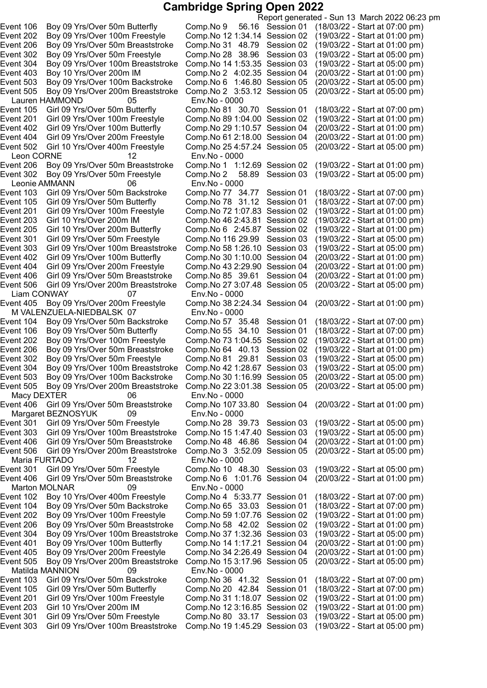Report generated - Sun 13 March 2022 06:23 pm Event 106 Boy 09 Yrs/Over 50m Butterfly Comp.No 9 56.16 Session 01 (18/03/22 - Start at 07:00 pm) Event 202 Boy 09 Yrs/Over 100m Freestyle Comp.No 121:34.14 Session 02 (19/03/22 - Start at 01:00 pm) Event 206 Boy 09 Yrs/Over 50m Breaststroke Comp.No 31 48.79 Session 02 (19/03/22 - Start at 01:00 pm) Event 302 Boy 09 Yrs/Over 50m Freestyle Comp.No 28 38.96 Session 03 (19/03/22 - Start at 05:00 pm) Event 304 Boy 09 Yrs/Over 100m Breaststroke Comp.No 141:53.35 Session 03 (19/03/22 - Start at 05:00 pm) Event 403 Boy 10 Yrs/Over 200m IM Comp.No 2 4:02.35 Session 04 (20/03/22 - Start at 01:00 pm) Event 503 Boy 09 Yrs/Over 100m Backstroke Comp.No 6 1:46.80 Session 05 (20/03/22 - Start at 05:00 pm) Event 505 Boy 09 Yrs/Over 200m Breaststroke Comp.No 2 3:53.12 Session 05 (20/03/22 - Start at 05:00 pm) Lauren HAMMOND 05 Env.No - 0000 Event 105 Girl 09 Yrs/Over 50m Butterfly Comp.No 81 30.70 Session 01 (18/03/22 - Start at 07:00 pm)<br>Event 201 Girl 09 Yrs/Over 100m Freestyle Comp.No 89 1:04.00 Session 02 (19/03/22 - Start at 01:00 pm) Event 201 Girl 09 Yrs/Over 100m Freestyle Comp.No 89 1:04.00 Session 02 Event 402 Girl 09 Yrs/Over 100m Butterfly Comp.No 29 1:10.57 Session 04 (20/03/22 - Start at 01:00 pm)<br>Event 404 Girl 09 Yrs/Over 200m Freestyle Comp.No 61 2:18.00 Session 04 (20/03/22 - Start at 01:00 pm) Event 404 Girl 09 Yrs/Over 200m Freestyle Comp.No 61 2:18.00 Session 04 (20/03/22 - Start at 01:00 pm)<br>Event 502 Girl 10 Yrs/Over 400m Freestyle Comp.No 25 4:57.24 Session 05 (20/03/22 - Start at 05:00 pm) Event 502 Girl 10 Yrs/Over 400m Freestyle Comp.No 25 4:57.24 Session 05 Leon CORNE 12 Env.No - 0000<br>
ent 206 Boy 09 Yrs/Over 50m Breaststroke Comp.No 1 1:12.69 Session 02 Event 206 Boy 09 Yrs/Over 50m Breaststroke Comp.No 1 1:12.69 Session 02 (19/03/22 - Start at 01:00 pm) Event 302 Boy 09 Yrs/Over 50m Freestyle Comp.No 2 58.89 Leonie AMMANN 06 Env.No - 0000 Event 103 Girl 09 Yrs/Over 50m Backstroke Comp.No 77 34.77 Session 01 (18/03/22 - Start at 07:00 pm)<br>Event 105 Girl 09 Yrs/Over 50m Butterfly Comp.No 78 31.12 Session 01 (18/03/22 - Start at 07:00 pm) Event 105 Girl 09 Yrs/Over 50m Butterfly Comp.No 78 31.12 Session 01 (18/03/22 - Start at 07:00 pm)<br>Event 201 Girl 09 Yrs/Over 100m Freestyle Comp.No 72 1:07.83 Session 02 (19/03/22 - Start at 01:00 pm) Event 201 Girl 09 Yrs/Over 100m Freestyle Comp.No 72 1:07.83 Session 02 (19/03/22 - Start at 01:00 pm)<br>Event 203 Girl 10 Yrs/Over 200m IM Comp.No 46 2:43.81 Session 02 (19/03/22 - Start at 01:00 pm) Event 203 Girl 10 Yrs/Over 200m IM Comp.No 46 2:43.81 Session 02 Event 205 Girl 10 Yrs/Over 200m Butterfly Comp.No 6 2:45.87 Session 02 (19/03/22 - Start at 01:00 pm) Event 301 Girl 09 Yrs/Over 50m Freestyle Comp.No 116 29.99 Session 03 (19/03/22 - Start at 05:00 pm)<br>Event 303 Girl 09 Yrs/Over 100m Breaststroke Comp.No 58 1:26.10 Session 03 (19/03/22 - Start at 05:00 pm) Event 303 Girl 09 Yrs/Over 100m Breaststroke Comp.No 58 1:26.10 Session 03 (19/03/22 - Start at 05:00 pm)<br>Event 402 Girl 09 Yrs/Over 100m Butterfly Comp.No 30 1:10.00 Session 04 (20/03/22 - Start at 01:00 pm) Event 402 Girl 09 Yrs/Over 100m Butterfly Comp.No 30 1:10.00 Session 04 (20/03/22 - Start at 01:00 pm)<br>Event 404 Girl 09 Yrs/Over 200m Freestyle Comp.No 43 2:29.90 Session 04 (20/03/22 - Start at 01:00 pm) Event 404 Girl 09 Yrs/Over 200m Freestyle Comp.No 43 2:29.90 Session 04 (20/03/22 - Start at 01:00 pm)<br>Event 406 Girl 09 Yrs/Over 50m Breaststroke Comp.No 85 39.61 Session 04 (20/03/22 - Start at 01:00 pm) Event 406 Girl 09 Yrs/Over 50m Breaststroke Comp.No 85 39.61 Session 04 (20/03/22 - Start at 01:00 pm) Event 506 Girl 09 Yrs/Over 200m Breaststroke Comp.No 27 3:07.48 Session 05 Liam CONWAY 07 Env.No - 0000 Event 405 Boy 09 Yrs/Over 200m Freestyle Comp.No 382:24.34 Session 04 (20/03/22 - Start at 01:00 pm) M VALENZUELA-NIEDBALSK 07 Env.No - 0000 Event 104 Boy 09 Yrs/Over 50m Backstroke Comp.No 57 35.48 Session 01 (18/03/22 - Start at 07:00 pm)<br>Event 106 Boy 09 Yrs/Over 50m Butterfly Comp.No 55 34.10 Session 01 (18/03/22 - Start at 07:00 pm) Boy 09 Yrs/Over 50m Butterfly Comp.No 55 34.10 Session 01 (18/03/22 - Start at 07:00 pm) Event 202 Boy 09 Yrs/Over 100m Freestyle Comp.No 731:04.55 Session 02 (19/03/22 - Start at 01:00 pm) Event 206 Boy 09 Yrs/Over 50m Breaststroke Comp.No 64 40.13 Session 02 (19/03/22 - Start at 01:00 pm) Event 302 Boy 09 Yrs/Over 50m Freestyle Comp.No 81 29.81 Session 03 (19/03/22 - Start at 05:00 pm) Event 304 Boy 09 Yrs/Over 100m Breaststroke Comp.No 42 1:28.67 Session 03 (19/03/22 - Start at 05:00 pm)<br>Event 503 Boy 09 Yrs/Over 100m Backstroke Comp.No 30 1:16.99 Session 05 (20/03/22 - Start at 05:00 pm) Boy 09 Yrs/Over 100m Backstroke Comp.No 30 1:16.99 Session 05 (20/03/22 - Start at 05:00 pm)<br>Boy 09 Yrs/Over 200m Breaststroke Comp.No 22 3:01.38 Session 05 (20/03/22 - Start at 05:00 pm) Event 505 Boy 09 Yrs/Over 200m Breaststroke Comp.No 22 3:01.38 Session 05 Macy DEXTER 06 Env.No - 0000 Girl 09 Yrs/Over 50m Breaststroke Comp.No 107 33.80 Session 04 (20/03/22 - Start at 01:00 pm) Margaret BEZNOSYUK 09 Env.No - 0000 Event 301 Girl 09 Yrs/Over 50m Freestyle Comp.No 28 39.73 Session 03 (19/03/22 - Start at 05:00 pm) Event 303 Girl 09 Yrs/Over 100m Breaststroke Comp.No 151:47.40 Session 03 (19/03/22 - Start at 05:00 pm) Event 406 Girl 09 Yrs/Over 50m Breaststroke Comp.No 48 46.86 Session 04 (20/03/22 - Start at 01:00 pm) Event 506 Girl 09 Yrs/Over 200m Breaststroke Comp.No 3 3:52.09 Session 05 (20/03/22 - Start at 05:00 pm) Maria FURTADO 12 Env.No - 0000 Event 301 Girl 09 Yrs/Over 50m Freestyle Comp.No 10 48.30 Session 03 (19/03/22 - Start at 05:00 pm) Event 406 Girl 09 Yrs/Over 50m Breaststroke Comp.No 6 1:01.76 Session 04 (20/03/22 - Start at 01:00 pm) Marton MOLNAR 09 Env.No - 0000 Event 102 Boy 10 Yrs/Over 400m Freestyle Comp.No 4 5:33.77 Session 01 (18/03/22 - Start at 07:00 pm) Event 104 Boy 09 Yrs/Over 50m Backstroke Comp.No 65 33.03 Session 01 (18/03/22 - Start at 07:00 pm) Event 202 Boy 09 Yrs/Over 100m Freestyle Comp.No 591:07.76 Session 02 (19/03/22 - Start at 01:00 pm) Event 206 Boy 09 Yrs/Over 50m Breaststroke Comp.No 58 42.02 Session 02 (19/03/22 - Start at 01:00 pm) Event 304 Boy 09 Yrs/Over 100m Breaststroke Comp.No 371:32.36 Session 03 (19/03/22 - Start at 05:00 pm) Event 401 Boy 09 Yrs/Over 100m Butterfly Comp.No 141:17.21 Session 04 (20/03/22 - Start at 01:00 pm) Event 405 Boy 09 Yrs/Over 200m Freestyle Comp.No 342:26.49 Session 04 (20/03/22 - Start at 01:00 pm) Event 505 Boy 09 Yrs/Over 200m Breaststroke Comp.No 153:17.96 Session 05 (20/03/22 - Start at 05:00 pm) Matilda MANNION 09 Env.No - 0000 Event 103 Girl 09 Yrs/Over 50m Backstroke Comp.No 36 41.32 Session 01 (18/03/22 - Start at 07:00 pm) Event 105 Girl 09 Yrs/Over 50m Butterfly Comp.No 20 42.84 Session 01 (18/03/22 - Start at 07:00 pm) Event 201 Girl 09 Yrs/Over 100m Freestyle Comp.No 311:18.07 Session 02 (19/03/22 - Start at 01:00 pm) Event 203 Girl 10 Yrs/Over 200m IM Comp.No 123:16.85 Session 02 (19/03/22 - Start at 01:00 pm) Event 301 Girl 09 Yrs/Over 50m Freestyle Comp.No 80 33.17 Session 03 (19/03/22 - Start at 05:00 pm) Event 303 Girl 09 Yrs/Over 100m Breaststroke Comp.No 191:45.29 Session 03 (19/03/22 - Start at 05:00 pm)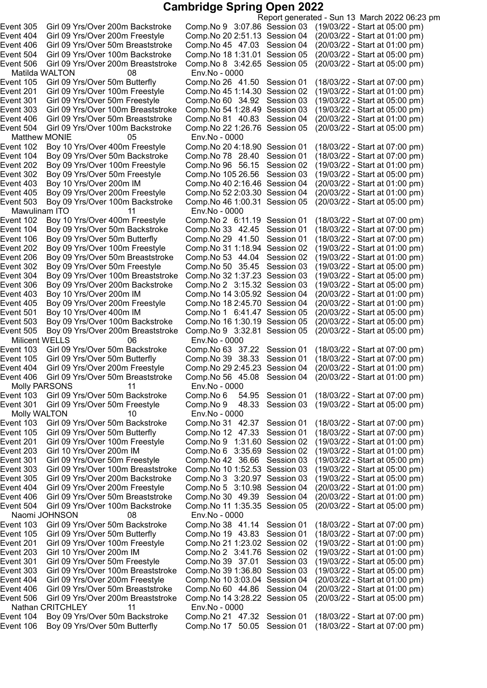Matilda WALTON 08 Env.No - 0000 Matthew MONIE 05<br>Event 102 Boy 10 Yrs/Over 400m Freestyle Event 503 Boy 09 Yrs/Over 100m Backstroke Mawulinam ITO 11 Env.No - 0000<br>Event 102 Boy 10 Yrs/Over 400m Freestyle Comp.No 2 6:1 Event 405 Boy 09 Yrs/Over 200m Freestyle Comp.No 18 2:45.70 Session 04 Event 505 Boy 09 Yrs/Over 200m Breaststroke Comp.No 9 3:32.81 Session 05 Milicent WELLS 06 Env.No - 0000 11 Molly PARSONS<br>Event 103 Girl 09 Yrs/Over 50m Ba Molly WALTON 10 Env.No - 0000 Naomi JOHNSON 08 Env.No - 0000 Nathan CRITCHLEY 11 Env.No - 0000 Event 106 Boy 09 Yrs/Over 50m Butterfly Comp.No 17 50.05 Session 01 (18/03/22 - Start at 07:00 pm)

Report generated - Sun 13 March 2022 06:23 pm Event 305 Girl 09 Yrs/Over 200m Backstroke Comp.No 9 3:07.86 Session 03 (19/03/22 - Start at 05:00 pm) Event 404 Girl 09 Yrs/Over 200m Freestyle Comp.No 202:51.13 Session 04 (20/03/22 - Start at 01:00 pm) Event 406 Girl 09 Yrs/Over 50m Breaststroke Comp.No 45 47.03 Session 04 (20/03/22 - Start at 01:00 pm) Event 504 Girl 09 Yrs/Over 100m Backstroke Comp.No 181:31.01 Session 05 (20/03/22 - Start at 05:00 pm) Event 506 Girl 09 Yrs/Over 200m Breaststroke Comp.No 8 3:42.65 Session 05 (20/03/22 - Start at 05:00 pm) Event 105 Girl 09 Yrs/Over 50m Butterfly Comp.No 26 41.50 Session 01 (18/03/22 - Start at 07:00 pm) Event 201 Girl 09 Yrs/Over 100m Freestyle Comp.No 451:14.30 Session 02 (19/03/22 - Start at 01:00 pm) Event 301 Girl 09 Yrs/Over 50m Freestyle Comp.No 60 34.92 Session 03 (19/03/22 - Start at 05:00 pm) Event 303 Girl 09 Yrs/Over 100m Breaststroke Comp.No 541:28.49 Session 03 (19/03/22 - Start at 05:00 pm) Event 406 Girl 09 Yrs/Over 50m Breaststroke Comp.No 81 40.83 Session 04 (20/03/22 - Start at 01:00 pm) Event 504 Girl 09 Yrs/Over 100m Backstroke Comp.No 221:26.76 Session 05 (20/03/22 - Start at 05:00 pm) Comp.No 20 4:18.90 Session 01 (18/03/22 - Start at 07:00 pm)<br>Comp.No 78 28.40 Session 01 (18/03/22 - Start at 07:00 pm) Event 104 Boy 09 Yrs/Over 50m Backstroke Comp.No 78 28.40 Session 01 (18/03/22 - Start at 07:00 pm)<br>Event 202 Boy 09 Yrs/Over 100m Freestyle Comp.No 96 56.15 Session 02 (19/03/22 - Start at 01:00 pm) Event 202 Boy 09 Yrs/Over 100m Freestyle Comp.No 96 56.15 Session 02 (19/03/22 - Start at 01:00 pm)<br>Event 302 Boy 09 Yrs/Over 50m Freestyle Comp.No 105 26.56 Session 03 (19/03/22 - Start at 05:00 pm) Event 302 Boy 09 Yrs/Over 50m Freestyle Comp.No 105 26.56 Session 03 (19/03/22 - Start at 05:00 pm)<br>Event 403 Boy 10 Yrs/Over 200m IM Comp.No 40 2:16.46 Session 04 (20/03/22 - Start at 01:00 pm) Event 403 Boy 10 Yrs/Over 200m IM Comp.No 402:16.46 Session 04 (20/03/22 - Start at 01:00 pm) Event 405 Boy 09 Yrs/Over 200m Freestyle Comp.No 52 2:03.30 Session 04 (20/03/22 - Start at 01:00 pm)<br>Event 503 Boy 09 Yrs/Over 100m Backstroke Comp.No 46 1:00.31 Session 05 (20/03/22 - Start at 05:00 pm) Event 102 Boy 10 Yrs/Over 400m Freestyle Comp.No 2 6:11.19 Session 01 (18/03/22 - Start at 07:00 pm) Event 104 Boy 09 Yrs/Over 50m Backstroke Comp.No 33 42.45 Session 01 (18/03/22 - Start at 07:00 pm) Event 106 Boy 09 Yrs/Over 50m Butterfly Comp.No 29  41.50 Session 01 (18/03/22 - Start at 07:00 pm)<br>Event 202 Boy 09 Yrs/Over 100m Freestyle Comp.No 31 1:18.94 Session 02 (19/03/22 - Start at 01:00 pm) Event 202 Boy 09 Yrs/Over 100m Freestyle Comp.No 31 1:18.94 Session 02 (19/03/22 - Start at 01:00 pm)<br>Event 206 Boy 09 Yrs/Over 50m Breaststroke Comp.No 53 44.04 Session 02 (19/03/22 - Start at 01:00 pm) Event 206 Boy 09 Yrs/Over 50m Breaststroke Comp.No 53 44.04 Session 02 (19/03/22 - Start at 01:00 pm) Event 302 Boy 09 Yrs/Over 50m Freestyle Comp.No 50 35.45 Session 03 (19/03/22 - Start at 05:00 pm)<br>Event 304 Boy 09 Yrs/Over 100m Breaststroke Comp.No 32 1:37.23 Session 03 (19/03/22 - Start at 05:00 pm) Event 304 Boy 09 Yrs/Over 100m Breaststroke Comp.No 32 1:37.23 Session 03 (19/03/22 - Start at 05:00 pm)<br>Event 306 Boy 09 Yrs/Over 200m Backstroke Comp.No 2 3:15.32 Session 03 (19/03/22 - Start at 05:00 pm) Event 306 Boy 09 Yrs/Over 200m Backstroke Comp.No 2 3:15.32 Session 03 (19/03/22 - Start at 05:00 pm) Event 403 Boy 10 Yrs/Over 200m IM Comp.No 14 3:05.92 Session 04 (20/03/22 - Start at 01:00 pm)<br>Event 405 Boy 09 Yrs/Over 200m Freestyle Comp.No 18 2:45.70 Session 04 (20/03/22 - Start at 01:00 pm) Event 501 Boy 10 Yrs/Over 400m IM Comp.No 1 6:41.47 Session 05 (20/03/22 - Start at 05:00 pm) Event 503 Boy 09 Yrs/Over 100m Backstroke  Comp.No 16 1:30.19 Session 05  (20/03/22 - Start at 05:00 pm)<br>Event 505 Boy 09 Yrs/Over 200m Breaststroke Comp.No 9 3:32.81 Session 05 (20/03/22 - Start at 05:00 pm) Event 103 Girl 09 Yrs/Over 50m Backstroke Comp.No 63 37.22 Session 01 (18/03/22 - Start at 07:00 pm)<br>Event 105 Girl 09 Yrs/Over 50m Butterfly Comp.No 39 38.33 Session 01 (18/03/22 - Start at 07:00 pm) Event 105 Girl 09 Yrs/Over 50m Butterfly Comp.No 39 38.33 Session 01 (18/03/22 - Start at 07:00 pm) Event 404 Girl 09 Yrs/Over 200m Freestyle Comp.No 29 2:45.23 Session 04 (20/03/22 - Start at 01:00 pm)<br>Event 406 Girl 09 Yrs/Over 50m Breaststroke Comp.No 56 45.08 Session 04 (20/03/22 - Start at 01:00 pm) Event 406 Girl 09 Yrs/Over 50m Breaststroke Comp.No 56 45.08 Session 04 (20/03/22 - Start at 01:00 pm) Event 103 Girl 09 Yrs/Over 50m Backstroke Comp.No 6 54.95 Session 01 (18/03/22 - Start at 07:00 pm)<br>Event 301 Girl 09 Yrs/Over 50m Freestyle Comp.No 9 48.33 Session 03 (19/03/22 - Start at 05:00 pm) Girl 09 Yrs/Over 50m Freestyle Comp.No 9 48.33 Session 03 (19/03/22 - Start at 05:00 pm) Event 103 Girl 09 Yrs/Over 50m Backstroke Comp.No 31 42.37 Session 01 (18/03/22 - Start at 07:00 pm) Event 105 Girl 09 Yrs/Over 50m Butterfly Comp.No 12 47.33 Session 01 (18/03/22 - Start at 07:00 pm) Event 201 Girl 09 Yrs/Over 100m Freestyle Comp.No 9 1:31.60 Session 02 (19/03/22 - Start at 01:00 pm) Event 203 Girl 10 Yrs/Over 200m IM Comp.No 6 3:35.69 Session 02 (19/03/22 - Start at 01:00 pm) Event 301 Girl 09 Yrs/Over 50m Freestyle Comp.No 42 36.66 Session 03 (19/03/22 - Start at 05:00 pm) Event 303 Girl 09 Yrs/Over 100m Breaststroke Comp.No 101:52.53 Session 03 (19/03/22 - Start at 05:00 pm) Event 305 Girl 09 Yrs/Over 200m Backstroke Comp.No 3 3:20.97 Session 03 (19/03/22 - Start at 05:00 pm) Event 404 Girl 09 Yrs/Over 200m Freestyle Comp.No 5 3:10.98 Session 04 (20/03/22 - Start at 01:00 pm) Event 406 Girl 09 Yrs/Over 50m Breaststroke Comp.No 30 49.39 Session 04 (20/03/22 - Start at 01:00 pm) Event 504 Girl 09 Yrs/Over 100m Backstroke Comp.No 11 1:35.35 Session 05 (20/03/22 - Start at 05:00 pm) Event 103 Girl 09 Yrs/Over 50m Backstroke Comp.No 38 41.14 Session 01 (18/03/22 - Start at 07:00 pm) Event 105 Girl 09 Yrs/Over 50m Butterfly Comp.No 19 43.83 Session 01 (18/03/22 - Start at 07:00 pm) Event 201 Girl 09 Yrs/Over 100m Freestyle Comp.No 211:23.02 Session 02 (19/03/22 - Start at 01:00 pm) Event 203 Girl 10 Yrs/Over 200m IM Comp.No 2 3:41.76 Session 02 (19/03/22 - Start at 01:00 pm) Event 301 Girl 09 Yrs/Over 50m Freestyle Comp.No 39 37.01 Session 03 (19/03/22 - Start at 05:00 pm) Event 303 Girl 09 Yrs/Over 100m Breaststroke Comp.No 391:36.80 Session 03 (19/03/22 - Start at 05:00 pm) Event 404 Girl 09 Yrs/Over 200m Freestyle Comp.No 103:03.04 Session 04 (20/03/22 - Start at 01:00 pm) Event 406 Girl 09 Yrs/Over 50m Breaststroke Comp.No 60 44.86 Session 04 (20/03/22 - Start at 01:00 pm) Event 506 Girl 09 Yrs/Over 200m Breaststroke Comp.No 143:28.22 Session 05 (20/03/22 - Start at 05:00 pm) Event 104 Boy 09 Yrs/Over 50m Backstroke Comp.No 21 47.32 Session 01 (18/03/22 - Start at 07:00 pm)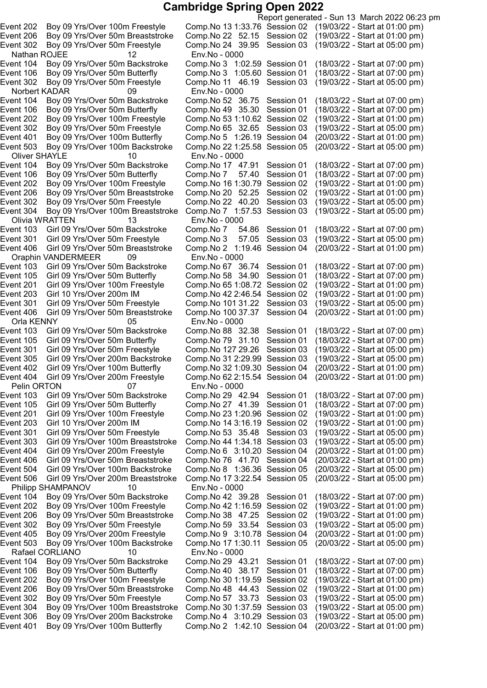Nathan ROJEE 12 Env.No - 0000 Event 106 Boy 09 Yrs/Over 50m Butterfly Comp.No 3 1:05.60 Session 01 Norbert KADAR 09 Env.No - 0000 Event 503 Boy 09 Yrs/Over 100m Backstroke Comp.No 22 1:25.58 Session 05 Oliver SHAYLE 10 Env.No - 0000<br>Event 104 Boy 09 Yrs/Over 50m Backstroke Comp.No 17 47.91 Event 206 Boy 09 Yrs/Over 50m Breaststroke Comp.No 20 52.25 Session 02<br>Event 302 Boy 09 Yrs/Over 50m Freestyle Comp.No 22 40.20 Session 03 Event 304 Boy 09 Yrs/Over 100m Breaststroke Comp.No 7 1:57.53 Session 03 Olivia WRATTEN 13 Env.No - 0000 Event 406 Girl 09 Yrs/Over 50m Breaststroke Oraphin VANDERMEER 09 Env.No - 0000 Event 201 Girl 09 Yrs/Over 100m Freestyle Comp.No 65 1:08.72 Session 02<br>Event 203 Girl 10 Yrs/Over 200m IM Comp.No 42 2:46.54 Session 02 Event 406 Girl 09 Yrs/Over 50m Breaststroke Comp.No 100 37.37 Session 04 Orla KENNY 05 Env.No - 0000 Event 404 Girl 09 Yrs/Over 200m Freestyle Comp.No 622:15.54 Session 04 (20/03/22 - Start at 01:00 pm) Philipp SHAMPANOV 10 Env.No - 0000 Rafael CORLIANO 10 Env.No - 0000

Report generated - Sun 13 March 2022 06:23 pm Event 202 Boy 09 Yrs/Over 100m Freestyle Comp.No 131:33.76 Session 02 (19/03/22 - Start at 01:00 pm) Event 206 Boy 09 Yrs/Over 50m Breaststroke Comp.No 22 52.15 Session 02 (19/03/22 - Start at 01:00 pm) Event 302 Boy 09 Yrs/Over 50m Freestyle Comp.No 24 39.95 Session 03 (19/03/22 - Start at 05:00 pm) Event 104 Boy 09 Yrs/Over 50m Backstroke Comp.No 3 1:02.59 Session 01 (18/03/22 - Start at 07:00 pm) Event 302 Boy 09 Yrs/Over 50m Freestyle Comp.No 11 46.19 Session 03 (19/03/22 - Start at 05:00 pm) Event 104 Boy 09 Yrs/Over 50m Backstroke Comp.No 52 36.75 Session 01 (18/03/22 - Start at 07:00 pm) Event 106 Boy 09 Yrs/Over 50m Butterfly Comp.No 49 35.30 Session 01 (18/03/22 - Start at 07:00 pm) Event 202 Boy 09 Yrs/Over 100m Freestyle Comp.No 531:10.62 Session 02 (19/03/22 - Start at 01:00 pm) Event 302 Boy 09 Yrs/Over 50m Freestyle Comp.No 65 32.65 Session 03 (19/03/22 - Start at 05:00 pm) Event 401 Boy 09 Yrs/Over 100m Butterfly Comp.No 5 1:26.19 Session 04 (20/03/22 - Start at 01:00 pm)<br>Event 503 Boy 09 Yrs/Over 100m Backstroke Comp.No 22 1:25.58 Session 05 (20/03/22 - Start at 05:00 pm) Boy 09 Yrs/Over 50m Backstroke Comp.No 17 47.91 Session 01 (18/03/22 - Start at 07:00 pm)<br>Boy 09 Yrs/Over 50m Butterfly Comp.No 7 57.40 Session 01 (18/03/22 - Start at 07:00 pm) Event 106 Boy 09 Yrs/Over 50m Butterfly Comp.No 7 57.40 Session 01 (18/03/22 - Start at 07:00 pm)<br>Event 202 Boy 09 Yrs/Over 100m Freestyle Comp.No 16 1:30.79 Session 02 (19/03/22 - Start at 01:00 pm) Event 202 Boy 09 Yrs/Over 100m Freestyle Comp.No 161:30.79 Session 02 (19/03/22 - Start at 01:00 pm) Event 302 Boy 09 Yrs/Over 50m Freestyle Comp.No 22 40.20 Session 03 (19/03/22 - Start at 05:00 pm) Event 103 Girl 09 Yrs/Over 50m Backstroke Comp.No 7 54.86 Session 01 (18/03/22 - Start at 07:00 pm)<br>Event 301 Girl 09 Yrs/Over 50m Freestyle Comp.No 3 57.05 Session 03 (19/03/22 - Start at 05:00 pm) Girl 09 Yrs/Over 50m Freestyle Comp.No 3 57.05 Session 03 (19/03/22 - Start at 05:00 pm)<br>Girl 09 Yrs/Over 50m Breaststroke Comp.No 2 1:19.46 Session 04 (20/03/22 - Start at 01:00 pm) Event 103 Girl 09 Yrs/Over 50m Backstroke Comp.No 67 36.74 Session 01 (18/03/22 - Start at 07:00 pm) Event 105 Girl 09 Yrs/Over 50m Butterfly Comp.No 58 34.90 Session 01 (18/03/22 - Start at 07:00 pm)<br>Event 201 Girl 09 Yrs/Over 100m Freestyle Comp.No 65 1:08.72 Session 02 (19/03/22 - Start at 01:00 pm) Event 203 Girl 10 Yrs/Over 200m IM Comp.No 422:46.54 Session 02 (19/03/22 - Start at 01:00 pm) Event 301 Girl 09 Yrs/Over 50m Freestyle Comp.No 101 31.22 Session 03 (19/03/22 - Start at 05:00 pm)<br>Event 406 Girl 09 Yrs/Over 50m Breaststroke Comp.No 100 37.37 Session 04 (20/03/22 - Start at 01:00 pm) Event 103 Girl 09 Yrs/Over 50m Backstroke Comp.No 88 32.38 Session 01 (18/03/22 - Start at 07:00 pm) Event 105 Girl 09 Yrs/Over 50m Butterfly Comp.No 79 31.10 Session 01 (18/03/22 - Start at 07:00 pm) Event 301 Girl 09 Yrs/Over 50m Freestyle Comp.No 127 29.26 Session 03 (19/03/22 - Start at 05:00 pm) Event 305 Girl 09 Yrs/Over 200m Backstroke Comp.No 312:29.99 Session 03 (19/03/22 - Start at 05:00 pm) Event 402 Girl 09 Yrs/Over 100m Butterfly Comp.No 32 1:09.30 Session 04 (20/03/22 - Start at 01:00 pm)<br>Event 404 Girl 09 Yrs/Over 200m Freestyle Comp.No 62 2:15.54 Session 04 (20/03/22 - Start at 01:00 pm) 07 Env.No - 0000 Event 103 Girl 09 Yrs/Over 50m Backstroke Comp.No 29 42.94 Session 01 (18/03/22 - Start at 07:00 pm)<br>Event 105 Girl 09 Yrs/Over 50m Butterfly Comp.No 27 41.39 Session 01 (18/03/22 - Start at 07:00 pm) Girl 09 Yrs/Over 50m Butterfly Comp.No 27 41.39 Session 01 (18/03/22 - Start at 07:00 pm) Event 201 Girl 09 Yrs/Over 100m Freestyle Comp.No 231:20.96 Session 02 (19/03/22 - Start at 01:00 pm) Event 203 Girl 10 Yrs/Over 200m IM Comp.No 143:16.19 Session 02 (19/03/22 - Start at 01:00 pm) Event 301 Girl 09 Yrs/Over 50m Freestyle Comp.No 53 35.48 Session 03 (19/03/22 - Start at 05:00 pm) Event 303 Girl 09 Yrs/Over 100m Breaststroke Comp.No 441:34.18 Session 03 (19/03/22 - Start at 05:00 pm) Event 404 Girl 09 Yrs/Over 200m Freestyle Comp.No 6 3:10.20 Session 04 (20/03/22 - Start at 01:00 pm) Event 406 Girl 09 Yrs/Over 50m Breaststroke Comp.No 76 41.70 Session 04 (20/03/22 - Start at 01:00 pm) Event 504 Girl 09 Yrs/Over 100m Backstroke Comp.No 8 1:36.36 Session 05 (20/03/22 - Start at 05:00 pm) Event 506 Girl 09 Yrs/Over 200m Breaststroke Comp.No 173:22.54 Session 05 (20/03/22 - Start at 05:00 pm) Event 104 Boy 09 Yrs/Over 50m Backstroke Comp.No 42 39.28 Session 01 (18/03/22 - Start at 07:00 pm) Event 202 Boy 09 Yrs/Over 100m Freestyle Comp.No 421:16.59 Session 02 (19/03/22 - Start at 01:00 pm) Event 206 Boy 09 Yrs/Over 50m Breaststroke Comp.No 38 47.25 Session 02 (19/03/22 - Start at 01:00 pm) Event 302 Boy 09 Yrs/Over 50m Freestyle Comp.No 59 33.54 Session 03 (19/03/22 - Start at 05:00 pm) Event 405 Boy 09 Yrs/Over 200m Freestyle Comp.No 9 3:10.78 Session 04 (20/03/22 - Start at 01:00 pm) Event 503 Boy 09 Yrs/Over 100m Backstroke Comp.No 171:30.11 Session 05 (20/03/22 - Start at 05:00 pm) Event 104 Boy 09 Yrs/Over 50m Backstroke Comp.No 29 43.21 Session 01 (18/03/22 - Start at 07:00 pm) Event 106 Boy 09 Yrs/Over 50m Butterfly Comp.No 40 38.17 Session 01 (18/03/22 - Start at 07:00 pm) Event 202 Boy 09 Yrs/Over 100m Freestyle Comp.No 301:19.59 Session 02 (19/03/22 - Start at 01:00 pm) Event 206 Boy 09 Yrs/Over 50m Breaststroke Comp.No 48 44.43 Session 02 (19/03/22 - Start at 01:00 pm) Event 302 Boy 09 Yrs/Over 50m Freestyle Comp.No 57 33.73 Session 03 (19/03/22 - Start at 05:00 pm) Event 304 Boy 09 Yrs/Over 100m Breaststroke Comp.No 301:37.59 Session 03 (19/03/22 - Start at 05:00 pm) Event 306 Boy 09 Yrs/Over 200m Backstroke Comp.No 4 3:10.29 Session 03 (19/03/22 - Start at 05:00 pm) Event 401 Boy 09 Yrs/Over 100m Butterfly Comp.No 2 1:42.10 Session 04 (20/03/22 - Start at 01:00 pm)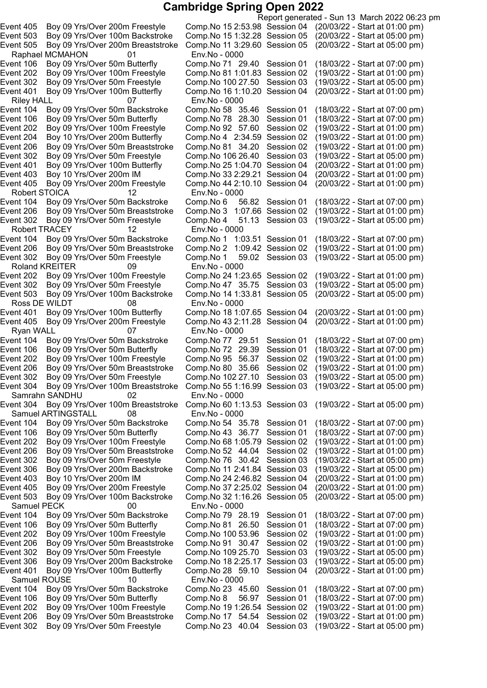Raphael MCMAHON 01 Env.No - 0000 Riley HALL 07 Env.No - 0000 Event 405 Boy 09 Yrs/Over 200m Freestyle Comp.No 44 2:10.10 Session 04 Robert STOICA 12 Env.No - 0000 Event 302 Boy 09 Yrs/Over 50m Freestyle Comp.No 4 51.13 Session 03 Robert TRACEY 12 Env.No - 0000 Event 206 Boy 09 Yrs/Over 50m Breaststroke Comp.No 2 1:09.42 Session 02<br>Event 302 Boy 09 Yrs/Over 50m Freestyle Comp.No 1 59.02 Session 03 Roland KREITER 09 Env.No - 0000 Event 503 Boy 09 Yrs/Over 100m Backstroke Comp.No 14 1:33.81 Session 05 Ross DE WILDT 08 Env.No - 0000<br>ent 401 Boy 09 Yrs/Over 100m Butterfly Comp.No 18 1:0 Event 405 Boy 09 Yrs/Over 200m Freestyle Comp.No 43 2:11.28 Session 04 Ryan WALL 07 Env.No - 0000 Event 304 Boy 09 Yrs/Over 100m Breaststroke Comp. No 55 1:16.99 Session 03 Samrahn SANDHU 02 Env.No - 0000 Samuel ARTINGSTALL 08 Env.No - 0000 Samuel PECK 00 Env.No - 0000 Samuel ROUSE 10 Env.No - 0000

Report generated - Sun 13 March 2022 06:23 pm Event 405 Boy 09 Yrs/Over 200m Freestyle Comp.No 152:53.98 Session 04 (20/03/22 - Start at 01:00 pm) Event 503 Boy 09 Yrs/Over 100m Backstroke Comp.No 151:32.28 Session 05 (20/03/22 - Start at 05:00 pm) Event 505 Boy 09 Yrs/Over 200m Breaststroke Comp.No 11 3:29.60 Session 05 (20/03/22 - Start at 05:00 pm) Event 106 Boy 09 Yrs/Over 50m Butterfly Comp.No 71 29.40 Session 01 (18/03/22 - Start at 07:00 pm) Event 202 Boy 09 Yrs/Over 100m Freestyle Comp.No 811:01.83 Session 02 (19/03/22 - Start at 01:00 pm) Event 302 Boy 09 Yrs/Over 50m Freestyle Comp.No 100 27.50 Session 03 (19/03/22 - Start at 05:00 pm) Event 401 Boy 09 Yrs/Over 100m Butterfly Comp.No 161:10.20 Session 04 (20/03/22 - Start at 01:00 pm) Event 104 Boy 09 Yrs/Over 50m Backstroke Comp.No 58 35.46 Session 01 (18/03/22 - Start at 07:00 pm) Event 106 Boy 09 Yrs/Over 50m Butterfly Comp.No 78 28.30 Session 01 (18/03/22 - Start at 07:00 pm) Event 202 Boy 09 Yrs/Over 100m Freestyle Comp.No 92 57.60 Session 02 (19/03/22 - Start at 01:00 pm) Event 204 Boy 10 Yrs/Over 200m Butterfly Comp.No 4 2:34.59 Session 02 (19/03/22 - Start at 01:00 pm)<br>Event 206 Boy 09 Yrs/Over 50m Breaststroke Comp.No 81 34.20 Session 02 (19/03/22 - Start at 01:00 pm) Event 206 Boy 09 Yrs/Over 50m Breaststroke Comp.No 81 34.20 Session 02 (19/03/22 - Start at 01:00 pm) Event 302 Boy 09 Yrs/Over 50m Freestyle Comp.No 106 26.40 Session 03 (19/03/22 - Start at 05:00 pm)<br>Event 401 Boy 09 Yrs/Over 100m Butterfly Comp.No 25 1:04.70 Session 04 (20/03/22 - Start at 01:00 pm) Event 401 Boy 09 Yrs/Over 100m Butterfly Comp.No 25 1:04.70 Session 04 (20/03/22 - Start at 01:00 pm)<br>Event 403 Boy 10 Yrs/Over 200m IM Comp.No 33 2:29.21 Session 04 (20/03/22 - Start at 01:00 pm) Event 403 Boy 10 Yrs/Over 200m IM Comp.No 332:29.21 Session 04 (20/03/22 - Start at 01:00 pm) Event 104 Boy 09 Yrs/Over 50m Backstroke Comp.No 6 56.82 Session 01 (18/03/22 - Start at 07:00 pm) Event 206 Boy 09 Yrs/Over 50m Breaststroke Comp.No 3 1:07.66 Session 02 (19/03/22 - Start at 01:00 pm) Event 104 Boy 09 Yrs/Over 50m Backstroke Comp.No 1 1:03.51 Session 01 (18/03/22 - Start at 07:00 pm)<br>Event 206 Boy 09 Yrs/Over 50m Breaststroke Comp.No 2 1:09.42 Session 02 (19/03/22 - Start at 01:00 pm) Event 302 Boy 09 Yrs/Over 50m Freestyle Comp.No 1 59.02 Session 03 (19/03/22 - Start at 05:00 pm) Event 202 Boy 09 Yrs/Over 100m Freestyle Comp.No 24 1:23.65 Session 02 (19/03/22 - Start at 01:00 pm)<br>Event 302 Boy 09 Yrs/Over 50m Freestyle Comp.No 47 35.75 Session 03 (19/03/22 - Start at 05:00 pm) Event 302 Boy 09 Yrs/Over 50m Freestyle Comp.No 47 35.75 Session 03 (19/03/22 - Start at 05:00 pm)<br>Event 503 Boy 09 Yrs/Over 100m Backstroke Comp.No 14 1:33.81 Session 05 (20/03/22 - Start at 05:00 pm) Event 401 Boy 09 Yrs/Over 100m Butterfly Comp.No 18 1:07.65 Session 04 (20/03/22 - Start at 01:00 pm)<br>Event 405 Boy 09 Yrs/Over 200m Freestyle Comp.No 43 2:11.28 Session 04 (20/03/22 - Start at 01:00 pm) Event 104 Boy 09 Yrs/Over 50m Backstroke Comp.No 77 29.51 Session 01 (18/03/22 - Start at 07:00 pm)<br>Event 106 Boy 09 Yrs/Over 50m Butterfly Comp.No 72 29.39 Session 01 (18/03/22 - Start at 07:00 pm) Event 106 Boy 09 Yrs/Over 50m Butterfly Comp.No 72 29.39 Session 01 (18/03/22 - Start at 07:00 pm)<br>Event 202 Boy 09 Yrs/Over 100m Freestyle Comp.No 95 56.37 Session 02 (19/03/22 - Start at 01:00 pm) Event 202 Boy 09 Yrs/Over 100m Freestyle Comp.No 95 56.37 Session 02 (19/03/22 - Start at 01:00 pm)<br>Event 206 Boy 09 Yrs/Over 50m Breaststroke Comp.No 80 35.66 Session 02 (19/03/22 - Start at 01:00 pm) Boy 09 Yrs/Over 50m Breaststroke Comp.No 80 35.66 Session 02 (19/03/22 - Start at 01:00 pm) Event 302 Boy 09 Yrs/Over 50m Freestyle Comp.No 102 27.10 Session 03 (19/03/22 - Start at 05:00 pm)<br>Event 304 Boy 09 Yrs/Over 100m Breaststroke Comp.No 55 1:16.99 Session 03 (19/03/22 - Start at 05:00 pm) Event 304 Boy 09 Yrs/Over 100m Breaststroke Comp.No 601:13.53 Session 03 (19/03/22 - Start at 05:00 pm) Event 104 Boy 09 Yrs/Over 50m Backstroke Comp.No 54 35.78 Session 01 (18/03/22 - Start at 07:00 pm) Event 106 Boy 09 Yrs/Over 50m Butterfly Comp.No 43 36.77 Session 01 (18/03/22 - Start at 07:00 pm) Event 202 Boy 09 Yrs/Over 100m Freestyle Comp.No 681:05.79 Session 02 (19/03/22 - Start at 01:00 pm) Event 206 Boy 09 Yrs/Over 50m Breaststroke Comp.No 52 44.04 Session 02 (19/03/22 - Start at 01:00 pm) Event 302 Boy 09 Yrs/Over 50m Freestyle Comp.No 76 30.42 Session 03 (19/03/22 - Start at 05:00 pm) Event 306 Boy 09 Yrs/Over 200m Backstroke Comp.No 11 2:41.84 Session 03 (19/03/22 - Start at 05:00 pm) Event 403 Boy 10 Yrs/Over 200m IM Comp.No 242:46.82 Session 04 (20/03/22 - Start at 01:00 pm) Event 405 Boy 09 Yrs/Over 200m Freestyle Comp.No 372:25.02 Session 04 (20/03/22 - Start at 01:00 pm) Event 503 Boy 09 Yrs/Over 100m Backstroke Comp.No 321:16.26 Session 05 (20/03/22 - Start at 05:00 pm) Event 104 Boy 09 Yrs/Over 50m Backstroke Comp.No 79 28.19 Session 01 (18/03/22 - Start at 07:00 pm) Event 106 Boy 09 Yrs/Over 50m Butterfly Comp.No 81 26.50 Session 01 (18/03/22 - Start at 07:00 pm) Event 202 Boy 09 Yrs/Over 100m Freestyle Comp.No 100 53.96 Session 02 (19/03/22 - Start at 01:00 pm) Event 206 Boy 09 Yrs/Over 50m Breaststroke Comp.No 91 30.47 Session 02 (19/03/22 - Start at 01:00 pm) Event 302 Boy 09 Yrs/Over 50m Freestyle Comp.No 109 25.70 Session 03 (19/03/22 - Start at 05:00 pm) Event 306 Boy 09 Yrs/Over 200m Backstroke Comp.No 182:25.17 Session 03 (19/03/22 - Start at 05:00 pm) Event 401 Boy 09 Yrs/Over 100m Butterfly Comp.No 28 59.10 Session 04 (20/03/22 - Start at 01:00 pm) Event 104 Boy 09 Yrs/Over 50m Backstroke Comp.No 23 45.60 Session 01 (18/03/22 - Start at 07:00 pm) Event 106 Boy 09 Yrs/Over 50m Butterfly Comp.No 8 56.97 Session 01 (18/03/22 - Start at 07:00 pm) Event 202 Boy 09 Yrs/Over 100m Freestyle Comp.No 191:26.54 Session 02 (19/03/22 - Start at 01:00 pm) Event 206 Boy 09 Yrs/Over 50m Breaststroke Comp.No 17 54.54 Session 02 (19/03/22 - Start at 01:00 pm) Event 302 Boy 09 Yrs/Over 50m Freestyle Comp.No 23 40.04 Session 03 (19/03/22 - Start at 05:00 pm)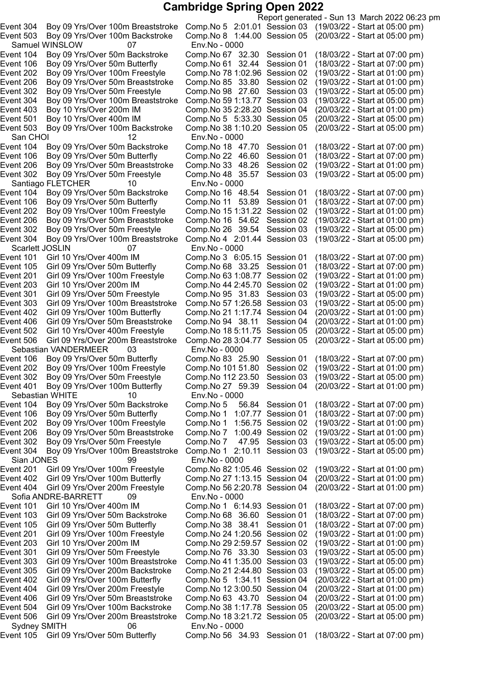Report generated - Sun 13 March 2022 06:23 pm Event 304 Boy 09 Yrs/Over 100m Breaststroke Comp.No 5 2:01.01 Session 03 (19/03/22 - Start at 05:00 pm) Event 503 Boy 09 Yrs/Over 100m Backstroke Comp.No 8 1:44.00 Session 05 (20/03/22 - Start at 05:00 pm) Samuel WINSLOW 07 Env.No - 0000 Event 104 Boy 09 Yrs/Over 50m Backstroke Comp.No 67 32.30 Session 01 (18/03/22 - Start at 07:00 pm) Event 106 Boy 09 Yrs/Over 50m Butterfly Comp.No 61 32.44 Session 01 (18/03/22 - Start at 07:00 pm) Event 202 Boy 09 Yrs/Over 100m Freestyle Comp.No 781:02.96 Session 02 (19/03/22 - Start at 01:00 pm) Event 206 Boy 09 Yrs/Over 50m Breaststroke Comp.No 85 33.80 Session 02 (19/03/22 - Start at 01:00 pm) Event 302 Boy 09 Yrs/Over 50m Freestyle Comp.No 98 27.60 Session 03 (19/03/22 - Start at 05:00 pm) Event 304 Boy 09 Yrs/Over 100m Breaststroke Comp.No 591:13.77 Session 03 (19/03/22 - Start at 05:00 pm) Event 403 Boy 10 Yrs/Over 200m IM Comp.No 352:28.20 Session 04 (20/03/22 - Start at 01:00 pm) Event 501 Boy 10 Yrs/Over 400m IM Comp.No 5 5:33.30 Session 05 (20/03/22 - Start at 05:00 pm) Event 503 Boy 09 Yrs/Over 100m Backstroke Comp.No 381:10.20 Session 05 (20/03/22 - Start at 05:00 pm) San CHOI 12 Env.No - 0000<br>ent 104 Boy 09 Yrs/Over 50m Backstroke Comp.No 18 47.70 Event 104 Boy 09 Yrs/Over 50m Backstroke Comp.No 18 47.70 Session 01 (18/03/22 - Start at 07:00 pm)<br>Event 106 Boy 09 Yrs/Over 50m Butterfly Comp.No 22 46.60 Session 01 (18/03/22 - Start at 07:00 pm) Event 106 Boy 09 Yrs/Over 50m Butterfly Comp.No 22 46.60 Session 01 (18/03/22 - Start at 07:00 pm)<br>Event 206 Boy 09 Yrs/Over 50m Breaststroke Comp.No 33 48.26 Session 02 (19/03/22 - Start at 01:00 pm) Event 206 Boy 09 Yrs/Over 50m Breaststroke Comp.No 33 48.26 Session 02 (19/03/22 - Start at 01:00 pm) Event 302 Boy 09 Yrs/Over 50m Freestyle Comp.No 48 35.57 Session 03 Santiago FLETCHER 10 Env.No - 0000 Event 104 Boy 09 Yrs/Over 50m Backstroke Comp.No 16 48.54 Session 01 (18/03/22 - Start at 07:00 pm) Event 106 Boy 09 Yrs/Over 50m Butterfly Comp.No 11 53.89 Session 01 (18/03/22 - Start at 07:00 pm)<br>Event 202 Boy 09 Yrs/Over 100m Freestyle Comp.No 15 1:31.22 Session 02 (19/03/22 - Start at 01:00 pm) Event 202 Boy 09 Yrs/Over 100m Freestyle Comp.No 15 1:31.22 Session 02 (19/03/22 - Start at 01:00 pm)<br>Event 206 Boy 09 Yrs/Over 50m Breaststroke Comp.No 16 54.62 Session 02 (19/03/22 - Start at 01:00 pm) Event 206 Boy 09 Yrs/Over 50m Breaststroke Comp.No 16 54.62 Session 02 Event 302 Boy 09 Yrs/Over 50m Freestyle Comp.No 26 39.54 Session 03 (19/03/22 - Start at 05:00 pm)<br>Event 304 Boy 09 Yrs/Over 100m Breaststroke Comp.No 4 2:01.44 Session 03 (19/03/22 - Start at 05:00 pm) Event 304 Boy 09 Yrs/Over 100m Breaststroke Comp.No 4 2:01.44 Session 03 Scarlett JOSLIN 07 Env.No - 0000 Girl 10 Yrs/Over 400m IM Comp.No 3 6:05.15 Session 01 (18/03/22 - Start at 07:00 pm)<br>Girl 09 Yrs/Over 50m Butterfly Comp.No 68 33.25 Session 01 (18/03/22 - Start at 07:00 pm) Event 105 Girl 09 Yrs/Over 50m Butterfly Comp.No 68 33.25 Session 01 (18/03/22 - Start at 07:00 pm)<br>Event 201 Girl 09 Yrs/Over 100m Freestyle Comp.No 63 1:08.77 Session 02 (19/03/22 - Start at 01:00 pm) Event 201 Girl 09 Yrs/Over 100m Freestyle Comp.No 63 1:08.77 Session 02 Event 203 Girl 10 Yrs/Over 200m IM Comp.No 442:45.70 Session 02 (19/03/22 - Start at 01:00 pm) Event 301 Girl 09 Yrs/Over 50m Freestyle Comp.No 95 31.83 Session 03 (19/03/22 - Start at 05:00 pm) Event 303 Girl 09 Yrs/Over 100m Breaststroke Comp.No 571:26.58 Session 03 (19/03/22 - Start at 05:00 pm) Event 402 Girl 09 Yrs/Over 100m Butterfly Comp.No 211:17.74 Session 04 (20/03/22 - Start at 01:00 pm) Event 406 Girl 09 Yrs/Over 50m Breaststroke Comp.No 94 38.11 Session 04 (20/03/22 - Start at 01:00 pm) Event 502 Girl 10 Yrs/Over 400m Freestyle Comp.No 18 5:11.75 Session 05 (20/03/22 - Start at 05:00 pm)<br>Event 506 Girl 09 Yrs/Over 200m Breaststroke Comp.No 28 3:04.77 Session 05 (20/03/22 - Start at 05:00 pm) Event 506 Girl 09 Yrs/Over 200m Breaststroke Comp.No 28 3:04.77 Session 05 Sebastian VANDERMEER 03 Env.No - 0000 Event 106 Boy 09 Yrs/Over 50m Butterfly Comp.No 83 25.90 Session 01 (18/03/22 - Start at 07:00 pm) Event 202 Boy 09 Yrs/Over 100m Freestyle Comp.No 101 51.80 Session 02 (19/03/22 - Start at 01:00 pm)<br>Event 302 Boy 09 Yrs/Over 50m Freestyle Comp.No 112 23.50 Session 03 (19/03/22 - Start at 05:00 pm) Event 302 Boy 09 Yrs/Over 50m Freestyle Comp.No 112 23.50 Session 03 (19/03/22 - Start at 05:00 pm)<br>Boy 09 Yrs/Over 100m Butterfly Comp.No 27 59.39 Session 04 (20/03/22 - Start at 01:00 pm) Event 401 Boy 09 Yrs/Over 100m Butterfly Comp.No 27 59.39 Session 04 (20/03/22 - Start at 01:00 pm) Sebastian WHITE 10 Event 104 Boy 09 Yrs/Over 50m Backstroke Comp.No 5 56.84 Session 01 (18/03/22 - Start at 07:00 pm) Event 106 Boy 09 Yrs/Over 50m Butterfly Comp.No 1 1:07.77 Session 01 (18/03/22 - Start at 07:00 pm) Event 202 Boy 09 Yrs/Over 100m Freestyle Comp.No 1 1:56.75 Session 02 (19/03/22 - Start at 01:00 pm) Event 206 Boy 09 Yrs/Over 50m Breaststroke Comp.No 7 1:00.49 Session 02 (19/03/22 - Start at 01:00 pm) Event 302 Boy 09 Yrs/Over 50m Freestyle Comp.No 7 47.95 Session 03 (19/03/22 - Start at 05:00 pm) Event 304 Boy 09 Yrs/Over 100m Breaststroke Comp.No 1 2:10.11 Session 03 (19/03/22 - Start at 05:00 pm) Sian JONES 99 Env.No - 0000 Event 201 Girl 09 Yrs/Over 100m Freestyle Comp.No 821:05.46 Session 02 (19/03/22 - Start at 01:00 pm) Event 402 Girl 09 Yrs/Over 100m Butterfly Comp.No 271:13.15 Session 04 (20/03/22 - Start at 01:00 pm) Event 404 Girl 09 Yrs/Over 200m Freestyle Comp.No 562:20.78 Session 04 (20/03/22 - Start at 01:00 pm) Sofia ANDRE-BARRETT 09 Env.No - 0000 Event 101 Girl 10 Yrs/Over 400m IM Comp.No 1 6:14.93 Session 01 (18/03/22 - Start at 07:00 pm) Event 103 Girl 09 Yrs/Over 50m Backstroke Comp.No 68 36.60 Session 01 (18/03/22 - Start at 07:00 pm) Event 105 Girl 09 Yrs/Over 50m Butterfly Comp.No 38 38.41 Session 01 (18/03/22 - Start at 07:00 pm) Event 201 Girl 09 Yrs/Over 100m Freestyle Comp.No 241:20.56 Session 02 (19/03/22 - Start at 01:00 pm) Event 203 Girl 10 Yrs/Over 200m IM Comp.No 292:59.57 Session 02 (19/03/22 - Start at 01:00 pm) Event 301 Girl 09 Yrs/Over 50m Freestyle Comp.No 76 33.30 Session 03 (19/03/22 - Start at 05:00 pm) Event 303 Girl 09 Yrs/Over 100m Breaststroke Comp.No 411:35.00 Session 03 (19/03/22 - Start at 05:00 pm) Event 305 Girl 09 Yrs/Over 200m Backstroke Comp.No 212:44.80 Session 03 (19/03/22 - Start at 05:00 pm) Event 402 Girl 09 Yrs/Over 100m Butterfly Comp.No 5 1:34.11 Session 04 (20/03/22 - Start at 01:00 pm) Event 404 Girl 09 Yrs/Over 200m Freestyle Comp.No 123:00.50 Session 04 (20/03/22 - Start at 01:00 pm) Event 406 Girl 09 Yrs/Over 50m Breaststroke Comp.No 63 43.70 Session 04 (20/03/22 - Start at 01:00 pm) Event 504 Girl 09 Yrs/Over 100m Backstroke Comp.No 381:17.78 Session 05 (20/03/22 - Start at 05:00 pm) Event 506 Girl 09 Yrs/Over 200m Breaststroke Comp.No 183:21.72 Session 05 (20/03/22 - Start at 05:00 pm) Sydney SMITH 06 Env.No - 0000 Event 105 Girl 09 Yrs/Over 50m Butterfly Comp.No 56 34.93 Session 01 (18/03/22 - Start at 07:00 pm)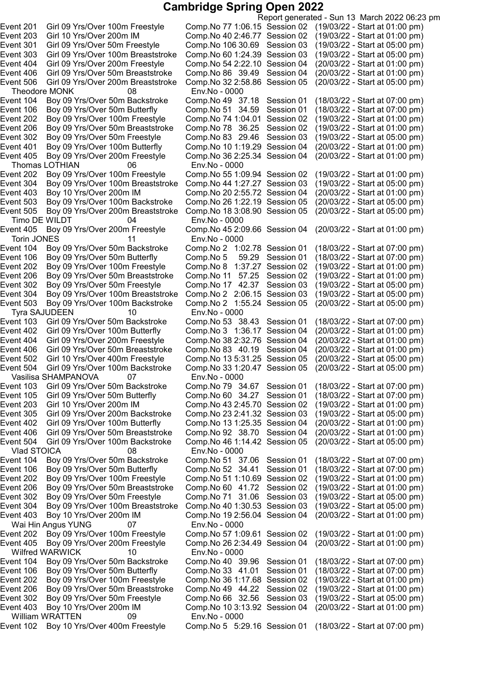Report generated - Sun 13 March 2022 06:23 pm Event 201 Girl 09 Yrs/Over 100m Freestyle Comp.No 771:06.15 Session 02 (19/03/22 - Start at 01:00 pm) Event 203 Girl 10 Yrs/Over 200m IM Comp.No 402:46.77 Session 02 (19/03/22 - Start at 01:00 pm) Event 301 Girl 09 Yrs/Over 50m Freestyle Comp.No 106 30.69 Session 03 (19/03/22 - Start at 05:00 pm) Event 303 Girl 09 Yrs/Over 100m Breaststroke Comp.No 601:24.39 Session 03 (19/03/22 - Start at 05:00 pm) Event 404 Girl 09 Yrs/Over 200m Freestyle Comp.No 542:22.10 Session 04 (20/03/22 - Start at 01:00 pm) Event 406 Girl 09 Yrs/Over 50m Breaststroke Comp.No 86 39.49 Session 04 (20/03/22 - Start at 01:00 pm) Event 506 Girl 09 Yrs/Over 200m Breaststroke Comp.No 322:58.86 Session 05 (20/03/22 - Start at 05:00 pm) Theodore MONK 08 Env.No - 0000 Event 104 Boy 09 Yrs/Over 50m Backstroke Comp.No 49 37.18 Session 01 (18/03/22 - Start at 07:00 pm) Event 106 Boy 09 Yrs/Over 50m Butterfly Comp.No 51 34.59 Session 01 (18/03/22 - Start at 07:00 pm) Event 202 Boy 09 Yrs/Over 100m Freestyle Comp.No 741:04.01 Session 02 (19/03/22 - Start at 01:00 pm) Event 206 Boy 09 Yrs/Over 50m Breaststroke Comp.No 78 36.25 Session 02 (19/03/22 - Start at 01:00 pm) Event 302 Boy 09 Yrs/Over 50m Freestyle Comp.No 83 29.46 Session 03 (19/03/22 - Start at 05:00 pm)<br>Event 401 Boy 09 Yrs/Over 100m Butterfly Comp.No 10 1:19.29 Session 04 (20/03/22 - Start at 01:00 pm) Event 401 Boy 09 Yrs/Over 100m Butterfly Comp.No 10 1:19.29 Session 04 (20/03/22 - Start at 01:00 pm)<br>Event 405 Boy 09 Yrs/Over 200m Freestyle Comp.No 36 2:25.34 Session 04 (20/03/22 - Start at 01:00 pm) Comp.No 36 2:25.34 Session 04 Thomas LOTHIAN 06 Env.No - 0000<br>ent 202 Boy 09 Yrs/Over 100m Freestyle Comp.No 55 1:09.94 Session 02 Event 202 Boy 09 Yrs/Over 100m Freestyle Comp.No 55 1:09.94 Session 02 (19/03/22 - Start at 01:00 pm)<br>Event 304 Boy 09 Yrs/Over 100m Breaststroke Comp.No 44 1:27.27 Session 03 (19/03/22 - Start at 05:00 pm) Event 304 Boy 09 Yrs/Over 100m Breaststroke Comp.No 441:27.27 Session 03 (19/03/22 - Start at 05:00 pm) Event 403 Boy 10 Yrs/Over 200m IM Comp.No 202:55.72 Session 04 (20/03/22 - Start at 01:00 pm) Event 503 Boy 09 Yrs/Over 100m Backstroke Comp.No 261:22.19 Session 05 (20/03/22 - Start at 05:00 pm) Event 505 Boy 09 Yrs/Over 200m Breaststroke Comp.No 18 3:08.90 Session 05 Timo DE WILDT 04 Env.No - 0000 Event 405 Boy 09 Yrs/Over 200m Freestyle Comp.No 452:09.66 Session 04 (20/03/22 - Start at 01:00 pm) Torin JONES 11 Env.No - 0000<br>ent 104 Boy 09 Yrs/Over 50m Backstroke Comp.No 2 1:02.78 Session 01 Event 104 Boy 09 Yrs/Over 50m Backstroke Comp.No 2 1:02.78 Session 01 (18/03/22 - Start at 07:00 pm)<br>Event 106 Boy 09 Yrs/Over 50m Butterfly Comp.No 5 59.29 Session 01 (18/03/22 - Start at 07:00 pm) Event 106 Boy 09 Yrs/Over 50m Butterfly Comp.No 5 59.29 Session 01 (18/03/22 - Start at 07:00 pm)<br>Event 202 Boy 09 Yrs/Over 100m Freestyle Comp.No 8 1:37.27 Session 02 (19/03/22 - Start at 01:00 pm) Event 202 Boy 09 Yrs/Over 100m Freestyle Comp.No 8 1:37.27 Session 02 (19/03/22 - Start at 01:00 pm)<br>Event 206 Boy 09 Yrs/Over 50m Breaststroke Comp.No 11 57.25 Session 02 (19/03/22 - Start at 01:00 pm) Event 206 Boy 09 Yrs/Over 50m Breaststroke Comp.No 11 57.25 Session 02 (19/03/22 - Start at 01:00 pm) Event 302 Boy 09 Yrs/Over 50m Freestyle Comp.No 17 42.37 Session 03 (19/03/22 - Start at 05:00 pm)<br>Event 304 Boy 09 Yrs/Over 100m Breaststroke Comp.No 2 2:06.15 Session 03 (19/03/22 - Start at 05:00 pm) Event 304 Boy 09 Yrs/Over 100m Breaststroke Comp.No 2 2:06.15 Session 03 (19/03/22 - Start at 05:00 pm) Event 503 Boy 09 Yrs/Over 100m Backstroke Tyra SAJUDEEN 10 Env.No - 0000 Event 103 Girl 09 Yrs/Over 50m Backstroke Comp.No 53 38.43 Session 01 (18/03/22 - Start at 07:00 pm) Event 402 Girl 09 Yrs/Over 100m Butterfly Comp.No 3 1:36.17 Session 04 (20/03/22 - Start at 01:00 pm) Event 404 Girl 09 Yrs/Over 200m Freestyle Comp.No 382:32.76 Session 04 (20/03/22 - Start at 01:00 pm) Event 406 Girl 09 Yrs/Over 50m Breaststroke Comp.No 83 40.19 Session 04 (20/03/22 - Start at 01:00 pm) Event 502 Girl 10 Yrs/Over 400m Freestyle Comp.No 13 5:31.25 Session 05 (20/03/22 - Start at 05:00 pm)<br>Event 504 Girl 09 Yrs/Over 100m Backstroke Comp.No 33 1:20.47 Session 05 (20/03/22 - Start at 05:00 pm) Event 504 Girl 09 Yrs/Over 100m Backstroke Comp.No 33 1:20.47 Session 05 Vasilisa SHAMPANOVA 07 Env.No - 0000 Event 103 Girl 09 Yrs/Over 50m Backstroke Comp.No 79 34.67 Session 01 (18/03/22 - Start at 07:00 pm) Event 105 Girl 09 Yrs/Over 50m Butterfly Comp.No 60 34.27 Session 01 (18/03/22 - Start at 07:00 pm) Event 203 Girl 10 Yrs/Over 200m IM Comp.No 432:45.70 Session 02 (19/03/22 - Start at 01:00 pm) Event 305 Girl 09 Yrs/Over 200m Backstroke Comp.No 232:41.32 Session 03 (19/03/22 - Start at 05:00 pm) Event 402 Girl 09 Yrs/Over 100m Butterfly Comp.No 131:25.35 Session 04 (20/03/22 - Start at 01:00 pm) Event 406 Girl 09 Yrs/Over 50m Breaststroke Comp.No 92 38.70 Session 04 (20/03/22 - Start at 01:00 pm) Event 504 Girl 09 Yrs/Over 100m Backstroke Comp.No 461:14.42 Session 05 (20/03/22 - Start at 05:00 pm) Vlad STOICA  $08$  Env.No - 0000 Event 104 Boy 09 Yrs/Over 50m Backstroke Comp.No 51 37.06 Session 01 (18/03/22 - Start at 07:00 pm) Event 106 Boy 09 Yrs/Over 50m Butterfly Comp.No 52 34.41 Session 01 (18/03/22 - Start at 07:00 pm) Event 202 Boy 09 Yrs/Over 100m Freestyle Comp.No 511:10.69 Session 02 (19/03/22 - Start at 01:00 pm) Event 206 Boy 09 Yrs/Over 50m Breaststroke Comp.No 60 41.72 Session 02 (19/03/22 - Start at 01:00 pm) Event 302 Boy 09 Yrs/Over 50m Freestyle Comp.No 71 31.06 Session 03 (19/03/22 - Start at 05:00 pm) Event 304 Boy 09 Yrs/Over 100m Breaststroke Comp.No 401:30.53 Session 03 (19/03/22 - Start at 05:00 pm) Event 403 Boy 10 Yrs/Over 200m IM Comp.No 192:56.04 Session 04 (20/03/22 - Start at 01:00 pm) Wai Hin Angus YUNG 07 Env.No - 0000 Event 202 Boy 09 Yrs/Over 100m Freestyle Comp.No 571:09.61 Session 02 (19/03/22 - Start at 01:00 pm) Event 405 Boy 09 Yrs/Over 200m Freestyle Comp.No 262:34.49 Session 04 (20/03/22 - Start at 01:00 pm) Wilfred WARWICK 10 Env.No - 0000 Event 104 Boy 09 Yrs/Over 50m Backstroke Comp.No 40 39.96 Session 01 (18/03/22 - Start at 07:00 pm) Event 106 Boy 09 Yrs/Over 50m Butterfly Comp.No 33 41.01 Session 01 (18/03/22 - Start at 07:00 pm) Event 202 Boy 09 Yrs/Over 100m Freestyle Comp.No 361:17.68 Session 02 (19/03/22 - Start at 01:00 pm) Event 206 Boy 09 Yrs/Over 50m Breaststroke Comp.No 49 44.22 Session 02 (19/03/22 - Start at 01:00 pm) Event 302 Boy 09 Yrs/Over 50m Freestyle Comp.No 66 32.56 Session 03 (19/03/22 - Start at 05:00 pm) Event 403 Boy 10 Yrs/Over 200m IM Comp.No 103:13.92 Session 04 (20/03/22 - Start at 01:00 pm) William WRATTEN 09 Env.No - 0000 Event 102 Boy 10 Yrs/Over 400m Freestyle Comp.No 5 5:29.16 Session 01 (18/03/22 - Start at 07:00 pm)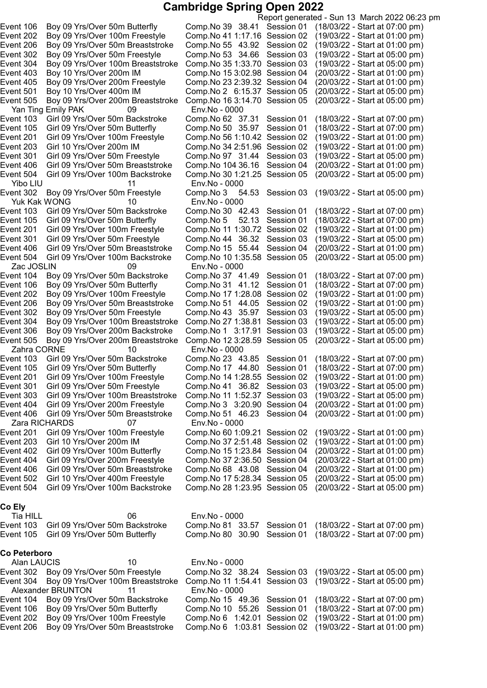|                     |                                 |                                    |                                |                  | Report generated - Sun 13 March 2022 06:23 pm |
|---------------------|---------------------------------|------------------------------------|--------------------------------|------------------|-----------------------------------------------|
| Event 106           | Boy 09 Yrs/Over 50m Butterfly   |                                    | Comp. No 39 38.41 Session 01   |                  | (18/03/22 - Start at 07:00 pm)                |
| Event 202           | Boy 09 Yrs/Over 100m Freestyle  |                                    | Comp. No 41 1:17.16 Session 02 |                  | (19/03/22 - Start at 01:00 pm)                |
| Event 206           |                                 | Boy 09 Yrs/Over 50m Breaststroke   | Comp. No 55 43.92 Session 02   |                  | (19/03/22 - Start at 01:00 pm)                |
| Event 302           | Boy 09 Yrs/Over 50m Freestyle   |                                    | Comp.No 53 34.66               | Session 03       | (19/03/22 - Start at 05:00 pm)                |
| Event 304           |                                 | Boy 09 Yrs/Over 100m Breaststroke  | Comp. No 35 1:33.70 Session 03 |                  | (19/03/22 - Start at 05:00 pm)                |
| Event 403           | Boy 10 Yrs/Over 200m IM         |                                    | Comp. No 15 3:02.98 Session 04 |                  | (20/03/22 - Start at 01:00 pm)                |
| Event 405           | Boy 09 Yrs/Over 200m Freestyle  |                                    | Comp. No 23 2:39.32 Session 04 |                  | (20/03/22 - Start at 01:00 pm)                |
| Event 501           | Boy 10 Yrs/Over 400m IM         |                                    | Comp.No 2 6:15.37 Session 05   |                  | (20/03/22 - Start at 05:00 pm)                |
| Event 505           |                                 | Boy 09 Yrs/Over 200m Breaststroke  | Comp. No 16 3:14.70 Session 05 |                  | (20/03/22 - Start at 05:00 pm)                |
|                     | Yan Ting Emily PAK              | 09                                 | Env.No - 0000                  |                  |                                               |
| Event 103           | Girl 09 Yrs/Over 50m Backstroke |                                    | Comp. No 62 37.31 Session 01   |                  | (18/03/22 - Start at 07:00 pm)                |
| Event 105           | Girl 09 Yrs/Over 50m Butterfly  |                                    | Comp.No 50 35.97               | Session 01       | (18/03/22 - Start at 07:00 pm)                |
| Event 201           | Girl 09 Yrs/Over 100m Freestyle |                                    | Comp. No 56 1:10.42 Session 02 |                  | (19/03/22 - Start at 01:00 pm)                |
| Event 203           | Girl 10 Yrs/Over 200m IM        |                                    | Comp. No 34 2:51.96 Session 02 |                  | (19/03/22 - Start at 01:00 pm)                |
| Event 301           | Girl 09 Yrs/Over 50m Freestyle  |                                    | Comp.No 97 31.44               | Session 03       | (19/03/22 - Start at 05:00 pm)                |
| Event 406           |                                 | Girl 09 Yrs/Over 50m Breaststroke  | Comp. No 104 36.16             | Session 04       | (20/03/22 - Start at 01:00 pm)                |
| Event 504           |                                 | Girl 09 Yrs/Over 100m Backstroke   | Comp. No 30 1:21.25 Session 05 |                  | (20/03/22 - Start at 05:00 pm)                |
| Yibo LIU            |                                 | 11                                 | Env.No - 0000                  |                  |                                               |
| Event 302           | Boy 09 Yrs/Over 50m Freestyle   |                                    | 54.53<br>Comp.No 3             | Session 03       | (19/03/22 - Start at 05:00 pm)                |
| Yuk Kak WONG        |                                 | 10                                 | Env.No - 0000                  |                  |                                               |
| Event 103           | Girl 09 Yrs/Over 50m Backstroke |                                    | Comp. No 30 42.43 Session 01   |                  | (18/03/22 - Start at 07:00 pm)                |
| Event 105           | Girl 09 Yrs/Over 50m Butterfly  |                                    | Comp.No 5                      | 52.13 Session 01 | (18/03/22 - Start at 07:00 pm)                |
| Event 201           | Girl 09 Yrs/Over 100m Freestyle |                                    | Comp. No 11 1:30.72 Session 02 |                  | (19/03/22 - Start at 01:00 pm)                |
| Event 301           | Girl 09 Yrs/Over 50m Freestyle  |                                    | Comp. No 44 36.32 Session 03   |                  | (19/03/22 - Start at 05:00 pm)                |
| Event 406           |                                 | Girl 09 Yrs/Over 50m Breaststroke  | Comp.No 15 55.44               | Session 04       | (20/03/22 - Start at 01:00 pm)                |
| Event 504           |                                 | Girl 09 Yrs/Over 100m Backstroke   | Comp.No 10 1:35.58 Session 05  |                  | (20/03/22 - Start at 05:00 pm)                |
| Zac JOSLIN          |                                 | 09                                 | Env.No - 0000                  |                  |                                               |
| Event 104           |                                 | Boy 09 Yrs/Over 50m Backstroke     | Comp. No 37 41.49 Session 01   |                  | (18/03/22 - Start at 07:00 pm)                |
| Event 106           | Boy 09 Yrs/Over 50m Butterfly   |                                    | Comp. No 31 41.12 Session 01   |                  | (18/03/22 - Start at 07:00 pm)                |
| Event 202           | Boy 09 Yrs/Over 100m Freestyle  |                                    | Comp. No 17 1:28.08 Session 02 |                  | (19/03/22 - Start at 01:00 pm)                |
| Event 206           |                                 | Boy 09 Yrs/Over 50m Breaststroke   | Comp.No 51 44.05               | Session 02       | (19/03/22 - Start at 01:00 pm)                |
| Event 302           | Boy 09 Yrs/Over 50m Freestyle   |                                    | Comp.No 43 35.97               | Session 03       | (19/03/22 - Start at 05:00 pm)                |
| Event 304           |                                 | Boy 09 Yrs/Over 100m Breaststroke  | Comp.No 27 1:38.81             | Session 03       | (19/03/22 - Start at 05:00 pm)                |
| Event 306           |                                 | Boy 09 Yrs/Over 200m Backstroke    | Comp. No 1 3:17.91 Session 03  |                  | (19/03/22 - Start at 05:00 pm)                |
| Event 505           |                                 | Boy 09 Yrs/Over 200m Breaststroke  | Comp. No 12 3:28.59 Session 05 |                  | (20/03/22 - Start at 05:00 pm)                |
| Zahra CORNE         |                                 | 10                                 | Env.No - 0000                  |                  |                                               |
| Event 103           | Girl 09 Yrs/Over 50m Backstroke |                                    | Comp. No 23 43.85 Session 01   |                  | (18/03/22 - Start at 07:00 pm)                |
| Event 105           | Girl 09 Yrs/Over 50m Butterfly  |                                    | Comp.No 17 44.80 Session 01    |                  | (18/03/22 - Start at 07:00 pm)                |
| Event 201           | Girl 09 Yrs/Over 100m Freestyle |                                    | Comp. No 14 1:28.55 Session 02 |                  | (19/03/22 - Start at 01:00 pm)                |
| Event 301           | Girl 09 Yrs/Over 50m Freestyle  |                                    | Comp. No 41 36.82 Session 03   |                  | (19/03/22 - Start at 05:00 pm)                |
| Event 303           |                                 | Girl 09 Yrs/Over 100m Breaststroke | Comp. No 11 1:52.37 Session 03 |                  | (19/03/22 - Start at 05:00 pm)                |
| Event 404           | Girl 09 Yrs/Over 200m Freestyle |                                    | Comp. No 3 3:20.90 Session 04  |                  | (20/03/22 - Start at 01:00 pm)                |
| Event 406           |                                 | Girl 09 Yrs/Over 50m Breaststroke  | Comp. No 51 46.23 Session 04   |                  | (20/03/22 - Start at 01:00 pm)                |
| Zara RICHARDS       |                                 | 07                                 | Env.No - 0000                  |                  |                                               |
| Event 201           | Girl 09 Yrs/Over 100m Freestyle |                                    | Comp. No 60 1:09.21 Session 02 |                  | (19/03/22 - Start at 01:00 pm)                |
| Event 203           | Girl 10 Yrs/Over 200m IM        |                                    | Comp. No 37 2:51.48 Session 02 |                  | (19/03/22 - Start at 01:00 pm)                |
| Event 402           | Girl 09 Yrs/Over 100m Butterfly |                                    | Comp. No 15 1:23.84 Session 04 |                  | (20/03/22 - Start at 01:00 pm)                |
| Event 404           | Girl 09 Yrs/Over 200m Freestyle |                                    | Comp. No 37 2:36.50 Session 04 |                  | (20/03/22 - Start at 01:00 pm)                |
| Event 406           |                                 | Girl 09 Yrs/Over 50m Breaststroke  | Comp. No 68 43.08 Session 04   |                  | (20/03/22 - Start at 01:00 pm)                |
| Event 502           | Girl 10 Yrs/Over 400m Freestyle |                                    | Comp. No 17 5:28.34 Session 05 |                  | (20/03/22 - Start at 05:00 pm)                |
| Event 504           |                                 | Girl 09 Yrs/Over 100m Backstroke   | Comp. No 28 1:23.95 Session 05 |                  | (20/03/22 - Start at 05:00 pm)                |
|                     |                                 |                                    |                                |                  |                                               |
| Co Ely              |                                 |                                    |                                |                  |                                               |
| Tia HILL            |                                 | 06                                 | Env.No - 0000                  |                  |                                               |
| Event 103           | Girl 09 Yrs/Over 50m Backstroke |                                    | Comp. No 81 33.57              | Session 01       | (18/03/22 - Start at 07:00 pm)                |
| Event 105           | Girl 09 Yrs/Over 50m Butterfly  |                                    | Comp. No 80 30.90              | Session 01       | (18/03/22 - Start at 07:00 pm)                |
|                     |                                 |                                    |                                |                  |                                               |
| <b>Co Peterboro</b> |                                 |                                    |                                |                  |                                               |
| Alan LAUCIS         |                                 | 10                                 | Env.No - 0000                  |                  |                                               |
| Event 302           | Boy 09 Yrs/Over 50m Freestyle   |                                    | Comp. No 32 38.24              | Session 03       | (19/03/22 - Start at 05:00 pm)                |
| Event 304           |                                 | Boy 09 Yrs/Over 100m Breaststroke  | Comp. No 11 1:54.41            | Session 03       | (19/03/22 - Start at 05:00 pm)                |
|                     | Alexander BRUNTON               | 11                                 | Env.No - 0000                  |                  |                                               |
| Event 104           |                                 | Boy 09 Yrs/Over 50m Backstroke     | Comp. No 15 49.36              | Session 01       | (18/03/22 - Start at 07:00 pm)                |
| Event 106           | Boy 09 Yrs/Over 50m Butterfly   |                                    | Comp. No 10 55.26              | Session 01       | (18/03/22 - Start at 07:00 pm)                |
| Event 202           | Boy 09 Yrs/Over 100m Freestyle  |                                    | Comp.No 6 1:42.01              | Session 02       | (19/03/22 - Start at 01:00 pm)                |
|                     |                                 |                                    |                                |                  |                                               |
| Event 206           |                                 | Boy 09 Yrs/Over 50m Breaststroke   | Comp. No 6 1:03.81 Session 02  |                  | (19/03/22 - Start at 01:00 pm)                |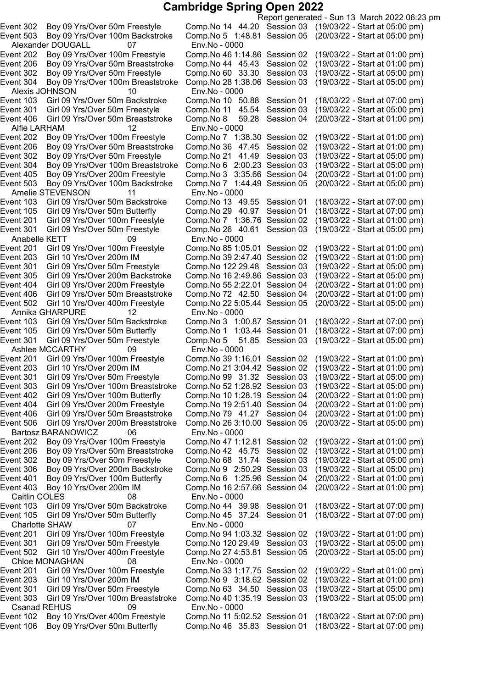Alexander DOUGALL 07 Env.No - 0000 Alexis JOHNSON 10 Env.No - 0000 Alfie LARHAM 12 Env.No - 0000 Event 503 Boy 09 Yrs/Over 100m Backstroke Comp.No 7 1:44.49 Session 05 Amelie STEVENSON 11 Env.No - 0000 Event 201 Girl 09 Yrs/Over 100m Freestyle Comp.No 7 1:36.76 Session 02 Anabelle KETT 09 Env.No - 0000 Event 404 Girl 09 Yrs/Over 200m Freestyle Comp.No 55 2:22.01 Session 04 Event 502 Girl 10 Yrs/Over 400m Freestyle Comp.No 22 5:05.44 Session 05 Annika GHARPURE 12 Env.No - 0000 Ashlee MCCARTHY 09 Bartosz BARANOWICZ 06 Env.No - 0000 Caitlin COLES 08 Env.No - 0000 Charlotte SHAW 07 Env.No - 0000 Chloe MONAGHAN 08 Env.No - 0000 Csanad REHUS 09 Env.No - 0000

Report generated - Sun 13 March 2022 06:23 pm Event 302 Boy 09 Yrs/Over 50m Freestyle Comp.No 14 44.20 Session 03 (19/03/22 - Start at 05:00 pm) Event 503 Boy 09 Yrs/Over 100m Backstroke Comp.No 5 1:48.81 Session 05 (20/03/22 - Start at 05:00 pm) Event 202 Boy 09 Yrs/Over 100m Freestyle Comp.No 46 1:14.86 Session 02 (19/03/22 - Start at 01:00 pm)<br>Event 206 Boy 09 Yrs/Over 50m Breaststroke Comp.No 44 45.43 Session 02 (19/03/22 - Start at 01:00 pm) Event 206 Boy 09 Yrs/Over 50m Breaststroke Comp.No 44 45.43 Session 02 (19/03/22 - Start at 01:00 pm) Event 302 Boy 09 Yrs/Over 50m Freestyle Comp.No 60 33.30 Session 03 (19/03/22 - Start at 05:00 pm) Event 304 Boy 09 Yrs/Over 100m Breaststroke Comp.No 281:38.06 Session 03 (19/03/22 - Start at 05:00 pm) Event 103 Girl 09 Yrs/Over 50m Backstroke Comp.No 10 50.88 Session 01 (18/03/22 - Start at 07:00 pm) Event 301 Girl 09 Yrs/Over 50m Freestyle Comp.No 11 45.54 Session 03 (19/03/22 - Start at 05:00 pm) Event 406 Girl 09 Yrs/Over 50m Breaststroke Comp.No 8 59.28 Session 04 (20/03/22 - Start at 01:00 pm) Event 202 Boy 09 Yrs/Over 100m Freestyle Comp.No 7 1:38.30 Session 02 (19/03/22 - Start at 01:00 pm)<br>Event 206 Boy 09 Yrs/Over 50m Breaststroke Comp.No 36 47.45 Session 02 (19/03/22 - Start at 01:00 pm) Event 206 Boy 09 Yrs/Over 50m Breaststroke Comp.No 36 47.45 Session 02 (19/03/22 - Start at 01:00 pm) Event 302 Boy 09 Yrs/Over 50m Freestyle Comp.No 21 41.49 Session 03 (19/03/22 - Start at 05:00 pm)<br>Event 304 Boy 09 Yrs/Over 100m Breaststroke Comp.No 6 2:00.23 Session 03 (19/03/22 - Start at 05:00 pm) Event 304 Boy 09 Yrs/Over 100m Breaststroke Comp.No 6 2:00.23 Session 03 (19/03/22 - Start at 05:00 pm) Event 405 Boy 09 Yrs/Over 200m Freestyle Comp.No 3 3:35.66 Session 04 (20/03/22 - Start at 01:00 pm)<br>Event 503 Boy 09 Yrs/Over 100m Backstroke Comp.No 7 1:44.49 Session 05 (20/03/22 - Start at 05:00 pm) Event 103 Girl 09 Yrs/Over 50m Backstroke Comp.No 13 49.55 Session 01 (18/03/22 - Start at 07:00 pm) Event 105 Girl 09 Yrs/Over 50m Butterfly Comp.No 29 40.97 Session 01 (18/03/22 - Start at 07:00 pm)<br>Event 201 Girl 09 Yrs/Over 100m Freestyle Comp.No 7 1:36.76 Session 02 (19/03/22 - Start at 01:00 pm) Event 301 Girl 09 Yrs/Over 50m Freestyle Comp.No 26 40.61 Session 03 (19/03/22 - Start at 05:00 pm) Event 201 Girl 09 Yrs/Over 100m Freestyle Comp.No 85 1:05.01 Session 02 (19/03/22 - Start at 01:00 pm)<br>Event 203 Girl 10 Yrs/Over 200m IM Comp.No 39 2:47.40 Session 02 (19/03/22 - Start at 01:00 pm) Event 203 Girl 10 Yrs/Over 200m IM Comp.No 39 2:47.40 Session 02 (19/03/22 - Start at 01:00 pm)<br>Event 301 Girl 09 Yrs/Over 50m Freestyle Comp.No 122 29.48 Session 03 (19/03/22 - Start at 05:00 pm) Event 301 Girl 09 Yrs/Over 50m Freestyle Comp.No 122 29.48 Session 03 (19/03/22 - Start at 05:00 pm)<br>Event 305 Girl 09 Yrs/Over 200m Backstroke Comp.No 16 2:49.86 Session 03 (19/03/22 - Start at 05:00 pm) Event 305 Girl 09 Yrs/Over 200m Backstroke Comp.No 16 2:49.86 Session 03 (19/03/22 - Start at 05:00 pm)<br>Event 404 Girl 09 Yrs/Over 200m Freestyle Comp.No 55 2:22.01 Session 04 (20/03/22 - Start at 01:00 pm) Event 406 Girl 09 Yrs/Over 50m Breaststroke Comp.No 72 42.50 Session 04 (20/03/22 - Start at 01:00 pm) Event 103 Girl 09 Yrs/Over 50m Backstroke Comp.No 3 1:00.87 Session 01 (18/03/22 - Start at 07:00 pm) Event 105 Girl 09 Yrs/Over 50m Butterfly Comp.No 1 1:03.44 Session 01 (18/03/22 - Start at 07:00 pm) Event 301 Girl 09 Yrs/Over 50m Freestyle Comp.No 5 51.85 Session 03 (19/03/22 - Start at 05:00 pm) Event 201 Girl 09 Yrs/Over 100m Freestyle Comp.No 39 1:16.01 Session 02 (19/03/22 - Start at 01:00 pm)<br>Event 203 Girl 10 Yrs/Over 200m IM Comp.No 21 3:04.42 Session 02 (19/03/22 - Start at 01:00 pm) Event 203 Girl 10 Yrs/Over 200m IM Comp.No 21 3:04.42 Session 02 (19/03/22 - Start at 01:00 pm)<br>Event 301 Girl 09 Yrs/Over 50m Freestyle Comp.No 99 31.32 Session 03 (19/03/22 - Start at 05:00 pm) Girl 09 Yrs/Over 50m Freestyle Comp.No 99 31.32 Session 03 (19/03/22 - Start at 05:00 pm) Event 303 Girl 09 Yrs/Over 100m Breaststroke Comp.No 521:28.92 Session 03 (19/03/22 - Start at 05:00 pm) Event 402 Girl 09 Yrs/Over 100m Butterfly Comp.No 101:28.19 Session 04 (20/03/22 - Start at 01:00 pm) Event 404 Girl 09 Yrs/Over 200m Freestyle Comp.No 192:51.40 Session 04 (20/03/22 - Start at 01:00 pm) Girl 09 Yrs/Over 50m Breaststroke Comp.No 79 41.27 Session 04 (20/03/22 - Start at 01:00 pm) Event 506 Girl 09 Yrs/Over 200m Breaststroke Comp.No 263:10.00 Session 05 (20/03/22 - Start at 05:00 pm) Event 202 Boy 09 Yrs/Over 100m Freestyle Comp.No 471:12.81 Session 02 (19/03/22 - Start at 01:00 pm) Event 206 Boy 09 Yrs/Over 50m Breaststroke Comp.No 42 45.75 Session 02 (19/03/22 - Start at 01:00 pm) Event 302 Boy 09 Yrs/Over 50m Freestyle Comp.No 68 31.74 Session 03 (19/03/22 - Start at 05:00 pm) Event 306 Boy 09 Yrs/Over 200m Backstroke Comp.No 9 2:50.29 Session 03 (19/03/22 - Start at 05:00 pm) Event 401 Boy 09 Yrs/Over 100m Butterfly Comp.No 6 1:25.96 Session 04 (20/03/22 - Start at 01:00 pm) Event 403 Boy 10 Yrs/Over 200m IM Comp.No 162:57.66 Session 04 (20/03/22 - Start at 01:00 pm) Event 103 Girl 09 Yrs/Over 50m Backstroke Comp.No 44 39.98 Session 01 (18/03/22 - Start at 07:00 pm) Event 105 Girl 09 Yrs/Over 50m Butterfly Comp.No 45 37.24 Session 01 (18/03/22 - Start at 07:00 pm) Event 201 Girl 09 Yrs/Over 100m Freestyle Comp.No 941:03.32 Session 02 (19/03/22 - Start at 01:00 pm) Event 301 Girl 09 Yrs/Over 50m Freestyle Comp.No 120 29.49 Session 03 (19/03/22 - Start at 05:00 pm) Event 502 Girl 10 Yrs/Over 400m Freestyle Comp.No 274:53.81 Session 05 (20/03/22 - Start at 05:00 pm) Event 201 Girl 09 Yrs/Over 100m Freestyle Comp.No 331:17.75 Session 02 (19/03/22 - Start at 01:00 pm) Event 203 Girl 10 Yrs/Over 200m IM Comp.No 9 3:18.62 Session 02 (19/03/22 - Start at 01:00 pm) Event 301 Girl 09 Yrs/Over 50m Freestyle Comp.No 63 34.50 Session 03 (19/03/22 - Start at 05:00 pm) Event 303 Girl 09 Yrs/Over 100m Breaststroke Comp.No 401:35.19 Session 03 (19/03/22 - Start at 05:00 pm) Event 102 Boy 10 Yrs/Over 400m Freestyle Comp.No 11 5:02.52 Session 01 (18/03/22 - Start at 07:00 pm) Event 106 Boy 09 Yrs/Over 50m Butterfly Comp.No 46 35.83 Session 01 (18/03/22 - Start at 07:00 pm)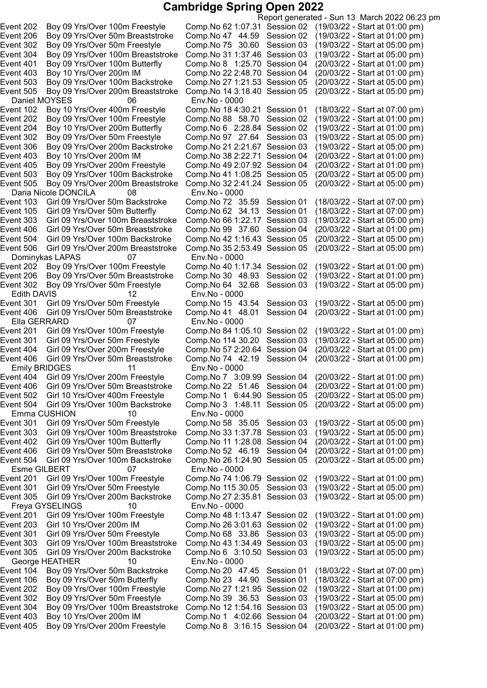Report generated - Sun 13 March 2022 06:23 pm Event 202 Boy 09 Yrs/Over 100m Freestyle Comp.No 621:07.31 Session 02 (19/03/22 - Start at 01:00 pm) Event 206 Boy 09 Yrs/Over 50m Breaststroke Comp.No 47 44.59 Session 02 (19/03/22 - Start at 01:00 pm) Event 302 Boy 09 Yrs/Over 50m Freestyle Comp.No 75 30.60 Session 03 (19/03/22 - Start at 05:00 pm) Event 304 Boy 09 Yrs/Over 100m Breaststroke Comp.No 311:37.46 Session 03 (19/03/22 - Start at 05:00 pm) Event 401 Boy 09 Yrs/Over 100m Butterfly Comp.No 8 1:25.70 Session 04 (20/03/22 - Start at 01:00 pm) Event 403 Boy 10 Yrs/Over 200m IM Comp.No 222:48.70 Session 04 (20/03/22 - Start at 01:00 pm) Event 503 Boy 09 Yrs/Over 100m Backstroke Comp.No 271:21.53 Session 05 (20/03/22 - Start at 05:00 pm) Event 505 Boy 09 Yrs/Over 200m Breaststroke Comp.No 143:18.40 Session 05 (20/03/22 - Start at 05:00 pm) Daniel MOYSES 06 Env.No - 0000 Event 102 Boy 10 Yrs/Over 400m Freestyle Comp.No 184:30.21 Session 01 (18/03/22 - Start at 07:00 pm) Event 202 Boy 09 Yrs/Over 100m Freestyle Comp.No 88 58.70 Session 02 (19/03/22 - Start at 01:00 pm) Event 204 Boy 10 Yrs/Over 200m Butterfly Comp.No 6 2:28.84 Session 02 (19/03/22 - Start at 01:00 pm)<br>Event 302 Boy 09 Yrs/Over 50m Freestyle Comp.No 97 27.64 Session 03 (19/03/22 - Start at 05:00 pm) Event 302 Boy 09 Yrs/Over 50m Freestyle Comp.No 97 27.64 Session 03 (19/03/22 - Start at 05:00 pm)<br>Event 306 Boy 09 Yrs/Over 200m Backstroke Comp.No 21 2:21.67 Session 03 (19/03/22 - Start at 05:00 pm) Event 306 Boy 09 Yrs/Over 200m Backstroke Comp.No 212:21.67 Session 03 (19/03/22 - Start at 05:00 pm) Event 403 Boy 10 Yrs/Over 200m IM Comp.No 38 2:22.71 Session 04 (20/03/22 - Start at 01:00 pm)<br>Event 405 Boy 09 Yrs/Over 200m Freestyle Comp.No 49 2:07.92 Session 04 (20/03/22 - Start at 01:00 pm) Event 405 Boy 09 Yrs/Over 200m Freestyle Comp.No 49 2:07.92 Session 04 (20/03/22 - Start at 01:00 pm)<br>Event 503 Boy 09 Yrs/Over 100m Backstroke Comp.No 41 1:08.25 Session 05 (20/03/22 - Start at 05:00 pm) Boy 09 Yrs/Over 100m Backstroke Comp.No 41 1:08.25 Session 05 (20/03/22 - Start at 05:00 pm)<br>Boy 09 Yrs/Over 200m Breaststroke Comp.No 32 2:41.24 Session 05 (20/03/22 - Start at 05:00 pm) Event 505 Boy 09 Yrs/Over 200m Breaststroke Daria Nicole DONCILA 08 Env.No - 0000 Girl 09 Yrs/Over 50m Backstroke Comp.No 72 35.59 Session 01 (18/03/22 - Start at 07:00 pm)<br>Girl 09 Yrs/Over 50m Butterfly Comp.No 62 34.13 Session 01 (18/03/22 - Start at 07:00 pm) Event 105 Girl 09 Yrs/Over 50m Butterfly Comp.No 62 34.13 Session 01 (18/03/22 - Start at 07:00 pm)<br>Event 303 Girl 09 Yrs/Over 100m Breaststroke Comp.No 66 1:22.17 Session 03 (19/03/22 - Start at 05:00 pm) Event 303 Girl 09 Yrs/Over 100m Breaststroke Comp.No 66 1:22.17 Session 03 Event 406 Girl 09 Yrs/Over 50m Breaststroke Comp.No 99 37.60 Session 04 (20/03/22 - Start at 01:00 pm) Event 504 Girl 09 Yrs/Over 100m Backstroke Comp.No 42 1:16.43 Session 05 (20/03/22 - Start at 05:00 pm)<br>Event 506 Girl 09 Yrs/Over 200m Breaststroke Comp.No 35 2:53.49 Session 05 (20/03/22 - Start at 05:00 pm) Event 506 Girl 09 Yrs/Over 200m Breaststroke Dominykas LAPAS 07 Env.No - 0000 Event 202 Boy 09 Yrs/Over 100m Freestyle Comp.No 40 1:17.34 Session 02 (19/03/22 - Start at 01:00 pm)<br>Event 206 Boy 09 Yrs/Over 50m Breaststroke Comp.No 30 48.93 Session 02 (19/03/22 - Start at 01:00 pm) Event 206 Boy 09 Yrs/Over 50m Breaststroke Comp.No 30 48.93 Session 02 (19/03/22 - Start at 01:00 pm)<br>Event 302 Boy 09 Yrs/Over 50m Freestyle Comp.No 64 32.68 Session 03 (19/03/22 - Start at 05:00 pm) Event 302 Boy 09 Yrs/Over 50m Freestyle Edith DAVIS 12 Env.No - 0000<br>ent 301 Girl 09 Yrs/Over 50m Freestyle Comp.No 15 43.54 Event 301 Girl 09 Yrs/Over 50m Freestyle Comp.No 15 43.54 Session 03 (19/03/22 - Start at 05:00 pm)<br>Event 406 Girl 09 Yrs/Over 50m Breaststroke Comp.No 41 48.01 Session 04 (20/03/22 - Start at 01:00 pm) Event 406 Girl 09 Yrs/Over 50m Breaststroke Comp.No 41 48.01 Session 04 Ella GERRARD 07 Env.No - 0000 Event 201 Girl 09 Yrs/Over 100m Freestyle Comp.No 84 1:05.10 Session 02 (19/03/22 - Start at 01:00 pm)<br>Event 301 Girl 09 Yrs/Over 50m Freestyle Comp.No 114 30.20 Session 03 (19/03/22 - Start at 05:00 pm) Event 301 Girl 09 Yrs/Over 50m Freestyle Comp.No 114 30.20 Session 03 Event 404 Girl 09 Yrs/Over 200m Freestyle Comp.No 572:20.64 Session 04 (20/03/22 - Start at 01:00 pm) Event 406 Girl 09 Yrs/Over 50m Breaststroke Comp.No 74 42.19 Session 04 Emily BRIDGES 11 Env.No - 0000 Event 404 Girl 09 Yrs/Over 200m Freestyle Comp.No 7 3:09.99 Session 04 (20/03/22 - Start at 01:00 pm) Event 406 Girl 09 Yrs/Over 50m Breaststroke Comp.No 22 51.46 Session 04 (20/03/22 - Start at 01:00 pm) Girl 10 Yrs/Over 400m Freestyle Comp.No 1 6:44.90 Session 05 (20/03/22 - Start at 05:00 pm) Event 504 Girl 09 Yrs/Over 100m Backstroke Comp.No 3 1:48.11 Session 05 (20/03/22 - Start at 05:00 pm) Emma CUSHION 10 Env.No - 0000<br>Event 301 Girl 09 Yrs/Over 50m Freestyle Comp.No 58 39 Girl 09 Yrs/Over 50m Freestyle Comp.No 58 35.05 Session 03 (19/03/22 - Start at 05:00 pm) Event 303 Girl 09 Yrs/Over 100m Breaststroke Comp.No 331:37.78 Session 03 (19/03/22 - Start at 05:00 pm) Event 402 Girl 09 Yrs/Over 100m Butterfly Comp.No 11 1:28.08 Session 04 (20/03/22 - Start at 01:00 pm) Event 406 Girl 09 Yrs/Over 50m Breaststroke Comp.No 52 46.19 Session 04 (20/03/22 - Start at 01:00 pm) Event 504 Girl 09 Yrs/Over 100m Backstroke Comp.No 261:24.90 Session 05 (20/03/22 - Start at 05:00 pm) Esme GILBERT 07 Env.No - 0000<br>ent 201 Girl 09 Yrs/Over 100m Freestyle Comp.No 74 1:0 Event 201 Girl 09 Yrs/Over 100m Freestyle Comp.No 741:06.79 Session 02 (19/03/22 - Start at 01:00 pm) Event 301 Girl 09 Yrs/Over 50m Freestyle Comp.No 115 30.05 Session 03 (19/03/22 - Start at 05:00 pm) Event 305 Girl 09 Yrs/Over 200m Backstroke Comp.No 272:35.81 Session 03 (19/03/22 - Start at 05:00 pm) Freya GYSELINGS 10 Env.No - 0000 Event 201 Girl 09 Yrs/Over 100m Freestyle Comp.No 481:13.47 Session 02 (19/03/22 - Start at 01:00 pm) Event 203 Girl 10 Yrs/Over 200m IM Comp.No 263:01.63 Session 02 (19/03/22 - Start at 01:00 pm) Event 301 Girl 09 Yrs/Over 50m Freestyle Comp.No 68 33.86 Session 03 (19/03/22 - Start at 05:00 pm) Event 303 Girl 09 Yrs/Over 100m Breaststroke Comp.No 431:34.49 Session 03 (19/03/22 - Start at 05:00 pm) Event 305 Girl 09 Yrs/Over 200m Backstroke Comp.No 6 3:10.50 Session 03 (19/03/22 - Start at 05:00 pm) George HEATHER 10 Env.No - 0000 Event 104 Boy 09 Yrs/Over 50m Backstroke Comp.No 20 47.45 Session 01 (18/03/22 - Start at 07:00 pm) Event 106 Boy 09 Yrs/Over 50m Butterfly Comp.No 23 44.90 Session 01 (18/03/22 - Start at 07:00 pm) Event 202 Boy 09 Yrs/Over 100m Freestyle Comp.No 271:21.95 Session 02 (19/03/22 - Start at 01:00 pm) Event 302 Boy 09 Yrs/Over 50m Freestyle Comp.No 39 36.53 Session 03 (19/03/22 - Start at 05:00 pm) Event 304 Boy 09 Yrs/Over 100m Breaststroke Comp.No 121:54.16 Session 03 (19/03/22 - Start at 05:00 pm) Event 403 Boy 10 Yrs/Over 200m IM Comp.No 1 4:02.66 Session 04 (20/03/22 - Start at 01:00 pm) Event 405 Boy 09 Yrs/Over 200m Freestyle Comp.No 8 3:16.15 Session 04 (20/03/22 - Start at 01:00 pm)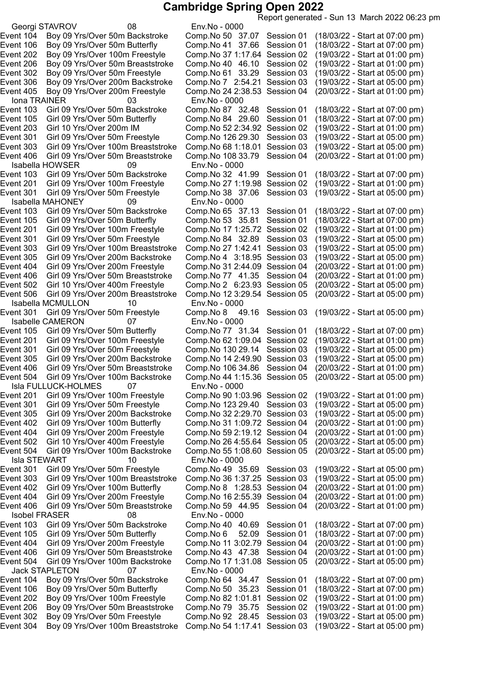Report generated - Sun 13 March 2022 06:23 pm Georgi STAVROV 08 Env.No - 0000 Event 104 Boy 09 Yrs/Over 50m Backstroke Comp.No 50 37.07 Session 01 (18/03/22 - Start at 07:00 pm) Event 106 Boy 09 Yrs/Over 50m Butterfly Comp.No 41 37.66 Session 01 (18/03/22 - Start at 07:00 pm) Event 202 Boy 09 Yrs/Over 100m Freestyle Comp.No 371:17.64 Session 02 (19/03/22 - Start at 01:00 pm) Event 206 Boy 09 Yrs/Over 50m Breaststroke Comp.No 40 46.10 Session 02 (19/03/22 - Start at 01:00 pm) Event 302 Boy 09 Yrs/Over 50m Freestyle Comp.No 61 33.29 Session 03 (19/03/22 - Start at 05:00 pm) Event 306 Boy 09 Yrs/Over 200m Backstroke Comp.No 7 2:54.21 Session 03 (19/03/22 - Start at 05:00 pm) Event 405 Boy 09 Yrs/Over 200m Freestyle Comp.No 242:38.53 Session 04 (20/03/22 - Start at 01:00 pm) Iona TRAINER 03 Env.No - 0000 Event 103 Girl 09 Yrs/Over 50m Backstroke Comp.No 87 32.48 Session 01 (18/03/22 - Start at 07:00 pm) Event 105 Girl 09 Yrs/Over 50m Butterfly Comp.No 84 29.60 Session 01 (18/03/22 - Start at 07:00 pm) Event 203 Girl 10 Yrs/Over 200m IM Comp.No 522:34.92 Session 02 (19/03/22 - Start at 01:00 pm) Event 301 Girl 09 Yrs/Over 50m Freestyle Comp.No 126 29.30 Session 03 (19/03/22 - Start at 05:00 pm)<br>Event 303 Girl 09 Yrs/Over 100m Breaststroke Comp.No 68 1:18.01 Session 03 (19/03/22 - Start at 05:00 pm) Event 303 Girl 09 Yrs/Over 100m Breaststroke Comp.No 68 1:18.01 Session 03 (19/03/22 - Start at 05:00 pm)<br>Event 406 Girl 09 Yrs/Over 50m Breaststroke Comp.No 108 33.79 Session 04 (20/03/22 - Start at 01:00 pm) Event 406 Girl 09 Yrs/Over 50m Breaststroke Comp.No 108 33.79 Session 04<br>Isabella HOWSER 09 - Start at 0000 Isabella HOWSER 09<br>ent 103 Girl 09 Yrs/Over 50m Backstroke Event 103 Girl 09 Yrs/Over 50m Backstroke Comp.No 32 41.99 Session 01 (18/03/22 - Start at 07:00 pm)<br>Event 201 Girl 09 Yrs/Over 100m Freestyle Comp.No 27 1:19.98 Session 02 (19/03/22 - Start at 01:00 pm) Event 201 Girl 09 Yrs/Over 100m Freestyle Comp.No 271:19.98 Session 02 (19/03/22 - Start at 01:00 pm) Event 301 Girl 09 Yrs/Over 50m Freestyle Comp.No 38 37.06 Session 03 Isabella MAHONEY 09 Env.No - 0000 Event 103 Girl 09 Yrs/Over 50m Backstroke Comp.No 65 37.13 Session 01 (18/03/22 - Start at 07:00 pm) Event 105 Girl 09 Yrs/Over 50m Butterfly Comp.No 53 35.81 Session 01 (18/03/22 - Start at 07:00 pm) Event 201 Girl 09 Yrs/Over 100m Freestyle Comp.No 171:25.72 Session 02 (19/03/22 - Start at 01:00 pm) Event 301 Girl 09 Yrs/Over 50m Freestyle Comp.No 84 32.89 Session 03 (19/03/22 - Start at 05:00 pm)<br>Event 303 Girl 09 Yrs/Over 100m Breaststroke Comp.No 27 1:42.41 Session 03 (19/03/22 - Start at 05:00 pm) Event 303 Girl 09 Yrs/Over 100m Breaststroke Comp.No 27 1:42.41 Session 03 (19/03/22 - Start at 05:00 pm)<br>Event 305 Girl 09 Yrs/Over 200m Backstroke Comp.No 4 3:18.95 Session 03 (19/03/22 - Start at 05:00 pm) Event 305 Girl 09 Yrs/Over 200m Backstroke Comp.No 4 3:18.95 Session 03 (19/03/22 - Start at 05:00 pm) Event 404 Girl 09 Yrs/Over 200m Freestyle Comp.No 31 2:44.09 Session 04 (20/03/22 - Start at 01:00 pm)<br>Event 406 Girl 09 Yrs/Over 50m Breaststroke Comp.No 77 41.35 Session 04 (20/03/22 - Start at 01:00 pm) Event 406 Girl 09 Yrs/Over 50m Breaststroke Comp.No 77 41.35 Session 04 (20/03/22 - Start at 01:00 pm) Event 502 Girl 10 Yrs/Over 400m Freestyle Comp.No 2 6:23.93 Session 05 (20/03/22 - Start at 05:00 pm)<br>Event 506 Girl 09 Yrs/Over 200m Breaststroke Comp.No 12 3:29.54 Session 05 (20/03/22 - Start at 05:00 pm) Event 506 Girl 09 Yrs/Over 200m Breaststroke Isabella MCMULLON 10 Env.No - 0000 Event 301 Girl 09 Yrs/Over 50m Freestyle Comp.No 8 49.16 Session 03 (19/03/22 - Start at 05:00 pm) Isabelle CAMERON 07 Env.No - 0000 Event 105 Girl 09 Yrs/Over 50m Butterfly Comp.No 77  31.34 Session 01 (18/03/22 - Start at 07:00 pm)<br>Event 201 Girl 09 Yrs/Over 100m Freestyle Comp.No 62 1:09.04 Session 02 (19/03/22 - Start at 01:00 pm) Girl 09 Yrs/Over 100m Freestyle Comp.No 62 1:09.04 Session 02 Event 301 Girl 09 Yrs/Over 50m Freestyle Comp.No 130 29.14 Session 03 (19/03/22 - Start at 05:00 pm) Event 305 Girl 09 Yrs/Over 200m Backstroke Comp.No 142:49.90 Session 03 (19/03/22 - Start at 05:00 pm) Event 406 Girl 09 Yrs/Over 50m Breaststroke Comp.No 106 34.86 Session 04 (20/03/22 - Start at 01:00 pm)<br>Event 504 Girl 09 Yrs/Over 100m Backstroke Comp.No 44 1:15.36 Session 05 (20/03/22 - Start at 05:00 pm) Event 504 Girl 09 Yrs/Over 100m Backstroke Comp.No 44 1:15.36 Session 05 Isla FULLUCK-HOLMES 07 Env.No - 0000 Event 201 Girl 09 Yrs/Over 100m Freestyle Comp.No 901:03.96 Session 02 (19/03/22 - Start at 01:00 pm) Event 301 Girl 09 Yrs/Over 50m Freestyle Comp.No 123 29.40 Session 03 (19/03/22 - Start at 05:00 pm) Event 305 Girl 09 Yrs/Over 200m Backstroke Comp.No 322:29.70 Session 03 (19/03/22 - Start at 05:00 pm) Event 402 Girl 09 Yrs/Over 100m Butterfly Comp.No 311:09.72 Session 04 (20/03/22 - Start at 01:00 pm) Event 404 Girl 09 Yrs/Over 200m Freestyle Comp.No 592:19.12 Session 04 (20/03/22 - Start at 01:00 pm) Event 502 Girl 10 Yrs/Over 400m Freestyle Comp.No 264:55.64 Session 05 (20/03/22 - Start at 05:00 pm) Event 504 Girl 09 Yrs/Over 100m Backstroke Comp.No 551:08.60 Session 05 (20/03/22 - Start at 05:00 pm) Isla STEWART 10 Env.No - 0000 Event 301 Girl 09 Yrs/Over 50m Freestyle Comp.No 49 35.69 Session 03 (19/03/22 - Start at 05:00 pm) Event 303 Girl 09 Yrs/Over 100m Breaststroke Comp.No 361:37.25 Session 03 (19/03/22 - Start at 05:00 pm) Event 402 Girl 09 Yrs/Over 100m Butterfly Comp.No 8 1:28.53 Session 04 (20/03/22 - Start at 01:00 pm) Event 404 Girl 09 Yrs/Over 200m Freestyle Comp.No 162:55.39 Session 04 (20/03/22 - Start at 01:00 pm) Event 406 Girl 09 Yrs/Over 50m Breaststroke Comp.No 59 44.95 Session 04 (20/03/22 - Start at 01:00 pm) Isobel FRASER 08 Env.No - 0000 Event 103 Girl 09 Yrs/Over 50m Backstroke Comp.No 40 40.69 Session 01 (18/03/22 - Start at 07:00 pm) Event 105 Girl 09 Yrs/Over 50m Butterfly Comp.No 6 52.09 Session 01 (18/03/22 - Start at 07:00 pm) Event 404 Girl 09 Yrs/Over 200m Freestyle Comp.No 11 3:02.79 Session 04 (20/03/22 - Start at 01:00 pm) Event 406 Girl 09 Yrs/Over 50m Breaststroke Comp.No 43 47.38 Session 04 (20/03/22 - Start at 01:00 pm) Event 504 Girl 09 Yrs/Over 100m Backstroke Comp.No 171:31.08 Session 05 (20/03/22 - Start at 05:00 pm) Jack STAPLETON 07 Env.No - 0000 Event 104 Boy 09 Yrs/Over 50m Backstroke Comp.No 64 34.47 Session 01 (18/03/22 - Start at 07:00 pm) Event 106 Boy 09 Yrs/Over 50m Butterfly Comp.No 50 35.23 Session 01 (18/03/22 - Start at 07:00 pm) Event 202 Boy 09 Yrs/Over 100m Freestyle Comp.No 821:01.81 Session 02 (19/03/22 - Start at 01:00 pm) Event 206 Boy 09 Yrs/Over 50m Breaststroke Comp.No 79 35.75 Session 02 (19/03/22 - Start at 01:00 pm) Event 302 Boy 09 Yrs/Over 50m Freestyle Comp.No 92 28.45 Session 03 (19/03/22 - Start at 05:00 pm) Event 304 Boy 09 Yrs/Over 100m Breaststroke Comp.No 541:17.41 Session 03 (19/03/22 - Start at 05:00 pm)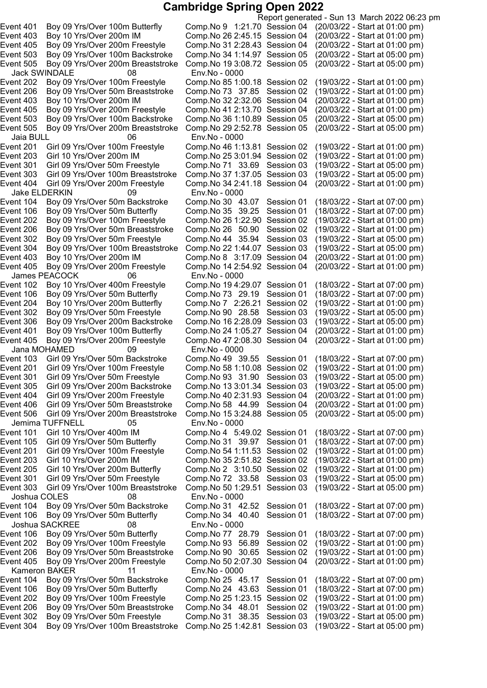Report generated - Sun 13 March 2022 06:23 pm Event 401 Boy 09 Yrs/Over 100m Butterfly Comp.No 9 1:21.70 Session 04 (20/03/22 - Start at 01:00 pm) Event 403 Boy 10 Yrs/Over 200m IM Comp.No 262:45.15 Session 04 (20/03/22 - Start at 01:00 pm) Event 405 Boy 09 Yrs/Over 200m Freestyle Comp.No 312:28.43 Session 04 (20/03/22 - Start at 01:00 pm) Event 503 Boy 09 Yrs/Over 100m Backstroke Comp.No 341:14.97 Session 05 (20/03/22 - Start at 05:00 pm) Event 505 Boy 09 Yrs/Over 200m Breaststroke Comp.No 193:08.72 Session 05 (20/03/22 - Start at 05:00 pm) Jack SWINDALE 08 Env.No - 0000 Event 202 Boy 09 Yrs/Over 100m Freestyle Comp.No 85 1:00.18 Session 02 (19/03/22 - Start at 01:00 pm)<br>Event 206 Boy 09 Yrs/Over 50m Breaststroke Comp.No 73 37.85 Session 02 (19/03/22 - Start at 01:00 pm) Event 206 Boy 09 Yrs/Over 50m Breaststroke Comp.No 73 37.85 Session 02 Event 403 Boy 10 Yrs/Over 200m IM Comp.No 322:32.06 Session 04 (20/03/22 - Start at 01:00 pm) Event 405 Boy 09 Yrs/Over 200m Freestyle Comp.No 412:13.70 Session 04 (20/03/22 - Start at 01:00 pm) Event 503 Boy 09 Yrs/Over 100m Backstroke Comp.No 361:10.89 Session 05 (20/03/22 - Start at 05:00 pm) Event 505 Boy 09 Yrs/Over 200m Breaststroke Comp.No 292:52.78 Session 05 (20/03/22 - Start at 05:00 pm) Jaia BULL 106 Env.No - 0000<br>1:1 ent 201 Girl 09 Yrs/Over 100m Freestyle 100mp.No 46 Event 201 Girl 09 Yrs/Over 100m Freestyle Comp.No 46 1:13.81 Session 02 (19/03/22 - Start at 01:00 pm)<br>Event 203 Girl 10 Yrs/Over 200m IM Comp.No 25 3:01.94 Session 02 (19/03/22 - Start at 01:00 pm) Event 203 Girl 10 Yrs/Over 200m IM Comp.No 253:01.94 Session 02 (19/03/22 - Start at 01:00 pm) Event 301 Girl 09 Yrs/Over 50m Freestyle Comp.No 71 33.69 Session 03 (19/03/22 - Start at 05:00 pm)<br>Event 303 Girl 09 Yrs/Over 100m Breaststroke Comp.No 37 1:37.05 Session 03 (19/03/22 - Start at 05:00 pm) Event 303 Girl 09 Yrs/Over 100m Breaststroke Comp.No 37 1:37.05 Session 03 (19/03/22 - Start at 05:00 pm)<br>Event 404 Girl 09 Yrs/Over 200m Freestyle Comp.No 34 2:41.18 Session 04 (20/03/22 - Start at 01:00 pm) Event 404 Girl 09 Yrs/Over 200m Freestyle Jake ELDERKIN 09 Env.No - 0000 Event 104 Boy 09 Yrs/Over 50m Backstroke Comp.No 30 43.07 Session 01 (18/03/22 - Start at 07:00 pm) Event 106 Boy 09 Yrs/Over 50m Butterfly Comp.No 35 39.25 Session 01 (18/03/22 - Start at 07:00 pm)<br>Event 202 Boy 09 Yrs/Over 100m Freestyle Comp.No 26 1:22.90 Session 02 (19/03/22 - Start at 01:00 pm) Event 202 Boy 09 Yrs/Over 100m Freestyle Comp.No 26 1:22.90 Session 02 Event 206 Boy 09 Yrs/Over 50m Breaststroke Comp.No 26 50.90 Session 02 (19/03/22 - Start at 01:00 pm) Event 302 Boy 09 Yrs/Over 50m Freestyle Comp.No 44 35.94 Session 03 (19/03/22 - Start at 05:00 pm)<br>Event 304 Boy 09 Yrs/Over 100m Breaststroke Comp.No 22 1:44.07 Session 03 (19/03/22 - Start at 05:00 pm) Event 304 Boy 09 Yrs/Over 100m Breaststroke Comp.No 221:44.07 Session 03 (19/03/22 - Start at 05:00 pm) Event 403 Boy 10 Yrs/Over 200m IM Comp.No 8 3:17.09 Session 04 (20/03/22 - Start at 01:00 pm)<br>Event 405 Boy 09 Yrs/Over 200m Freestyle Comp.No 14 2:54.92 Session 04 (20/03/22 - Start at 01:00 pm) Event 405 Boy 09 Yrs/Over 200m Freestyle Comp.No 142:54.92 Session 04 (20/03/22 - Start at 01:00 pm) James PEACOCK 06 Env.No - 0000<br>ent 102 Boy 10 Yrs/Over 400m Freestyle Comp.No 19 4:2 Event 102 Boy 10 Yrs/Over 400m Freestyle Comp.No 19 4:29.07 Session 01 (18/03/22 - Start at 07:00 pm)<br>Event 106 Boy 09 Yrs/Over 50m Butterfly Comp.No 73 29.19 Session 01 (18/03/22 - Start at 07:00 pm) Event 106 Boy 09 Yrs/Over 50m Butterfly Comp.No 73 29.19 Session 01 (18/03/22 - Start at 07:00 pm)<br>Event 204 Boy 10 Yrs/Over 200m Butterfly Comp.No 7 2:26.21 Session 02 (19/03/22 - Start at 01:00 pm) Event 204 Boy 10 Yrs/Over 200m Butterfly Comp.No 7 2:26.21 Session 02 Event 302 Boy 09 Yrs/Over 50m Freestyle Comp.No 90 28.58 Session 03 (19/03/22 - Start at 05:00 pm)<br>Event 306 Boy 09 Yrs/Over 200m Backstroke Comp.No 16 2:28.09 Session 03 (19/03/22 - Start at 05:00 pm) Event 306 Boy 09 Yrs/Over 200m Backstroke Comp.No 16 2:28.09 Session 03<br>Event 401 Boy 09 Yrs/Over 100m Butterfly Comp.No 24 1:05.27 Session 04 Boy 09 Yrs/Over 100m Butterfly Comp.No 24 1:05.27 Session 04 (20/03/22 - Start at 01:00 pm)<br>Boy 09 Yrs/Over 200m Freestyle Comp.No 47 2:08.30 Session 04 (20/03/22 - Start at 01:00 pm) Event 405 Boy 09 Yrs/Over 200m Freestyle Comp.No 47 2:08.30 Session 04 Jana MOHAMED 09 Env.No - 0000 Event 103 Girl 09 Yrs/Over 50m Backstroke Comp.No 49 39.55 Session 01 (18/03/22 - Start at 07:00 pm)<br>Event 201 Girl 09 Yrs/Over 100m Freestyle Comp.No 58 1:10.08 Session 02 (19/03/22 - Start at 01:00 pm) Event 201 Girl 09 Yrs/Over 100m Freestyle Comp.No 58 1:10.08 Session 02 (19/03/22 - Start at 01:00 pm)<br>Event 301 Girl 09 Yrs/Over 50m Freestyle Comp.No 93 31.90 Session 03 (19/03/22 - Start at 05:00 pm) Event 301 Girl 09 Yrs/Over 50m Freestyle Comp.No 93 31.90 Session 03 (19/03/22 - Start at 05:00 pm) Event 305 Girl 09 Yrs/Over 200m Backstroke Comp.No 133:01.34 Session 03 (19/03/22 - Start at 05:00 pm) Event 404 Girl 09 Yrs/Over 200m Freestyle Comp.No 402:31.93 Session 04 (20/03/22 - Start at 01:00 pm) Girl 09 Yrs/Over 50m Breaststroke Comp.No 58 44.99 Session 04 (20/03/22 - Start at 01:00 pm) Event 506 Girl 09 Yrs/Over 200m Breaststroke Comp.No 153:24.88 Session 05 (20/03/22 - Start at 05:00 pm) Jemima TUFFNELL 05 Env.No - 0000 Event 101 Girl 10 Yrs/Over 400m IM Comp.No 4 5:49.02 Session 01 (18/03/22 - Start at 07:00 pm) Event 105 Girl 09 Yrs/Over 50m Butterfly Comp.No 31 39.97 Session 01 (18/03/22 - Start at 07:00 pm) Event 201 Girl 09 Yrs/Over 100m Freestyle Comp.No 541:11.53 Session 02 (19/03/22 - Start at 01:00 pm) Event 203 Girl 10 Yrs/Over 200m IM Comp.No 352:51.82 Session 02 (19/03/22 - Start at 01:00 pm) Event 205 Girl 10 Yrs/Over 200m Butterfly Comp.No 2 3:10.50 Session 02 (19/03/22 - Start at 01:00 pm) Event 301 Girl 09 Yrs/Over 50m Freestyle Comp.No 72 33.58 Session 03 (19/03/22 - Start at 05:00 pm) Event 303 Girl 09 Yrs/Over 100m Breaststroke Comp.No 501:29.51 Session 03 (19/03/22 - Start at 05:00 pm) Joshua COLES 08 Env.No - 0000 Event 104 Boy 09 Yrs/Over 50m Backstroke Comp.No 31 42.52 Session 01 (18/03/22 - Start at 07:00 pm) Event 106 Boy 09 Yrs/Over 50m Butterfly Comp.No 34 40.40 Session 01 (18/03/22 - Start at 07:00 pm) Joshua SACKREE 08 Env.No - 0000 Event 106 Boy 09 Yrs/Over 50m Butterfly Comp.No 77 28.79 Session 01 (18/03/22 - Start at 07:00 pm) Event 202 Boy 09 Yrs/Over 100m Freestyle Comp.No 93 56.89 Session 02 (19/03/22 - Start at 01:00 pm) Event 206 Boy 09 Yrs/Over 50m Breaststroke Comp.No 90 30.65 Session 02 (19/03/22 - Start at 01:00 pm) Event 405 Boy 09 Yrs/Over 200m Freestyle Comp.No 502:07.30 Session 04 (20/03/22 - Start at 01:00 pm) Kameron BAKER 11 Env.No - 0000 Event 104 Boy 09 Yrs/Over 50m Backstroke Comp.No 25 45.17 Session 01 (18/03/22 - Start at 07:00 pm) Event 106 Boy 09 Yrs/Over 50m Butterfly Comp.No 24 43.63 Session 01 (18/03/22 - Start at 07:00 pm) Event 202 Boy 09 Yrs/Over 100m Freestyle Comp.No 251:23.15 Session 02 (19/03/22 - Start at 01:00 pm) Event 206 Boy 09 Yrs/Over 50m Breaststroke Comp.No 34 48.01 Session 02 (19/03/22 - Start at 01:00 pm) Event 302 Boy 09 Yrs/Over 50m Freestyle Comp.No 31 38.35 Session 03 (19/03/22 - Start at 05:00 pm) Event 304 Boy 09 Yrs/Over 100m Breaststroke Comp.No 251:42.81 Session 03 (19/03/22 - Start at 05:00 pm)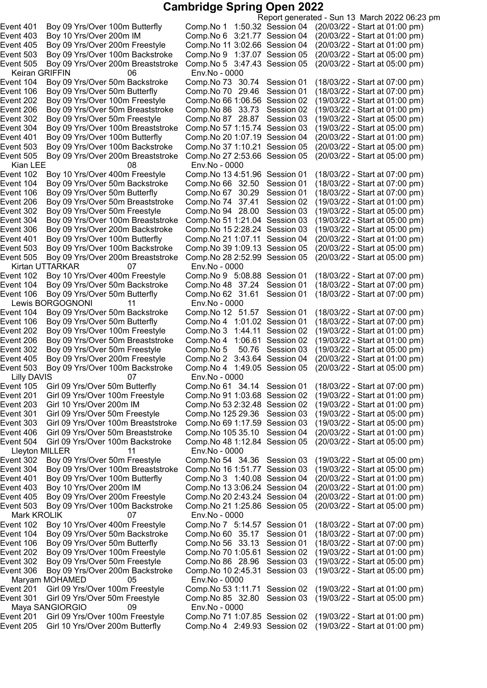Keiran GRIFFIN 06 Env.No - 0000 Event 505 Boy 09 Yrs/Over 200m Breaststroke Kian LEE 69 MB 1008 Mian LEE 66 MB 102 Boy 10 Yrs/Over 400m Freestyle 66 Comp. No 13 4:51.96 Session 01 Event 104 Boy 09 Yrs/Over 50m Backstroke Comp.No 66 32.50 Session 01<br>Event 106 Boy 09 Yrs/Over 50m Butterfly Comp.No 67 30.29 Session 01 Event 206 Boy 09 Yrs/Over 50m Breaststroke Comp.No 74 37.41 Session 02<br>Event 302 Boy 09 Yrs/Over 50m Freestyle Comp.No 94 28.00 Session 03 Event 304 Boy 09 Yrs/Over 100m Breaststroke Comp.No 51 1:21.04 Session 03 Event 505 Boy 09 Yrs/Over 200m Breaststroke Kirtan UTTARKAR 07 Env.No - 0000 Event 106 Boy 09 Yrs/Over 50m Butterfly Comp.No 62 31.61 Session 01 Lewis BORGOGNONI 11 Env.No - 0000 Event 503 Boy 09 Yrs/Over 100m Backstroke Comp.No 4 1:49.05 Session 05 (20/03/22 - Start at 05:00 pm) 07 Env.No - 0000 Lleyton MILLER 11 Env.No - 0000 Mark KROLIK 07 Env.No - 0000 Maryam MOHAMED 05 Env.No - 0000 Maya SANGIORGIO 09 Env.No - 0000 Event 205 Girl 10 Yrs/Over 200m Butterfly Comp.No 4 2:49.93 Session 02 (19/03/22 - Start at 01:00 pm)

Report generated - Sun 13 March 2022 06:23 pm Event 401 Boy 09 Yrs/Over 100m Butterfly Comp.No 1 1:50.32 Session 04 (20/03/22 - Start at 01:00 pm) Event 403 Boy 10 Yrs/Over 200m IM Comp.No 6 3:21.77 Session 04 (20/03/22 - Start at 01:00 pm) Event 405 Boy 09 Yrs/Over 200m Freestyle Comp.No 11 3:02.66 Session 04 (20/03/22 - Start at 01:00 pm) Event 503 Boy 09 Yrs/Over 100m Backstroke Comp.No 9 1:37.07 Session 05 (20/03/22 - Start at 05:00 pm) Event 505 Boy 09 Yrs/Over 200m Breaststroke Comp.No 5 3:47.43 Session 05 (20/03/22 - Start at 05:00 pm) Event 104 Boy 09 Yrs/Over 50m Backstroke Comp.No 73 30.74 Session 01 (18/03/22 - Start at 07:00 pm) Event 106 Boy 09 Yrs/Over 50m Butterfly Comp.No 70 29.46 Session 01 (18/03/22 - Start at 07:00 pm) Event 202 Boy 09 Yrs/Over 100m Freestyle Comp.No 66 1:06.56 Session 02 (19/03/22 - Start at 01:00 pm)<br>Event 206 Boy 09 Yrs/Over 50m Breaststroke Comp.No 86 33.73 Session 02 (19/03/22 - Start at Event 206 Boy 09 Yrs/Over 50m Breaststroke Comp.No 86 33.73 Session 02 (19/03/22 - Start at 01:00 pm)<br>Event 302 Boy 09 Yrs/Over 50m Freestyle Comp.No 87 28.87 Session 03 (19/03/22 - Start at 05:00 pm) Event 302 Boy 09 Yrs/Over 50m Freestyle Comp.No 87 28.87 Session 03 (19/03/22 - Start at 05:00 pm) Event 304 Boy 09 Yrs/Over 100m Breaststroke Comp.No 571:15.74 Session 03 (19/03/22 - Start at 05:00 pm) Event 401 Boy 09 Yrs/Over 100m Butterfly Comp.No 20 1:07.19 Session 04 (20/03/22 - Start at 01:00 pm)<br>Event 503 Boy 09 Yrs/Over 100m Backstroke Comp.No 37 1:10.21 Session 05 (20/03/22 - Start at 05:00 pm) Comp.No 37 1:10.21 Session 05 (20/03/22 - Start at 05:00 pm)<br>Comp.No 27 2:53.66 Session 05 (20/03/22 - Start at 05:00 pm) Event 102 Boy 10 Yrs/Over 400m Freestyle Comp.No 13 4:51.96 Session 01 (18/03/22 - Start at 07:00 pm)<br>Event 104 Boy 09 Yrs/Over 50m Backstroke Comp.No 66 32.50 Session 01 (18/03/22 - Start at 07:00 pm) Event 106 Boy 09 Yrs/Over 50m Butterfly Comp.No 67 30.29 Session 01 (18/03/22 - Start at 07:00 pm)<br>Event 206 Boy 09 Yrs/Over 50m Breaststroke Comp.No 74 37.41 Session 02 (19/03/22 - Start at 01:00 pm) Event 302 Boy 09 Yrs/Over 50m Freestyle Comp.No 94 28.00 Session 03 (19/03/22 - Start at 05:00 pm)<br>Event 304 Boy 09 Yrs/Over 100m Breaststroke Comp.No 51 1:21.04 Session 03 (19/03/22 - Start at 05:00 pm) Event 306 Boy 09 Yrs/Over 200m Backstroke Comp.No 152:28.24 Session 03 (19/03/22 - Start at 05:00 pm) Event 401 Boy 09 Yrs/Over 100m Butterfly Comp.No 21 1:07.11 Session 04 (20/03/22 - Start at 01:00 pm)<br>Event 503 Boy 09 Yrs/Over 100m Backstroke Comp.No 39 1:09.13 Session 05 (20/03/22 - Start at 05:00 pm) Event 503 Boy 09 Yrs/Over 100m Backstroke Comp.No 39 1:09.13 Session 05 (20/03/22 - Start at 05:00 pm)<br>Event 505 Boy 09 Yrs/Over 200m Breaststroke Comp.No 28 2:52.99 Session 05 (20/03/22 - Start at 05:00 pm) Boy 10 Yrs/Over 400m Freestyle Comp.No 9 5:08.88 Session 01 (18/03/22 - Start at 07:00 pm)<br>Boy 09 Yrs/Over 50m Backstroke Comp.No 48 37.24 Session 01 (18/03/22 - Start at 07:00 pm) Event 104 Boy 09 Yrs/Over 50m Backstroke Comp.No 48 37.24 Session 01 (18/03/22 - Start at 07:00 pm)<br>Event 106 Boy 09 Yrs/Over 50m Butterfly Comp.No 62 31.61 Session 01 (18/03/22 - Start at 07:00 pm) Event 104 Boy 09 Yrs/Over 50m Backstroke Comp.No 12 51.57 Session 01 (18/03/22 - Start at 07:00 pm)<br>Event 106 Boy 09 Yrs/Over 50m Butterfly Comp.No 4 1:01.02 Session 01 (18/03/22 - Start at 07:00 pm) Comp.No 4 1:01.02 Session 01 (18/03/22 - Start at 07:00 pm) Event 202 Boy 09 Yrs/Over 100m Freestyle Comp.No 3 1:44.11 Session 02 (19/03/22 - Start at 01:00 pm) Event 206 Boy 09 Yrs/Over 50m Breaststroke Comp.No 4 1:06.61 Session 02 (19/03/22 - Start at 01:00 pm) Event 302 Boy 09 Yrs/Over 50m Freestyle Comp.No 5 50.76 Session 03 (19/03/22 - Start at 05:00 pm) Boy 09 Yrs/Over 200m Freestyle Comp.No 2 3:43.64 Session 04 (20/03/22 - Start at 01:00 pm)<br>Boy 09 Yrs/Over 100m Backstroke Comp.No 4 1:49.05 Session 05 (20/03/22 - Start at 05:00 pm) Event 105 Girl 09 Yrs/Over 50m Butterfly Comp.No 61 34.14 Session 01 (18/03/22 - Start at 07:00 pm) Event 201 Girl 09 Yrs/Over 100m Freestyle Comp.No 911:03.68 Session 02 (19/03/22 - Start at 01:00 pm) Event 203 Girl 10 Yrs/Over 200m IM Comp.No 532:32.48 Session 02 (19/03/22 - Start at 01:00 pm) Event 301 Girl 09 Yrs/Over 50m Freestyle Comp.No 125 29.36 Session 03 (19/03/22 - Start at 05:00 pm) Event 303 Girl 09 Yrs/Over 100m Breaststroke Comp.No 691:17.59 Session 03 (19/03/22 - Start at 05:00 pm) Event 406 Girl 09 Yrs/Over 50m Breaststroke Comp.No 105 35.10 Session 04 (20/03/22 - Start at 01:00 pm) Event 504 Girl 09 Yrs/Over 100m Backstroke Comp.No 481:12.84 Session 05 (20/03/22 - Start at 05:00 pm) Event 302 Boy 09 Yrs/Over 50m Freestyle Comp.No 54 34.36 Session 03 (19/03/22 - Start at 05:00 pm) Event 304 Boy 09 Yrs/Over 100m Breaststroke Comp.No 161:51.77 Session 03 (19/03/22 - Start at 05:00 pm) Event 401 Boy 09 Yrs/Over 100m Butterfly Comp.No 3 1:40.08 Session 04 (20/03/22 - Start at 01:00 pm) Event 403 Boy 10 Yrs/Over 200m IM Comp.No 133:06.24 Session 04 (20/03/22 - Start at 01:00 pm) Event 405 Boy 09 Yrs/Over 200m Freestyle Comp.No 202:43.24 Session 04 (20/03/22 - Start at 01:00 pm) Event 503 Boy 09 Yrs/Over 100m Backstroke Comp.No 211:25.86 Session 05 (20/03/22 - Start at 05:00 pm) Event 102 Boy 10 Yrs/Over 400m Freestyle Comp.No 7 5:14.57 Session 01 (18/03/22 - Start at 07:00 pm) Event 104 Boy 09 Yrs/Over 50m Backstroke Comp.No 60 35.17 Session 01 (18/03/22 - Start at 07:00 pm) Event 106 Boy 09 Yrs/Over 50m Butterfly Comp.No 56 33.13 Session 01 (18/03/22 - Start at 07:00 pm) Event 202 Boy 09 Yrs/Over 100m Freestyle Comp.No 701:05.61 Session 02 (19/03/22 - Start at 01:00 pm) Event 302 Boy 09 Yrs/Over 50m Freestyle Comp.No 86 28.96 Session 03 (19/03/22 - Start at 05:00 pm) Event 306 Boy 09 Yrs/Over 200m Backstroke Comp.No 102:45.31 Session 03 (19/03/22 - Start at 05:00 pm) Event 201 Girl 09 Yrs/Over 100m Freestyle Comp.No 531:11.71 Session 02 (19/03/22 - Start at 01:00 pm) Event 301 Girl 09 Yrs/Over 50m Freestyle Comp.No 85 32.80 Session 03 (19/03/22 - Start at 05:00 pm) Event 201 Girl 09 Yrs/Over 100m Freestyle Comp.No 711:07.85 Session 02 (19/03/22 - Start at 01:00 pm)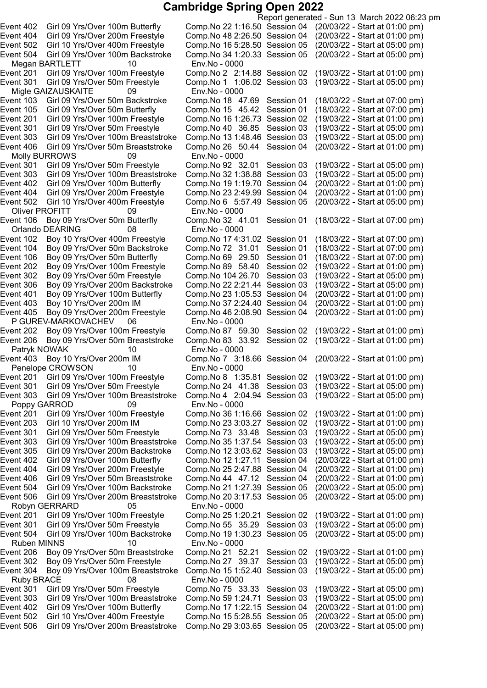Megan BARTLETT 10 Env.No - 0000 Migle GAIZAUSKAITE 09 Env.No - 0000 Event 406 Girl 09 Yrs/Over 50m Breaststroke Comp.No 26 5<br>Molly BURROWS 09 Env.No - 0000 Molly BURROWS 09<br>Event 301 Girl 09 Yrs/Over 50m Freestyle Event 402 Girl 09 Yrs/Over 100m Butterfly Comp.No 19 1:19.70 Session 04<br>Event 404 Girl 09 Yrs/Over 200m Freestyle Comp.No 23 2:49.99 Session 04 Event 502 Girl 10 Yrs/Over 400m Freestyle Comp.No 6 5:57.49 Session 05 (20/03/22 - Start at 05:00 pm) Oliver PROFITT 09 Orlando DEARING 08 Env.No - 0000<br>ent 102 Boy 10 Yrs/Over 400m Freestyle Comp.No 17 4:31.02 Session 01 Event 106 Boy 09 Yrs/Over 50m Butterfly Comp.No 69 29.50 Session 01 Event 401 Boy 09 Yrs/Over 100m Butterfly Comp.No 23 1:05.53 Session 04<br>Event 403 Boy 10 Yrs/Over 200m IM Comp.No 37 2:24.40 Session 04 Event 405 Boy 09 Yrs/Over 200m Freestyle P GUREV-MARKOVACHEV 06 Env.No - 0000 Event 206 Boy 09 Yrs/Over 50m Breaststroke Comp.No 83 33.<br>Patryk NOWAK 10 10 Env.No - 0000 10 Patryk NOWAK 10<br>Event 403 Boy 10 Yrs/Over 200m IM Penelope CROWSON 10 Env.No - 0000<br>ent 201 Girl 09 Yrs/Over 100m Freestyle Comp.No 8 1:3 Poppy GARROD 09 Env.No - 0000 Robyn GERRARD 05 Env.No - 0000<br>ent 201 Girl 09 Yrs/Over 100m Freestyle Comp.No 25 1:2 Ruben MINNS 10 Env.No - 0000 Ruby BRACE 08 Env.No - 0000

Report generated - Sun 13 March 2022 06:23 pm Event 402 Girl 09 Yrs/Over 100m Butterfly Comp.No 221:16.50 Session 04 (20/03/22 - Start at 01:00 pm) Event 404 Girl 09 Yrs/Over 200m Freestyle Comp.No 482:26.50 Session 04 (20/03/22 - Start at 01:00 pm) Event 502 Girl 10 Yrs/Over 400m Freestyle Comp.No 165:28.50 Session 05 (20/03/22 - Start at 05:00 pm) Event 504 Girl 09 Yrs/Over 100m Backstroke Comp.No 341:20.33 Session 05 (20/03/22 - Start at 05:00 pm) Event 201 Girl 09 Yrs/Over 100m Freestyle Comp.No 2 2:14.88 Session 02 (19/03/22 - Start at 01:00 pm) Event 301 Girl 09 Yrs/Over 50m Freestyle Comp.No 1 1:06.02 Session 03 (19/03/22 - Start at 05:00 pm) Event 103 Girl 09 Yrs/Over 50m Backstroke Comp.No 18 47.69 Session 01 (18/03/22 - Start at 07:00 pm) Event 105 Girl 09 Yrs/Over 50m Butterfly Comp.No 15 45.42 Session 01 (18/03/22 - Start at 07:00 pm) Event 201 Girl 09 Yrs/Over 100m Freestyle Comp.No 161:26.73 Session 02 (19/03/22 - Start at 01:00 pm) Event 301 Girl 09 Yrs/Over 50m Freestyle Comp.No 40 36.85 Session 03 (19/03/22 - Start at 05:00 pm) Event 303 Girl 09 Yrs/Over 100m Breaststroke Comp.No 13 1:48.46 Session 03 (19/03/22 - Start at 05:00 pm)<br>Event 406 Girl 09 Yrs/Over 50m Breaststroke Comp.No 26 50.44 Session 04 (20/03/22 - Start at 01:00 pm) Comp.No 92 32.01 Session 03 (19/03/22 - Start at 05:00 pm)<br>Comp.No 32 1:38.88 Session 03 (19/03/22 - Start at 05:00 pm) Event 303 Girl 09 Yrs/Over 100m Breaststroke Comp.No 32 1:38.88 Session 03 (19/03/22 - Start at 05:00 pm)<br>Event 402 Girl 09 Yrs/Over 100m Butterfly Comp.No 19 1:19.70 Session 04 (20/03/22 - Start at 01:00 pm) Event 404 Girl 09 Yrs/Over 200m Freestyle Comp.No 232:49.99 Session 04 (20/03/22 - Start at 01:00 pm) Event 106 Boy 09 Yrs/Over 50m Butterfly Comp.No 32 41.01 Session 01 (18/03/22 - Start at 07:00 pm) Event 102 Boy 10 Yrs/Over 400m Freestyle Comp.No 17 4:31.02 Session 01 (18/03/22 - Start at 07:00 pm)<br>Event 104 Boy 09 Yrs/Over 50m Backstroke Comp.No 72 31.01 Session 01 (18/03/22 - Start at 07:00 pm) Event 104 Boy 09 Yrs/Over 50m Backstroke Comp.No 72 31.01 Session 01 (18/03/22 - Start at 07:00 pm)<br>Event 106 Boy 09 Yrs/Over 50m Butterfly Comp.No 69 29.50 Session 01 (18/03/22 - Start at 07:00 pm) Event 202 Boy 09 Yrs/Over 100m Freestyle Comp.No 89 58.40 Session 02 (19/03/22 - Start at 01:00 pm)<br>Event 302 Boy 09 Yrs/Over 50m Freestyle Comp.No 104 26.70 Session 03 (19/03/22 - Start at 05:00 pm) Event 302 Boy 09 Yrs/Over 50m Freestyle Comp.No 104 26.70 Session 03 (19/03/22 - Start at 05:00 pm)<br>Event 306 Boy 09 Yrs/Over 200m Backstroke Comp.No 22 2:21.44 Session 03 (19/03/22 - Start at 05:00 pm) Event 306 Boy 09 Yrs/Over 200m Backstroke Comp.No 222:21.44 Session 03 (19/03/22 - Start at 05:00 pm) Comp.No 37 2:24.40 Session 04 (20/03/22 - Start at 01:00 pm)<br>Comp.No 46 2:08.90 Session 04 (20/03/22 - Start at 01:00 pm) Event 202 Boy 09 Yrs/Over 100m Freestyle Comp.No 87 59.30 Session 02 (19/03/22 - Start at 01:00 pm)<br>Event 206 Boy 09 Yrs/Over 50m Breaststroke Comp.No 83 33.92 Session 02 (19/03/22 - Start at 01:00 pm) Comp.No 7 3:18.66 Session 04 (20/03/22 - Start at 01:00 pm) Event 201 Girl 09 Yrs/Over 100m Freestyle Comp.No 8 1:35.81 Session 02 (19/03/22 - Start at 01:00 pm) Girl 09 Yrs/Over 50m Freestyle Comp.No 24 41.38 Session 03 (19/03/22 - Start at 05:00 pm) Event 303 Girl 09 Yrs/Over 100m Breaststroke Comp.No 4 2:04.94 Session 03 (19/03/22 - Start at 05:00 pm) Event 201 Girl 09 Yrs/Over 100m Freestyle Comp.No 361:16.66 Session 02 (19/03/22 - Start at 01:00 pm) Event 203 Girl 10 Yrs/Over 200m IM Comp.No 233:03.27 Session 02 (19/03/22 - Start at 01:00 pm) Event 301 Girl 09 Yrs/Over 50m Freestyle Comp.No 73 33.48 Session 03 (19/03/22 - Start at 05:00 pm) Event 303 Girl 09 Yrs/Over 100m Breaststroke Comp.No 351:37.54 Session 03 (19/03/22 - Start at 05:00 pm) Event 305 Girl 09 Yrs/Over 200m Backstroke Comp.No 123:03.62 Session 03 (19/03/22 - Start at 05:00 pm) Event 402 Girl 09 Yrs/Over 100m Butterfly Comp.No 121:27.11 Session 04 (20/03/22 - Start at 01:00 pm) Event 404 Girl 09 Yrs/Over 200m Freestyle Comp.No 252:47.88 Session 04 (20/03/22 - Start at 01:00 pm) Event 406 Girl 09 Yrs/Over 50m Breaststroke Comp.No 44 47.12 Session 04 (20/03/22 - Start at 01:00 pm) Event 504 Girl 09 Yrs/Over 100m Backstroke Comp.No 211:27.39 Session 05 (20/03/22 - Start at 05:00 pm) Event 506 Girl 09 Yrs/Over 200m Breaststroke Comp.No 203:17.53 Session 05 (20/03/22 - Start at 05:00 pm) Event 201 Girl 09 Yrs/Over 100m Freestyle Comp.No 251:20.21 Session 02 (19/03/22 - Start at 01:00 pm) Event 301 Girl 09 Yrs/Over 50m Freestyle Comp.No 55 35.29 Session 03 (19/03/22 - Start at 05:00 pm) Event 504 Girl 09 Yrs/Over 100m Backstroke Comp.No 191:30.23 Session 05 (20/03/22 - Start at 05:00 pm) Event 206 Boy 09 Yrs/Over 50m Breaststroke Comp.No 21 52.21 Session 02 (19/03/22 - Start at 01:00 pm) Event 302 Boy 09 Yrs/Over 50m Freestyle Comp.No 27 39.37 Session 03 (19/03/22 - Start at 05:00 pm) Event 304 Boy 09 Yrs/Over 100m Breaststroke Comp.No 151:52.40 Session 03 (19/03/22 - Start at 05:00 pm) Event 301 Girl 09 Yrs/Over 50m Freestyle Comp.No 75 33.33 Session 03 (19/03/22 - Start at 05:00 pm) Event 303 Girl 09 Yrs/Over 100m Breaststroke Comp.No 591:24.71 Session 03 (19/03/22 - Start at 05:00 pm) Event 402 Girl 09 Yrs/Over 100m Butterfly Comp.No 171:22.15 Session 04 (20/03/22 - Start at 01:00 pm) Event 502 Girl 10 Yrs/Over 400m Freestyle Comp.No 155:28.55 Session 05 (20/03/22 - Start at 05:00 pm) Event 506 Girl 09 Yrs/Over 200m Breaststroke Comp.No 293:03.65 Session 05 (20/03/22 - Start at 05:00 pm)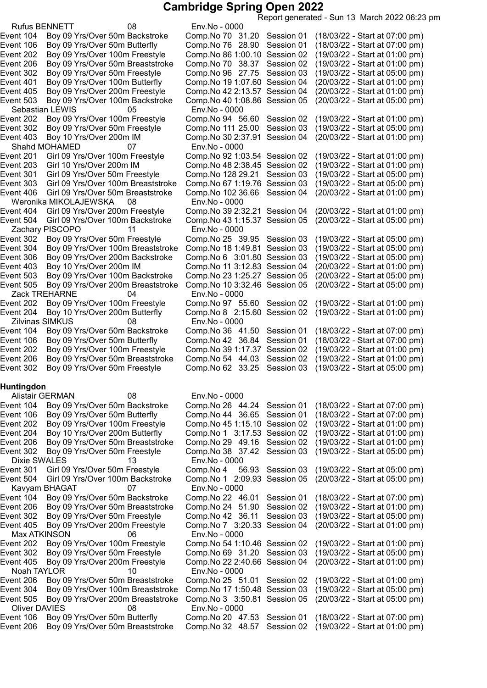Report generated - Sun 13 March 2022 06:23 pm

| <b>Rufus BENNETT</b>   |                                 | 08                                 | Env.No - 0000                  | sopont gonoratou commo maron zozz oo.zw |                                |  |  |
|------------------------|---------------------------------|------------------------------------|--------------------------------|-----------------------------------------|--------------------------------|--|--|
| Event 104              |                                 | Boy 09 Yrs/Over 50m Backstroke     | Comp. No 70 31.20              | Session 01                              | (18/03/22 - Start at 07:00 pm) |  |  |
| Event 106              | Boy 09 Yrs/Over 50m Butterfly   |                                    | Comp.No 76 28.90               | Session 01                              | (18/03/22 - Start at 07:00 pm) |  |  |
| Event 202              | Boy 09 Yrs/Over 100m Freestyle  |                                    | Comp. No 86 1:00.10            | Session 02                              | (19/03/22 - Start at 01:00 pm) |  |  |
| Event 206              |                                 | Boy 09 Yrs/Over 50m Breaststroke   | Comp.No 70 38.37               | Session 02                              | (19/03/22 - Start at 01:00 pm) |  |  |
| Event 302              | Boy 09 Yrs/Over 50m Freestyle   |                                    | Comp. No 96 27.75              | Session 03                              | (19/03/22 - Start at 05:00 pm) |  |  |
| Event 401              | Boy 09 Yrs/Over 100m Butterfly  |                                    | Comp.No 19 1:07.60             | Session 04                              | (20/03/22 - Start at 01:00 pm) |  |  |
| Event 405              | Boy 09 Yrs/Over 200m Freestyle  |                                    | Comp. No 42 2:13.57            | Session 04                              | (20/03/22 - Start at 01:00 pm) |  |  |
| Event 503              |                                 | Boy 09 Yrs/Over 100m Backstroke    | Comp.No 40 1:08.86             | Session 05                              | (20/03/22 - Start at 05:00 pm) |  |  |
| Sebastian LEWIS        |                                 | 05                                 | Env.No - 0000                  |                                         |                                |  |  |
| Event 202              | Boy 09 Yrs/Over 100m Freestyle  |                                    | Comp. No 94 56.60              | Session 02                              | (19/03/22 - Start at 01:00 pm) |  |  |
| Event 302              | Boy 09 Yrs/Over 50m Freestyle   |                                    | Comp. No 111 25.00             | Session 03                              | (19/03/22 - Start at 05:00 pm) |  |  |
| Event 403              | Boy 10 Yrs/Over 200m IM         |                                    | Comp.No 30 2:37.91             | Session 04                              | (20/03/22 - Start at 01:00 pm) |  |  |
|                        | Shahd MOHAMED                   | 07                                 | Env.No - 0000                  |                                         |                                |  |  |
| Event 201              | Girl 09 Yrs/Over 100m Freestyle |                                    | Comp.No 92 1:03.54             | Session 02                              | (19/03/22 - Start at 01:00 pm) |  |  |
| Event 203              | Girl 10 Yrs/Over 200m IM        |                                    | Comp. No 48 2:38.45            | Session 02                              | (19/03/22 - Start at 01:00 pm) |  |  |
| Event 301              | Girl 09 Yrs/Over 50m Freestyle  |                                    | Comp.No 128 29.21              | Session 03                              | (19/03/22 - Start at 05:00 pm) |  |  |
| Event 303              |                                 | Girl 09 Yrs/Over 100m Breaststroke | Comp.No 67 1:19.76             | Session 03                              | (19/03/22 - Start at 05:00 pm) |  |  |
| Event 406              |                                 | Girl 09 Yrs/Over 50m Breaststroke  | Comp.No 102 36.66              | Session 04                              | (20/03/22 - Start at 01:00 pm) |  |  |
|                        | Weronika MIKOLAJEWSKA           | 08                                 | Env.No - 0000                  |                                         |                                |  |  |
| Event 404              | Girl 09 Yrs/Over 200m Freestyle |                                    | Comp. No 39 2:32.21 Session 04 |                                         | (20/03/22 - Start at 01:00 pm) |  |  |
| Event 504              |                                 | Girl 09 Yrs/Over 100m Backstroke   | Comp. No 43 1:15.37 Session 05 |                                         | (20/03/22 - Start at 05:00 pm) |  |  |
|                        | Zachary PISCOPO                 | 11                                 | Env.No - 0000                  |                                         |                                |  |  |
| Event 302              |                                 |                                    |                                |                                         |                                |  |  |
|                        | Boy 09 Yrs/Over 50m Freestyle   |                                    | Comp.No 25 39.95               | Session 03                              | (19/03/22 - Start at 05:00 pm) |  |  |
| Event 304              |                                 | Boy 09 Yrs/Over 100m Breaststroke  | Comp. No 18 1:49.81            | Session 03                              | (19/03/22 - Start at 05:00 pm) |  |  |
| Event 306              |                                 | Boy 09 Yrs/Over 200m Backstroke    | Comp. No 6 3:01.80 Session 03  |                                         | (19/03/22 - Start at 05:00 pm) |  |  |
| Event 403              | Boy 10 Yrs/Over 200m IM         |                                    | Comp. No 11 3:12.83 Session 04 |                                         | (20/03/22 - Start at 01:00 pm) |  |  |
| Event 503              |                                 | Boy 09 Yrs/Over 100m Backstroke    | Comp.No 23 1:25.27             | Session 05                              | (20/03/22 - Start at 05:00 pm) |  |  |
| Event 505              |                                 | Boy 09 Yrs/Over 200m Breaststroke  | Comp. No 10 3:32.46 Session 05 |                                         | (20/03/22 - Start at 05:00 pm) |  |  |
| Zack TREHARNE          |                                 | 04                                 | Env.No - 0000                  |                                         |                                |  |  |
| Event 202              | Boy 09 Yrs/Over 100m Freestyle  |                                    | Comp. No 97 55.60 Session 02   |                                         | (19/03/22 - Start at 01:00 pm) |  |  |
| Event 204              | Boy 10 Yrs/Over 200m Butterfly  |                                    | Comp. No 8 2:15.60 Session 02  |                                         | (19/03/22 - Start at 01:00 pm) |  |  |
| <b>Zilvinas SIMKUS</b> |                                 | 08                                 | Env.No - 0000                  |                                         |                                |  |  |
| Event 104              |                                 | Boy 09 Yrs/Over 50m Backstroke     | Comp. No 36 41.50              | Session 01                              | (18/03/22 - Start at 07:00 pm) |  |  |
| Event 106              | Boy 09 Yrs/Over 50m Butterfly   |                                    | Comp. No 42 36.84              | Session 01                              | (18/03/22 - Start at 07:00 pm) |  |  |
| Event 202              | Boy 09 Yrs/Over 100m Freestyle  |                                    | Comp. No 39 1:17.37            | Session 02                              | (19/03/22 - Start at 01:00 pm) |  |  |
| Event 206              |                                 | Boy 09 Yrs/Over 50m Breaststroke   | Comp. No 54 44.03              | Session 02                              | (19/03/22 - Start at 01:00 pm) |  |  |
| Event 302              | Boy 09 Yrs/Over 50m Freestyle   |                                    | Comp. No 62 33.25              | Session 03                              | (19/03/22 - Start at 05:00 pm) |  |  |
|                        |                                 |                                    |                                |                                         |                                |  |  |
| <b>Huntingdon</b>      |                                 |                                    |                                |                                         |                                |  |  |
| <b>Alistair GERMAN</b> |                                 | 08                                 | Env.No - 0000                  |                                         |                                |  |  |
| Event 104              | Boy 09 Yrs/Over 50m Backstroke  |                                    | Comp.No 26 44.24               | Session 01                              | (18/03/22 - Start at 07:00 pm) |  |  |
| Event 106              | Boy 09 Yrs/Over 50m Butterfly   |                                    | Comp. No 44 36.65              | Session 01                              | (18/03/22 - Start at 07:00 pm) |  |  |
| Event 202              | Boy 09 Yrs/Over 100m Freestyle  |                                    | Comp. No 45 1:15.10 Session 02 |                                         | (19/03/22 - Start at 01:00 pm) |  |  |
| Event 204              | Boy 10 Yrs/Over 200m Butterfly  |                                    | Comp. No 1 3:17.53 Session 02  |                                         | (19/03/22 - Start at 01:00 pm) |  |  |
| Event 206              |                                 | Boy 09 Yrs/Over 50m Breaststroke   | Comp. No 29 49.16              | Session 02                              | (19/03/22 - Start at 01:00 pm) |  |  |
| Event 302              | Boy 09 Yrs/Over 50m Freestyle   |                                    | Comp. No 38 37.42              | Session 03                              | (19/03/22 - Start at 05:00 pm) |  |  |
| <b>Dixie SWALES</b>    |                                 | 13                                 | Env.No - 0000                  |                                         |                                |  |  |
| Event 301              | Girl 09 Yrs/Over 50m Freestyle  |                                    | Comp.No 4                      | 56.93 Session 03                        | (19/03/22 - Start at 05:00 pm) |  |  |
| Event 504              |                                 | Girl 09 Yrs/Over 100m Backstroke   | Comp. No 1 2:09.93 Session 05  |                                         | (20/03/22 - Start at 05:00 pm) |  |  |
| Kavyam BHAGAT          |                                 | 07                                 | Env.No - 0000                  |                                         |                                |  |  |
| Event 104              |                                 | Boy 09 Yrs/Over 50m Backstroke     | Comp. No 22 46.01              | Session 01                              | (18/03/22 - Start at 07:00 pm) |  |  |
| Event 206              |                                 | Boy 09 Yrs/Over 50m Breaststroke   | Comp. No 24 51.90              | Session 02                              | (19/03/22 - Start at 01:00 pm) |  |  |
| Event 302              | Boy 09 Yrs/Over 50m Freestyle   |                                    | Comp. No 42 36.11              | Session 03                              | (19/03/22 - Start at 05:00 pm) |  |  |
| Event 405              | Boy 09 Yrs/Over 200m Freestyle  |                                    | Comp. No 7 3:20.33 Session 04  |                                         | (20/03/22 - Start at 01:00 pm) |  |  |
| Max ATKINSON           |                                 | 06                                 | Env.No - 0000                  |                                         |                                |  |  |
| Event 202              | Boy 09 Yrs/Over 100m Freestyle  |                                    | Comp. No 54 1:10.46 Session 02 |                                         | (19/03/22 - Start at 01:00 pm) |  |  |
| Event 302              | Boy 09 Yrs/Over 50m Freestyle   |                                    | Comp. No 69 31.20 Session 03   |                                         | (19/03/22 - Start at 05:00 pm) |  |  |
| Event 405              | Boy 09 Yrs/Over 200m Freestyle  |                                    | Comp. No 22 2:40.66 Session 04 |                                         | (20/03/22 - Start at 01:00 pm) |  |  |
| Noah TAYLOR            |                                 | 10                                 | Env.No - 0000                  |                                         |                                |  |  |
| Event 206              |                                 | Boy 09 Yrs/Over 50m Breaststroke   | Comp.No 25 51.01               | Session 02                              | (19/03/22 - Start at 01:00 pm) |  |  |
| Event 304              |                                 | Boy 09 Yrs/Over 100m Breaststroke  | Comp. No 17 1:50.48 Session 03 |                                         | (19/03/22 - Start at 05:00 pm) |  |  |
| Event 505              |                                 | Boy 09 Yrs/Over 200m Breaststroke  | Comp. No 3 3:50.81 Session 05  |                                         | (20/03/22 - Start at 05:00 pm) |  |  |
| <b>Oliver DAVIES</b>   |                                 | 08                                 | Env.No - 0000                  |                                         |                                |  |  |
| Event 106              | Boy 09 Yrs/Over 50m Butterfly   |                                    | Comp. No 20 47.53              | Session 01                              | (18/03/22 - Start at 07:00 pm) |  |  |
| Event 206              |                                 | Boy 09 Yrs/Over 50m Breaststroke   | Comp. No 32 48.57              | Session 02                              | (19/03/22 - Start at 01:00 pm) |  |  |
|                        |                                 |                                    |                                |                                         |                                |  |  |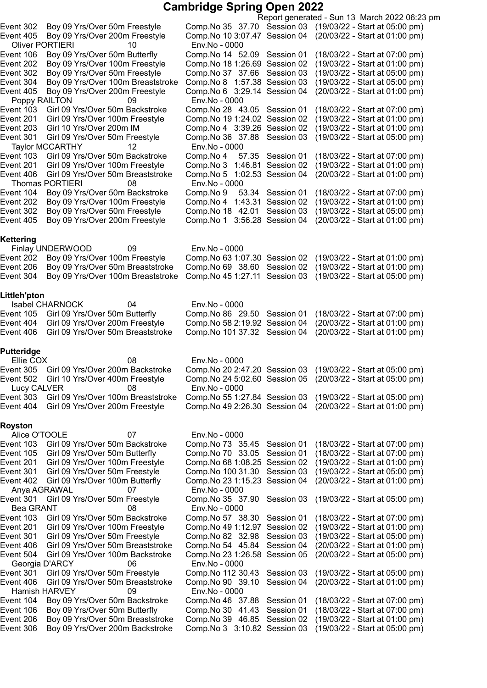|                                     |                                                                     |                                                   |                  | Report generated - Sun 13 March 2022 06:23 pm                    |
|-------------------------------------|---------------------------------------------------------------------|---------------------------------------------------|------------------|------------------------------------------------------------------|
| Event 302                           | Boy 09 Yrs/Over 50m Freestyle                                       | Comp. No 35 37.70 Session 03                      |                  | (19/03/22 - Start at 05:00 pm)                                   |
| Event 405<br><b>Oliver PORTIERI</b> | Boy 09 Yrs/Over 200m Freestyle<br>10                                | Comp. No 10 3:07.47 Session 04<br>Env.No - 0000   |                  | (20/03/22 - Start at 01:00 pm)                                   |
| Event 106                           | Boy 09 Yrs/Over 50m Butterfly                                       | Comp. No 14 52.09 Session 01                      |                  | (18/03/22 - Start at 07:00 pm)                                   |
| Event 202                           | Boy 09 Yrs/Over 100m Freestyle                                      | Comp. No 18 1:26.69 Session 02                    |                  | (19/03/22 - Start at 01:00 pm)                                   |
| Event 302                           | Boy 09 Yrs/Over 50m Freestyle                                       | Comp. No 37 37.66 Session 03                      |                  | (19/03/22 - Start at 05:00 pm)                                   |
|                                     |                                                                     |                                                   |                  |                                                                  |
| Event 304                           | Boy 09 Yrs/Over 100m Breaststroke                                   | Comp. No 8 1:57.38 Session 03                     |                  | (19/03/22 - Start at 05:00 pm)                                   |
| Event 405                           | Boy 09 Yrs/Over 200m Freestyle                                      | Comp. No 6 3:29.14 Session 04                     |                  | (20/03/22 - Start at 01:00 pm)                                   |
| Poppy RAILTON                       | 09                                                                  | Env.No - 0000                                     |                  |                                                                  |
| Event 103                           | Girl 09 Yrs/Over 50m Backstroke                                     | Comp. No 28 43.05 Session 01                      |                  | (18/03/22 - Start at 07:00 pm)                                   |
| Event 201                           | Girl 09 Yrs/Over 100m Freestyle                                     | Comp. No 19 1:24.02 Session 02                    |                  | (19/03/22 - Start at 01:00 pm)                                   |
| Event 203                           | Girl 10 Yrs/Over 200m IM                                            | Comp.No 4 3:39.26 Session 02                      |                  | (19/03/22 - Start at 01:00 pm)                                   |
| Event 301                           | Girl 09 Yrs/Over 50m Freestyle                                      | Comp. No 36 37.88 Session 03                      |                  | (19/03/22 - Start at 05:00 pm)                                   |
|                                     | Taylor MCCARTHY<br>12                                               | Env.No - 0000                                     |                  |                                                                  |
| Event 103                           | Girl 09 Yrs/Over 50m Backstroke                                     | Comp.No 4                                         | 57.35 Session 01 | (18/03/22 - Start at 07:00 pm)                                   |
| Event 201                           | Girl 09 Yrs/Over 100m Freestyle                                     | Comp. No 3 1:46.81 Session 02                     |                  | (19/03/22 - Start at 01:00 pm)                                   |
| Event 406                           | Girl 09 Yrs/Over 50m Breaststroke                                   | Comp. No 5 1:02.53 Session 04                     |                  | (20/03/22 - Start at 01:00 pm)                                   |
|                                     | <b>Thomas PORTIERI</b><br>08                                        | Env.No - 0000                                     |                  |                                                                  |
| Event 104                           | Boy 09 Yrs/Over 50m Backstroke                                      | 53.34<br>Comp.No 9                                | Session 01       | (18/03/22 - Start at 07:00 pm)                                   |
| Event 202                           | Boy 09 Yrs/Over 100m Freestyle                                      | Comp. No 4 1:43.31 Session 02                     |                  | (19/03/22 - Start at 01:00 pm)                                   |
| Event 302                           | Boy 09 Yrs/Over 50m Freestyle                                       | Comp.No 18 42.01                                  | Session 03       | (19/03/22 - Start at 05:00 pm)                                   |
| Event 405                           | Boy 09 Yrs/Over 200m Freestyle                                      | Comp. No 1 3:56.28 Session 04                     |                  | (20/03/22 - Start at 01:00 pm)                                   |
|                                     |                                                                     |                                                   |                  |                                                                  |
| Kettering                           |                                                                     |                                                   |                  |                                                                  |
|                                     | Finlay UNDERWOOD<br>09                                              | Env.No - 0000                                     |                  |                                                                  |
| Event 202                           | Boy 09 Yrs/Over 100m Freestyle                                      | Comp. No 63 1:07.30 Session 02                    |                  | (19/03/22 - Start at 01:00 pm)                                   |
| Event 206                           | Boy 09 Yrs/Over 50m Breaststroke                                    | Comp.No 69 38.60 Session 02                       |                  | (19/03/22 - Start at 01:00 pm)                                   |
| Event 304                           | Boy 09 Yrs/Over 100m Breaststroke                                   | Comp. No 45 1:27.11 Session 03                    |                  | (19/03/22 - Start at 05:00 pm)                                   |
|                                     |                                                                     |                                                   |                  |                                                                  |
| Littleh'pton                        |                                                                     |                                                   |                  |                                                                  |
|                                     | <b>Isabel CHARNOCK</b><br>04                                        | Env.No - 0000                                     |                  |                                                                  |
| Event 105                           | Girl 09 Yrs/Over 50m Butterfly                                      | Comp. No 86 29.50 Session 01                      |                  | (18/03/22 - Start at 07:00 pm)                                   |
|                                     | Girl 09 Yrs/Over 200m Freestyle                                     |                                                   |                  |                                                                  |
| Event 404                           |                                                                     | Comp. No 58 2:19.92 Session 04                    |                  | (20/03/22 - Start at 01:00 pm)                                   |
| Event 406                           | Girl 09 Yrs/Over 50m Breaststroke                                   | Comp. No 101 37.32 Session 04                     |                  | (20/03/22 - Start at 01:00 pm)                                   |
| Putteridge                          |                                                                     |                                                   |                  |                                                                  |
| Ellie COX                           | 08                                                                  | Env.No - 0000                                     |                  |                                                                  |
| Event 305                           | Girl 09 Yrs/Over 200m Backstroke                                    |                                                   |                  | Comp. No 20 2:47.20 Session 03 (19/03/22 - Start at 05:00 pm)    |
| Event 502                           | Girl 10 Yrs/Over 400m Freestyle                                     |                                                   |                  | Comp. No 24 5:02.60 Session 05 (20/03/22 - Start at 05:00 pm)    |
| Lucy CALVER                         | 08                                                                  | Env.No - 0000                                     |                  |                                                                  |
| Event 303                           | Girl 09 Yrs/Over 100m Breaststroke                                  | Comp. No 55 1:27.84 Session 03                    |                  | (19/03/22 - Start at 05:00 pm)                                   |
| Event 404                           | Girl 09 Yrs/Over 200m Freestyle                                     | Comp. No 49 2:26.30 Session 04                    |                  | (20/03/22 - Start at 01:00 pm)                                   |
|                                     |                                                                     |                                                   |                  |                                                                  |
| <b>Royston</b>                      |                                                                     |                                                   |                  |                                                                  |
| Alice O'TOOLE                       | 07                                                                  |                                                   |                  |                                                                  |
|                                     |                                                                     | Env.No - 0000                                     |                  |                                                                  |
|                                     |                                                                     |                                                   |                  |                                                                  |
| Event 103                           | Girl 09 Yrs/Over 50m Backstroke                                     | Comp. No 73 35.45 Session 01                      |                  | (18/03/22 - Start at 07:00 pm)                                   |
| Event 105                           | Girl 09 Yrs/Over 50m Butterfly                                      | Comp.No 70 33.05                                  | Session 01       | (18/03/22 - Start at 07:00 pm)                                   |
| Event 201                           | Girl 09 Yrs/Over 100m Freestyle                                     | Comp. No 68 1:08.25 Session 02                    |                  | (19/03/22 - Start at 01:00 pm)                                   |
| Event 301                           | Girl 09 Yrs/Over 50m Freestyle                                      | Comp.No 100 31.30                                 | Session 03       | (19/03/22 - Start at 05:00 pm)                                   |
| Event 402                           | Girl 09 Yrs/Over 100m Butterfly                                     | Comp. No 23 1:15.23 Session 04                    |                  | (20/03/22 - Start at 01:00 pm)                                   |
| Anya AGRAWAL                        | 07                                                                  | Env.No - 0000                                     |                  |                                                                  |
| Event 301                           | Girl 09 Yrs/Over 50m Freestyle                                      | Comp. No 35 37.90 Session 03                      |                  | (19/03/22 - Start at 05:00 pm)                                   |
| <b>Bea GRANT</b>                    | 08                                                                  | Env.No - 0000                                     |                  |                                                                  |
| Event 103                           | Girl 09 Yrs/Over 50m Backstroke                                     | Comp.No 57 38.30                                  | Session 01       | (18/03/22 - Start at 07:00 pm)                                   |
| Event 201                           | Girl 09 Yrs/Over 100m Freestyle                                     | Comp. No 49 1:12.97 Session 02                    |                  | (19/03/22 - Start at 01:00 pm)                                   |
| Event 301                           | Girl 09 Yrs/Over 50m Freestyle                                      | Comp. No 82 32.98                                 | Session 03       | (19/03/22 - Start at 05:00 pm)                                   |
| Event 406                           | Girl 09 Yrs/Over 50m Breaststroke                                   | Comp. No 54 45.84                                 | Session 04       | (20/03/22 - Start at 01:00 pm)                                   |
| Event 504                           | Girl 09 Yrs/Over 100m Backstroke                                    | Comp. No 23 1:26.58 Session 05                    |                  | (20/03/22 - Start at 05:00 pm)                                   |
| Georgia D'ARCY                      | 06                                                                  | Env.No - 0000                                     |                  |                                                                  |
| Event 301                           | Girl 09 Yrs/Over 50m Freestyle                                      | Comp. No 112 30.43                                | Session 03       | (19/03/22 - Start at 05:00 pm)                                   |
| Event 406                           | Girl 09 Yrs/Over 50m Breaststroke                                   | Comp. No 90 39.10                                 | Session 04       | (20/03/22 - Start at 01:00 pm)                                   |
| Hamish HARVEY                       | 09                                                                  | Env.No - 0000                                     |                  |                                                                  |
| Event 104                           | Boy 09 Yrs/Over 50m Backstroke                                      | Comp. No 46 37.88 Session 01                      |                  | (18/03/22 - Start at 07:00 pm)                                   |
| Event 106                           | Boy 09 Yrs/Over 50m Butterfly                                       | Comp.No 30 41.43 Session 01                       |                  | (18/03/22 - Start at 07:00 pm)                                   |
| Event 206<br>Event 306              | Boy 09 Yrs/Over 50m Breaststroke<br>Boy 09 Yrs/Over 200m Backstroke | Comp.No 39 46.85<br>Comp. No 3 3:10.82 Session 03 | Session 02       | (19/03/22 - Start at 01:00 pm)<br>(19/03/22 - Start at 05:00 pm) |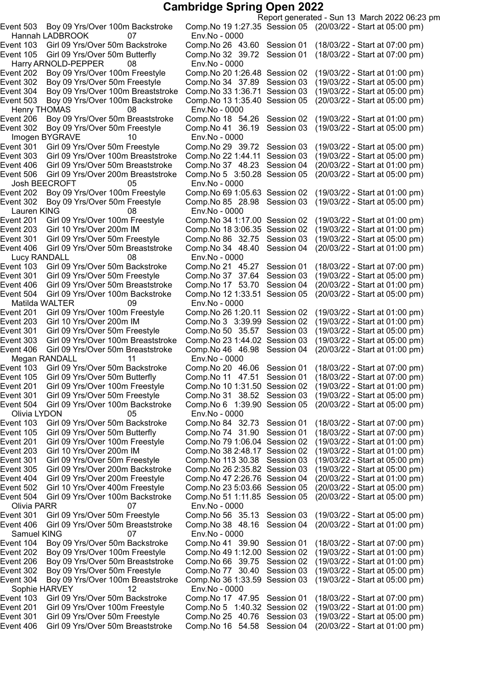Hannah LADBROOK 07 Env.No - 0000 Harry ARNOLD-PEPPER 08 Env.No - 0000 Henry THOMAS 08 Env.No - 0000 Imogen BYGRAVE 10 Env.No - 0000 Event 506 Girl 09 Yrs/Over 200m Breaststroke Comp.No 5 3:50.28 Session 05 Josh BEECROFT 05 Env.No - 0000 Event 302 Boy 09 Yrs/Over 50m Freestyle Comp.No 85 28.98 Session 03 Lauren KING 08 Env.No - 0000<br>ent 201 Girl 09 Yrs/Over 100m Freestyle Comp.No 34 1:1 Event 406 Girl 09 Yrs/Over 50m Breaststroke Lucy RANDALL 08 Env.No - 0000<br>14 ent 103 Girl 09 Yrs/Over 50m Backstroke Comp.No 21 Event 301 Girl 09 Yrs/Over 50m Freestyle Comp.No 37 37.64 Session 03 Event 504 Girl 09 Yrs/Over 100m Backstroke Comp.No 12 1:33.51 Session 05 Matilda WALTER 09 Env.No - 0000 Event 203 Girl 10 Yrs/Over 200m IM Comp.No 3 3:39.99 Session 02 Girl 09 Yrs/Over 50m Breaststroke Megan RANDALL 11 Env.No - 0000 Event 504 Girl 09 Yrs/Over 100m Backstroke Comp.No 6 1:39.90 Session 05 Olivia LYDON 05 Env.No - 0000 Olivia PARR 07 Env.No - 0000 Samuel KING 07 Env.No - 0000 Sophie HARVEY 12 Env.No - 0000

Report generated - Sun 13 March 2022 06:23 pm Event 503 Boy 09 Yrs/Over 100m Backstroke Comp.No 191:27.35 Session 05 (20/03/22 - Start at 05:00 pm) Event 103 Girl 09 Yrs/Over 50m Backstroke Comp.No 26 43.60 Session 01 (18/03/22 - Start at 07:00 pm) Event 105 Girl 09 Yrs/Over 50m Butterfly Comp.No 32 39.72 Session 01 (18/03/22 - Start at 07:00 pm) Event 202 Boy 09 Yrs/Over 100m Freestyle Comp.No 201:26.48 Session 02 (19/03/22 - Start at 01:00 pm) Event 302 Boy 09 Yrs/Over 50m Freestyle Comp.No 34 37.89 Session 03 (19/03/22 - Start at 05:00 pm) Event 304 Boy 09 Yrs/Over 100m Breaststroke Comp.No 331:36.71 Session 03 (19/03/22 - Start at 05:00 pm) Event 503 Boy 09 Yrs/Over 100m Backstroke Comp.No 131:35.40 Session 05 (20/03/22 - Start at 05:00 pm) Event 206 Boy 09 Yrs/Over 50m Breaststroke Comp.No 18 54.26 Session 02 (19/03/22 - Start at 01:00 pm) Event 302 Boy 09 Yrs/Over 50m Freestyle Comp.No 41 36.19 Session 03 (19/03/22 - Start at 05:00 pm) Event 301 Girl 09 Yrs/Over 50m Freestyle Comp.No 29 39.72 Session 03 (19/03/22 - Start at 05:00 pm)<br>Event 303 Girl 09 Yrs/Over 100m Breaststroke Comp.No 22 1:44.11 Session 03 (19/03/22 - Start at 05:00 pm) Event 303 Girl 09 Yrs/Over 100m Breaststroke Comp.No 22 1:44.11 Session 03 (19/03/22 - Start at 05:00 pm)<br>Event 406 Girl 09 Yrs/Over 50m Breaststroke Comp.No 37 48.23 Session 04 (20/03/22 - Start at 01:00 pm) Girl 09 Yrs/Over 50m Breaststroke Comp.No 37 48.23 Session 04 (20/03/22 - Start at 01:00 pm)<br>Girl 09 Yrs/Over 200m Breaststroke Comp.No 5 3:50.28 Session 05 (20/03/22 - Start at 05:00 pm) Event 202 Boy 09 Yrs/Over 100m Freestyle Comp.No 69 1:05.63 Session 02 (19/03/22 - Start at 01:00 pm)<br>Event 302 Boy 09 Yrs/Over 50m Freestyle Comp.No 85 28.98 Session 03 (19/03/22 - Start at 05:00 pm) Event 201 Girl 09 Yrs/Over 100m Freestyle Comp.No 341:17.00 Session 02 (19/03/22 - Start at 01:00 pm) Event 203 Girl 10 Yrs/Over 200m IM Comp.No 183:06.35 Session 02 (19/03/22 - Start at 01:00 pm) Event 301 Girl 09 Yrs/Over 50m Freestyle Comp.No 86 32.75 Session 03 (19/03/22 - Start at 05:00 pm)<br>Event 406 Girl 09 Yrs/Over 50m Breaststroke Comp.No 34 48.40 Session 04 (20/03/22 - Start at 01:00 pm) Event 103 Girl 09 Yrs/Over 50m Backstroke Comp.No 21 45.27 Session 01 (18/03/22 - Start at 07:00 pm)<br>Event 301 Girl 09 Yrs/Over 50m Freestyle Comp.No 37 37.64 Session 03 (19/03/22 - Start at 05:00 pm) Event 406 Girl 09 Yrs/Over 50m Breaststroke Comp.No 17 53.70 Session 04 (20/03/22 - Start at 01:00 pm) Event 201 Girl 09 Yrs/Over 100m Freestyle Comp.No 26 1:20.11 Session 02 (19/03/22 - Start at 01:00 pm)<br>Event 203 Girl 10 Yrs/Over 200m IM Comp.No 3 3:39.99 Session 02 (19/03/22 - Start at 01:00 pm) Event 301 Girl 09 Yrs/Over 50m Freestyle Comp.No 50 35.57 Session 03 (19/03/22 - Start at 05:00 pm) Event 303 Girl 09 Yrs/Over 100m Breaststroke Comp.No 23 1:44.02 Session 03 (19/03/22 - Start at 05:00 pm)<br>Event 406 Girl 09 Yrs/Over 50m Breaststroke Comp.No 46 46.98 Session 04 (20/03/22 - Start at 01:00 pm) Event 103 Girl 09 Yrs/Over 50m Backstroke Comp.No 20 46.06 Session 01 (18/03/22 - Start at 07:00 pm)<br>Event 105 Girl 09 Yrs/Over 50m Butterfly Comp.No 11 47.51 Session 01 (18/03/22 - Start at 07:00 pm) Event 105 Girl 09 Yrs/Over 50m Butterfly Comp.No 11 47.51 Session 01 (18/03/22 - Start at 07:00 pm)<br>Event 201 Girl 09 Yrs/Over 100m Freestyle Comp.No 10 1:31.50 Session 02 (19/03/22 - Start at 01:00 pm) Event 201 Girl 09 Yrs/Over 100m Freestyle Comp.No 101:31.50 Session 02 (19/03/22 - Start at 01:00 pm) Girl 09 Yrs/Over 50m Freestyle Comp.No 31 38.52 Session 03 (19/03/22 - Start at 05:00 pm)<br>Girl 09 Yrs/Over 100m Backstroke Comp.No 6 1:39.90 Session 05 (20/03/22 - Start at 05:00 pm) Event 103 Girl 09 Yrs/Over 50m Backstroke Comp.No 84 32.73 Session 01 (18/03/22 - Start at 07:00 pm) Event 105 Girl 09 Yrs/Over 50m Butterfly Comp.No 74 31.90 Session 01 (18/03/22 - Start at 07:00 pm) Event 201 Girl 09 Yrs/Over 100m Freestyle Comp.No 791:06.04 Session 02 (19/03/22 - Start at 01:00 pm) Event 203 Girl 10 Yrs/Over 200m IM Comp.No 382:48.17 Session 02 (19/03/22 - Start at 01:00 pm) Event 301 Girl 09 Yrs/Over 50m Freestyle Comp.No 113 30.38 Session 03 (19/03/22 - Start at 05:00 pm) Event 305 Girl 09 Yrs/Over 200m Backstroke Comp.No 262:35.82 Session 03 (19/03/22 - Start at 05:00 pm) Event 404 Girl 09 Yrs/Over 200m Freestyle Comp.No 472:26.76 Session 04 (20/03/22 - Start at 01:00 pm) Event 502 Girl 10 Yrs/Over 400m Freestyle Comp.No 235:03.66 Session 05 (20/03/22 - Start at 05:00 pm) Event 504 Girl 09 Yrs/Over 100m Backstroke Comp.No 511:11.85 Session 05 (20/03/22 - Start at 05:00 pm) Event 301 Girl 09 Yrs/Over 50m Freestyle Comp.No 56 35.13 Session 03 (19/03/22 - Start at 05:00 pm) Event 406 Girl 09 Yrs/Over 50m Breaststroke Comp.No 38 48.16 Session 04 (20/03/22 - Start at 01:00 pm) Event 104 Boy 09 Yrs/Over 50m Backstroke Comp.No 41 39.90 Session 01 (18/03/22 - Start at 07:00 pm) Event 202 Boy 09 Yrs/Over 100m Freestyle Comp.No 491:12.00 Session 02 (19/03/22 - Start at 01:00 pm) Event 206 Boy 09 Yrs/Over 50m Breaststroke Comp.No 66 39.75 Session 02 (19/03/22 - Start at 01:00 pm) Event 302 Boy 09 Yrs/Over 50m Freestyle Comp.No 77 30.40 Session 03 (19/03/22 - Start at 05:00 pm) Event 304 Boy 09 Yrs/Over 100m Breaststroke Comp.No 361:33.59 Session 03 (19/03/22 - Start at 05:00 pm) Event 103 Girl 09 Yrs/Over 50m Backstroke Comp.No 17 47.95 Session 01 (18/03/22 - Start at 07:00 pm) Event 201 Girl 09 Yrs/Over 100m Freestyle Comp.No 5 1:40.32 Session 02 (19/03/22 - Start at 01:00 pm) Event 301 Girl 09 Yrs/Over 50m Freestyle Comp.No 25 40.76 Session 03 (19/03/22 - Start at 05:00 pm) Event 406 Girl 09 Yrs/Over 50m Breaststroke Comp.No 16 54.58 Session 04 (20/03/22 - Start at 01:00 pm)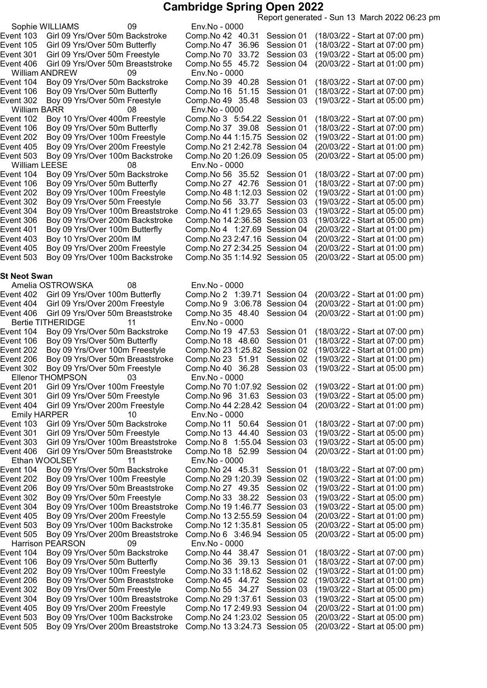Report generated - Sun 13 March 2022 06:23 pm Sophie WILLIAMS 09 Env.No - 0000 Event 103 Girl 09 Yrs/Over 50m Backstroke Comp.No 42 40.31 Session 01 (18/03/22 - Start at 07:00 pm) Event 105 Girl 09 Yrs/Over 50m Butterfly Comp.No 47 36.96 Session 01 (18/03/22 - Start at 07:00 pm) Event 301 Girl 09 Yrs/Over 50m Freestyle Comp.No 70 33.72 Session 03 (19/03/22 - Start at 05:00 pm) Event 406 Girl 09 Yrs/Over 50m Breaststroke Comp.No 55 45.72 Session 04 (20/03/22 - Start at 01:00 pm) William ANDREW 09 Env.No - 0000 Event 104 Boy 09 Yrs/Over 50m Backstroke Comp.No 39 40.28 Session 01 (18/03/22 - Start at 07:00 pm) Event 106 Boy 09 Yrs/Over 50m Butterfly Comp.No 16 51.15 Session 01 (18/03/22 - Start at 07:00 pm) Event 302 Boy 09 Yrs/Over 50m Freestyle Comp.No 49 35.48 Session 03 (19/03/22 - Start at 05:00 pm) William BARR 08 Env.No - 0000 Event 102 Boy 10 Yrs/Over 400m Freestyle Comp.No 3 5:54.22 Session 01 (18/03/22 - Start at 07:00 pm) Event 106 Boy 09 Yrs/Over 50m Butterfly Comp.No 37 39.08 Session 01 (18/03/22 - Start at 07:00 pm)<br>Event 202 Boy 09 Yrs/Over 100m Freestyle Comp.No 44 1:15.75 Session 02 (19/03/22 - Start at 01:00 pm) Event 202 Boy 09 Yrs/Over 100m Freestyle Comp.No 44 1:15.75 Session 02 (19/03/22 - Start at 01:00 pm)<br>Event 405 Boy 09 Yrs/Over 200m Freestyle Comp.No 21 2:42.78 Session 04 (20/03/22 - Start at 01:00 pm) Event 405 Boy 09 Yrs/Over 200m Freestyle Comp.No 21 2:42.78 Session 04 (20/03/22 - Start at 01:00 pm)<br>Event 503 Boy 09 Yrs/Over 100m Backstroke Comp.No 20 1:26.09 Session 05 (20/03/22 - Start at 05:00 pm) Boy 09 Yrs/Over 100m Backstroke William LEESE 08 Env.No - 0000 Event 104 Boy 09 Yrs/Over 50m Backstroke Comp.No 56 35.52 Session 01 (18/03/22 - Start at 07:00 pm)<br>Event 106 Boy 09 Yrs/Over 50m Butterfly Comp.No 27  42.76 Session 01 (18/03/22 - Start at 07:00 pm) Event 106 Boy 09 Yrs/Over 50m Butterfly Comp.No 27  42.76 Session 01 (18/03/22 - Start at 07:00 pm)<br>Event 202 Boy 09 Yrs/Over 100m Freestyle Comp.No 48 1:12.03 Session 02 (19/03/22 - Start at 01:00 pm) Event 202 Boy 09 Yrs/Over 100m Freestyle Comp.No 48 1:12.03 Session 02 (19/03/22 - Start at 01:00 pm)<br>Event 302 Boy 09 Yrs/Over 50m Freestyle Comp.No 56 33.77 Session 03 (19/03/22 - Start at 05:00 pm) Event 302 Boy 09 Yrs/Over 50m Freestyle Comp.No 56 33.77 Session 03 (19/03/22 - Start at 05:00 pm) Event 304 Boy 09 Yrs/Over 100m Breaststroke Comp.No 41 1:29.65 Session 03 (19/03/22 - Start at 05:00 pm)<br>Event 306 Boy 09 Yrs/Over 200m Backstroke Comp.No 14 2:36.58 Session 03 (19/03/22 - Start at 05:00 pm) Event 306 Boy 09 Yrs/Over 200m Backstroke Comp.No 14 2:36.58 Session 03 Event 401 Boy 09 Yrs/Over 100m Butterfly Comp.No 4 1:27.69 Session 04 (20/03/22 - Start at 01:00 pm) Event 403 Boy 10 Yrs/Over 200m IM Comp.No 23 2:47.16 Session 04 (20/03/22 - Start at 01:00 pm)<br>Event 405 Boy 09 Yrs/Over 200m Freestyle Comp.No 27 2:34.25 Session 04 (20/03/22 - Start at 01:00 pm) Event 405 Boy 09 Yrs/Over 200m Freestyle Comp.No 27 2:34.25 Session 04 (20/03/22 - Start at 01:00 pm)<br>Event 503 Boy 09 Yrs/Over 100m Backstroke Comp.No 35 1:14.92 Session 05 (20/03/22 - Start at 05:00 pm) Boy 09 Yrs/Over 100m Backstroke St Neot Swan Amelia OSTROWSKA 08 Env.No - 0000 Event 402 Girl 09 Yrs/Over 100m Butterfly Comp.No 2 1:39.71 Session 04 (20/03/22 - Start at 01:00 pm) Event 404 Girl 09 Yrs/Over 200m Freestyle Comp.No 9 3:06.78 Session 04 (20/03/22 - Start at 01:00 pm) Event 406 Girl 09 Yrs/Over 50m Breaststroke Comp.No 35 48.40 Session 04 (20/03/22 - Start at 01:00 pm) Bertie TITHERIDGE 11 Env.No - 0000 Event 104 Boy 09 Yrs/Over 50m Backstroke Comp.No 19 47.53 Session 01 (18/03/22 - Start at 07:00 pm) Event 106 Boy 09 Yrs/Over 50m Butterfly Comp.No 18 48.60 Session 01 (18/03/22 - Start at 07:00 pm) Event 202 Boy 09 Yrs/Over 100m Freestyle Comp.No 231:25.82 Session 02 (19/03/22 - Start at 01:00 pm) Event 206 Boy 09 Yrs/Over 50m Breaststroke Comp.No 23 51.91 Session 02 (19/03/22 - Start at 01:00 pm) Event 302 Boy 09 Yrs/Over 50m Freestyle Comp.No 40 36.28 Session 03 (19/03/22 - Start at 05:00 pm) Ellenor THOMPSON 03 Env.No - 0000 Event 201 Girl 09 Yrs/Over 100m Freestyle Comp.No 701:07.92 Session 02 (19/03/22 - Start at 01:00 pm) Event 301 Girl 09 Yrs/Over 50m Freestyle Comp.No 96 31.63 Session 03 (19/03/22 - Start at 05:00 pm) Event 404 Girl 09 Yrs/Over 200m Freestyle Comp.No 442:28.42 Session 04 (20/03/22 - Start at 01:00 pm) Emily HARPER 10 Env.No - 0000 Event 103 Girl 09 Yrs/Over 50m Backstroke Comp.No 11 50.64 Session 01 (18/03/22 - Start at 07:00 pm) Event 301 Girl 09 Yrs/Over 50m Freestyle Comp.No 13 44.40 Session 03 (19/03/22 - Start at 05:00 pm) Event 303 Girl 09 Yrs/Over 100m Breaststroke Comp.No 8 1:55.04 Session 03 (19/03/22 - Start at 05:00 pm) Event 406 Girl 09 Yrs/Over 50m Breaststroke Comp.No 18 52.99 Session 04 (20/03/22 - Start at 01:00 pm) Ethan WOOLSEY 11 Env.No - 0000<br>4 Event 104 Boy 09 Yrs/Over 50m Backstroke Comp.No 24 Boy 09 Yrs/Over 50m Backstroke Comp.No 24 45.31 Session 01 (18/03/22 - Start at 07:00 pm)<br>Boy 09 Yrs/Over 100m Freestyle Comp.No 29 1:20.39 Session 02 (19/03/22 - Start at 01:00 pm) Event 202 Boy 09 Yrs/Over 100m Freestyle Comp.No 29 1:20.39 Session 02 (19/03/22 - Start at 01:00 pm)<br>Event 206 Boy 09 Yrs/Over 50m Breaststroke Comp.No 27 49.35 Session 02 (19/03/22 - Start at 01:00 pm) Event 206 Boy 09 Yrs/Over 50m Breaststroke Comp.No 27 49.35 Session 02 (19/03/22 - Start at 01:00 pm) Event 302 Boy 09 Yrs/Over 50m Freestyle Comp.No 33 38.22 Session 03 (19/03/22 - Start at 05:00 pm)<br>Event 304 Boy 09 Yrs/Over 100m Breaststroke Comp.No 19 1:46.77 Session 03 (19/03/22 - Start at 05:00 pm) Event 304 Boy 09 Yrs/Over 100m Breaststroke Comp.No 191:46.77 Session 03 (19/03/22 - Start at 05:00 pm) Event 405 Boy 09 Yrs/Over 200m Freestyle Comp.No 132:55.59 Session 04 (20/03/22 - Start at 01:00 pm) Event 503 Boy 09 Yrs/Over 100m Backstroke Comp.No 121:35.81 Session 05 (20/03/22 - Start at 05:00 pm) Event 505 Boy 09 Yrs/Over 200m Breaststroke Comp.No 6 3:46.94 Session 05 (20/03/22 - Start at 05:00 pm) Harrison PEARSON 09 Event 104 Boy 09 Yrs/Over 50m Backstroke Comp.No 44 38.47 Session 01 (18/03/22 - Start at 07:00 pm) Event 106 Boy 09 Yrs/Over 50m Butterfly Comp.No 36 39.13 Session 01 (18/03/22 - Start at 07:00 pm)<br>Event 202 Boy 09 Yrs/Over 100m Freestyle Comp.No 33 1:18.62 Session 02 (19/03/22 - Start at 01:00 pm) Event 202 Boy 09 Yrs/Over 100m Freestyle Comp.No 331:18.62 Session 02 (19/03/22 - Start at 01:00 pm) Event 206 Boy 09 Yrs/Over 50m Breaststroke Comp.No 45 44.72 Session 02 (19/03/22 - Start at 01:00 pm) Event 302 Boy 09 Yrs/Over 50m Freestyle Comp.No 55 34.27 Session 03 (19/03/22 - Start at 05:00 pm) Event 304 Boy 09 Yrs/Over 100m Breaststroke Comp.No 291:37.61 Session 03 (19/03/22 - Start at 05:00 pm) Event 405 Boy 09 Yrs/Over 200m Freestyle Comp.No 172:49.93 Session 04 (20/03/22 - Start at 01:00 pm) Event 503 Boy 09 Yrs/Over 100m Backstroke Comp.No 241:23.02 Session 05 (20/03/22 - Start at 05:00 pm) Boy 09 Yrs/Over 200m Breaststroke Comp.No 13 3:24.73 Session 05 (20/03/22 - Start at 05:00 pm)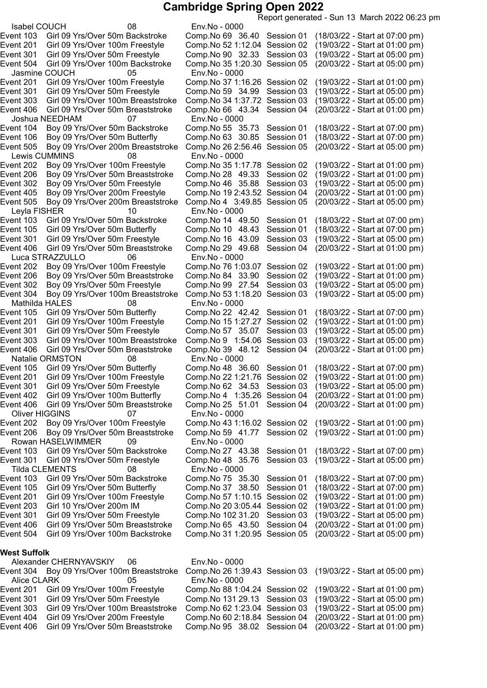Isabel COUCH 08 Env.No - 0000 Event 103 Girl 09 Yrs/Over 50m Backstroke Comp.No 69 36.40 Session 01 (18/03/22 - Start at 07:00 pm) Jasmine COUCH 05 Env.No - 0000 Joshua NEEDHAM 07 Env.No - 0000 Event 505 Boy 09 Yrs/Over 200m Breaststroke Comp.No 26 2:56.46 Session 05 Lewis CUMMINS 08 Env.No - 0000<br>ent 202 Boy 09 Yrs/Over 100m Freestyle Comp.No 35 1:1 Event 505 Boy 09 Yrs/Over 200m Breaststroke Leyla FISHER 10 Env.No - 0000<br>14 ent 103 Girl 09 Yrs/Over 50m Backstroke Comp.No 14 Event 406 Girl 09 Yrs/Over 50m Breaststroke Luca STRAZZULLO 06 Env.No - 0000 Event 304 Boy 09 Yrs/Over 100m Breaststroke Mathilda HALES 08 Env.No - 0000<br>ent 105 Girl 09 Yrs/Over 50m Butterfly Comp.No 22 4 Event 201 Girl 09 Yrs/Over 100m Freestyle Comp.No 15 1:27.27 Session 02 Event 406 Girl 09 Yrs/Over 50m Breaststroke Comp.No 39 48.12 Session 04 Natalie ORMSTON 08 Env.No - 0000<br>ent 105 Girl 09 Yrs/Over 50m Butterfly Comp.No 48 3 Oliver HIGGINS 07 Env.No - 0000 Rowan HASELWIMMER 09 Env.No - 0000 Tilda CLEMENTS 08 Env.No - 0000

#### West Suffolk

Alexander CHERNYAVSKIY 06 Env.No - 0000 Event 304 Boy 09 Yrs/Over 100m Breaststroke Comp.No 261:39.43 Session 03 (19/03/22 - Start at 05:00 pm) Alice CLARK 05 Env.No - 0000 Event 201 Girl 09 Yrs/Over 100m Freestyle Comp.No 881:04.24 Session 02 (19/03/22 - Start at 01:00 pm) Event 301 Girl 09 Yrs/Over 50m Freestyle Comp.No 131 29.13 Session 03 (19/03/22 - Start at 05:00 pm) Event 303 Girl 09 Yrs/Over 100m Breaststroke Comp.No 621:23.04 Session 03 (19/03/22 - Start at 05:00 pm) Event 404 Girl 09 Yrs/Over 200m Freestyle Comp.No 602:18.84 Session 04 (20/03/22 - Start at 01:00 pm) Event 406 Girl 09 Yrs/Over 50m Breaststroke Comp.No 95 38.02 Session 04 (20/03/22 - Start at 01:00 pm)

Event 201 Girl 09 Yrs/Over 100m Freestyle Comp.No 521:12.04 Session 02 (19/03/22 - Start at 01:00 pm) Event 301 Girl 09 Yrs/Over 50m Freestyle Comp.No 90 32.33 Session 03 (19/03/22 - Start at 05:00 pm) Event 504 Girl 09 Yrs/Over 100m Backstroke Comp.No 351:20.30 Session 05 (20/03/22 - Start at 05:00 pm) Event 201 Girl 09 Yrs/Over 100m Freestyle Comp.No 371:16.26 Session 02 (19/03/22 - Start at 01:00 pm) Event 301 Girl 09 Yrs/Over 50m Freestyle Comp.No 59 34.99 Session 03 (19/03/22 - Start at 05:00 pm) Event 303 Girl 09 Yrs/Over 100m Breaststroke Comp.No 341:37.72 Session 03 (19/03/22 - Start at 05:00 pm) Event 406 Girl 09 Yrs/Over 50m Breaststroke Comp.No 66 43.34 Session 04 (20/03/22 - Start at 01:00 pm) Event 104 Boy 09 Yrs/Over 50m Backstroke Comp.No 55 35.73 Session 01 (18/03/22 - Start at 07:00 pm)<br>Event 106 Boy 09 Yrs/Over 50m Butterfly Comp.No 63 30.85 Session 01 (18/03/22 - Start at 07:00 pm) Event 106 Boy 09 Yrs/Over 50m Butterfly Comp.No 63 30.85 Session 01 (18/03/22 - Start at 07:00 pm)<br>Event 505 Boy 09 Yrs/Over 200m Breaststroke Comp.No 26 2:56.46 Session 05 (20/03/22 - Start at 05:00 pm) Event 202 Boy 09 Yrs/Over 100m Freestyle Comp.No 35 1:17.78 Session 02 (19/03/22 - Start at 01:00 pm)<br>Event 206 Boy 09 Yrs/Over 50m Breaststroke Comp.No 28 49.33 Session 02 (19/03/22 - Start at 01:00 pm) Event 206 Boy 09 Yrs/Over 50m Breaststroke Comp.No 28 49.33 Session 02 (19/03/22 - Start at 01:00 pm) Event 302 Boy 09 Yrs/Over 50m Freestyle Comp.No 46 35.88 Session 03 (19/03/22 - Start at 05:00 pm) Event 405 Boy 09 Yrs/Over 200m Freestyle Comp.No 19 2:43.52 Session 04 (20/03/22 - Start at 01:00 pm)<br>Event 505 Boy 09 Yrs/Over 200m Breaststroke Comp.No 4 3:49.85 Session 05 (20/03/22 - Start at 05:00 pm) Event 103 Girl 09 Yrs/Over 50m Backstroke Comp.No 14 49.50 Session 01 (18/03/22 - Start at 07:00 pm) Event 105 Girl 09 Yrs/Over 50m Butterfly Comp.No 10 48.43 Session 01 (18/03/22 - Start at 07:00 pm) Event 301 Girl 09 Yrs/Over 50m Freestyle Comp.No 16 43.09 Session 03 (19/03/22 - Start at 05:00 pm)<br>Event 406 Girl 09 Yrs/Over 50m Breaststroke Comp.No 29 49.68 Session 04 (20/03/22 - Start at 01:00 pm) Event 202 Boy 09 Yrs/Over 100m Freestyle Comp.No 76 1:03.07 Session 02 (19/03/22 - Start at 01:00 pm)<br>Event 206 Boy 09 Yrs/Over 50m Breaststroke Comp.No 84 33.90 Session 02 (19/03/22 - Start at 01:00 pm) Event 206 Boy 09 Yrs/Over 50m Breaststroke Comp.No 84 33.90 Session 02 (19/03/22 - Start at 01:00 pm) Event 302 Boy 09 Yrs/Over 50m Freestyle Comp.No 99 27.54 Session 03 (19/03/22 - Start at 05:00 pm) Event 105 Girl 09 Yrs/Over 50m Butterfly Comp.No 22 42.42 Session 01 (18/03/22 - Start at 07:00 pm)<br>Event 201 Girl 09 Yrs/Over 100m Freestyle Comp.No 15 1:27.27 Session 02 (19/03/22 - Start at 01:00 pm) Event 301 Girl 09 Yrs/Over 50m Freestyle Comp.No 57 35.07 Session 03 (19/03/22 - Start at 05:00 pm) Event 303 Girl 09 Yrs/Over 100m Breaststroke Comp.No 9 1:54.06 Session 03 (19/03/22 - Start at 05:00 pm) Event 105 Girl 09 Yrs/Over 50m Butterfly Comp.No 48 36.60 Session 01 (18/03/22 - Start at 07:00 pm)<br>Event 201 Girl 09 Yrs/Over 100m Freestyle Comp.No 22 1:21.76 Session 02 (19/03/22 - Start at 01:00 pm) Girl 09 Yrs/Over 100m Freestyle Comp.No 22 1:21.76 Session 02 (19/03/22 - Start at 01:00 pm) Event 301 Girl 09 Yrs/Over 50m Freestyle Comp.No 62 34.53 Session 03 (19/03/22 - Start at 05:00 pm) Girl 09 Yrs/Over 100m Butterfly Comp.No 4 1:35.26 Session 04 (20/03/22 - Start at 01:00 pm) Event 406 Girl 09 Yrs/Over 50m Breaststroke Comp.No 25 51.01 Session 04 (20/03/22 - Start at 01:00 pm) Event 202 Boy 09 Yrs/Over 100m Freestyle Comp.No 431:16.02 Session 02 (19/03/22 - Start at 01:00 pm) Event 206 Boy 09 Yrs/Over 50m Breaststroke Comp.No 59 41.77 Session 02 (19/03/22 - Start at 01:00 pm) Event 103 Girl 09 Yrs/Over 50m Backstroke Comp.No 27 43.38 Session 01 (18/03/22 - Start at 07:00 pm) Event 301 Girl 09 Yrs/Over 50m Freestyle Comp.No 48 35.76 Session 03 (19/03/22 - Start at 05:00 pm) Event 103 Girl 09 Yrs/Over 50m Backstroke Comp.No 75 35.30 Session 01 (18/03/22 - Start at 07:00 pm) Event 105 Girl 09 Yrs/Over 50m Butterfly Comp.No 37 38.50 Session 01 (18/03/22 - Start at 07:00 pm) Event 201 Girl 09 Yrs/Over 100m Freestyle Comp.No 571:10.15 Session 02 (19/03/22 - Start at 01:00 pm) Event 203 Girl 10 Yrs/Over 200m IM Comp.No 203:05.44 Session 02 (19/03/22 - Start at 01:00 pm) Event 301 Girl 09 Yrs/Over 50m Freestyle Comp.No 102 31.20 Session 03 (19/03/22 - Start at 05:00 pm) Event 406 Girl 09 Yrs/Over 50m Breaststroke Comp.No 65 43.50 Session 04 (20/03/22 - Start at 01:00 pm) Event 504 Girl 09 Yrs/Over 100m Backstroke Comp.No 311:20.95 Session 05 (20/03/22 - Start at 05:00 pm)

Report generated - Sun 13 March 2022 06:23 pm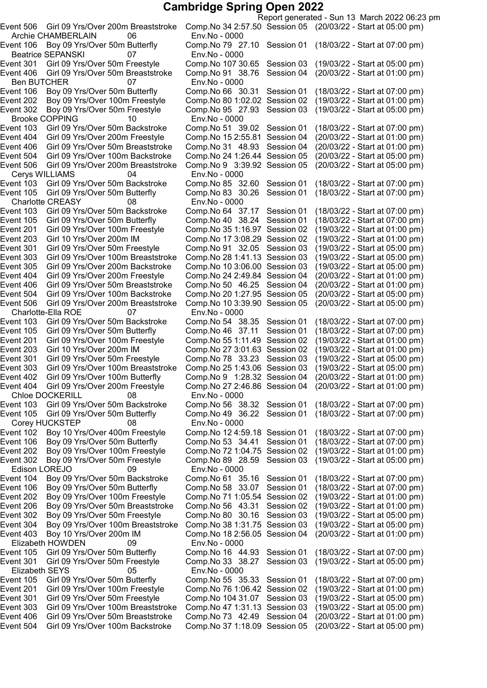Archie CHAMBERLAIN 06 Env.No - 0000 Beatrice SEPANSKI 07 Env.No - 0000 Ben BUTCHER 07 Env.No - 0000 Brooke COPPING 10 Env.No - 0000 Event 506 Girl 09 Yrs/Over 200m Breaststroke Comp.No 9 3:39.92 Session 05 (20/03/22 - Start at 05:00 pm) 04<br>Cerys WILLIAMS 6irl 09 Yrs/Over 50m Ba Girl 09 Yrs/Over 50m Butterfly Charlotte CREASY 08 Env.No - 0000 Event 105 Girl 09 Yrs/Over 50m Butterfly Comp.No 40 38.24 Session 01 Event 506 Girl 09 Yrs/Over 200m Breaststroke Charlotte-Ella ROE 67 Env.No - 0000<br>
ent 103 Girl 09 Yrs/Over 50m Backstroke Comp.No 54 3 Event 201 Girl 09 Yrs/Over 100m Freestyle Comp.No 55 1:11.49 Session 02<br>Event 203 Girl 10 Yrs/Over 200m IM Comp.No 27 3:01.63 Session 02 Event 303 Girl 09 Yrs/Over 100m Breaststroke Comp.No 25 1:43.06 Session 03<br>Event 402 Girl 09 Yrs/Over 100m Butterfly Comp.No 9 1:28.32 Session 04 Event 404 Girl 09 Yrs/Over 200m Freestyle Comp.No 27 2:46.86 Session 04<br>Chloe DOCKERILL 08 Env.No - 0000 Chloe DOCKERILL 08 Event 105 Girl 09 Yrs/Over 50m Butterfly Comp.No 49 36.22 Session 01 Corey HUCKSTEP 08 Env.No - 0000 Edison LOREJO 09 Env.No - 0000 Elizabeth HOWDEN 09 Env.No - 0000 Elizabeth SEYS 05 Env.No - 0000

Report generated - Sun 13 March 2022 06:23 pm Event 506 Girl 09 Yrs/Over 200m Breaststroke Comp.No 342:57.50 Session 05 (20/03/22 - Start at 05:00 pm) Event 106 Boy 09 Yrs/Over 50m Butterfly Comp.No 79 27.10 Session 01 (18/03/22 - Start at 07:00 pm) Event 301 Girl 09 Yrs/Over 50m Freestyle Comp.No 107 30.65 Session 03 (19/03/22 - Start at 05:00 pm) Event 406 Girl 09 Yrs/Over 50m Breaststroke Comp.No 91 38.76 Session 04 (20/03/22 - Start at 01:00 pm) Event 106 Boy 09 Yrs/Over 50m Butterfly Comp.No 66 30.31 Session 01 (18/03/22 - Start at 07:00 pm) Event 202 Boy 09 Yrs/Over 100m Freestyle Comp.No 801:02.02 Session 02 (19/03/22 - Start at 01:00 pm) Event 302 Boy 09 Yrs/Over 50m Freestyle Comp.No 95 27.93 Session 03 (19/03/22 - Start at 05:00 pm) Event 103 Girl 09 Yrs/Over 50m Backstroke Comp.No 51 39.02 Session 01 (18/03/22 - Start at 07:00 pm) Event 404 Girl 09 Yrs/Over 200m Freestyle Comp.No 15 2:55.81 Session 04 (20/03/22 - Start at 01:00 pm)<br>Event 406 Girl 09 Yrs/Over 50m Breaststroke Comp.No 31 48.93 Session 04 (20/03/22 - Start at 01:00 pm) Event 406 Girl 09 Yrs/Over 50m Breaststroke Comp.No 31 48.93 Session 04 (20/03/22 - Start at 01:00 pm) Event 504 Girl 09 Yrs/Over 100m Backstroke Comp.No 24 1:26.44 Session 05 (20/03/22 - Start at 05:00 pm)<br>Event 506 Girl 09 Yrs/Over 200m Breaststroke Comp.No 9 3:39.92 Session 05 (20/03/22 - Start at 05:00 pm) Event 103 Girl 09 Yrs/Over 50m Backstroke Comp.No 85 32.60 Session 01 (18/03/22 - Start at 07:00 pm)<br>Event 105 Girl 09 Yrs/Over 50m Butterfly Comp.No 83 30.26 Session 01 (18/03/22 - Start at 07:00 pm) Girl 09 Yrs/Over 50m Backstroke Comp.No 64 37.17 Session 01 (18/03/22 - Start at 07:00 pm)<br>Girl 09 Yrs/Over 50m Butterfly Comp.No 40 38.24 Session 01 (18/03/22 - Start at 07:00 pm) Event 201 Girl 09 Yrs/Over 100m Freestyle Comp.No 351:16.97 Session 02 (19/03/22 - Start at 01:00 pm) Event 203 Girl 10 Yrs/Over 200m IM Comp.No 17 3:08.29 Session 02 (19/03/22 - Start at 01:00 pm)<br>Event 301 Girl 09 Yrs/Over 50m Freestyle Comp.No 91 32.05 Session 03 (19/03/22 - Start at 05:00 pm) Event 301 Girl 09 Yrs/Over 50m Freestyle Comp.No 91 32.05 Session 03 (19/03/22 - Start at 05:00 pm)<br>Event 303 Girl 09 Yrs/Over 100m Breaststroke Comp.No 28 1:41.13 Session 03 (19/03/22 - Start at 05:00 pm) Event 303 Girl 09 Yrs/Over 100m Breaststroke Comp.No 28 1:41.13 Session 03 (19/03/22 - Start at 05:00 pm)<br>Event 305 Girl 09 Yrs/Over 200m Backstroke Comp.No 10 3:06.00 Session 03 (19/03/22 - Start at 05:00 pm) Event 305 Girl 09 Yrs/Over 200m Backstroke Comp.No 10 3:06.00 Session 03 (19/03/22 - Start at 05:00 pm)<br>Event 404 Girl 09 Yrs/Over 200m Freestyle Comp.No 24 2:49.84 Session 04 (20/03/22 - Start at 01:00 pm) Event 404 Girl 09 Yrs/Over 200m Freestyle Comp.No 24 2:49.84 Session 04 (20/03/22 - Start at 01:00 pm)<br>Event 406 Girl 09 Yrs/Over 50m Breaststroke Comp.No 50 46.25 Session 04 (20/03/22 - Start at 01:00 pm) Event 406 Girl 09 Yrs/Over 50m Breaststroke Comp.No 50 46.25 Session 04 (20/03/22 - Start at 01:00 pm) Comp.No 20 1:27.95 Session 05 (20/03/22 - Start at 05:00 pm)<br>Comp.No 10 3:39.90 Session 05 (20/03/22 - Start at 05:00 pm) Event 103 Girl 09 Yrs/Over 50m Backstroke Comp.No 54 38.35 Session 01 (18/03/22 - Start at 07:00 pm)<br>Event 105 Girl 09 Yrs/Over 50m Butterfly Comp.No 46 37.11 Session 01 (18/03/22 - Start at 07:00 pm) Event 105 Girl 09 Yrs/Over 50m Butterfly Comp.No 46 37.11 Session 01 (18/03/22 - Start at 07:00 pm)<br>Event 201 Girl 09 Yrs/Over 100m Freestyle Comp.No 55 1:11.49 Session 02 (19/03/22 - Start at 01:00 pm) Event 203 Girl 10 Yrs/Over 200m IM Comp.No 273:01.63 Session 02 (19/03/22 - Start at 01:00 pm) Event 301 Girl 09 Yrs/Over 50m Freestyle Comp.No 78 33.23 Session 03 (19/03/22 - Start at 05:00 pm)<br>Event 303 Girl 09 Yrs/Over 100m Breaststroke Comp.No 25 1:43.06 Session 03 (19/03/22 - Start at 05:00 pm) Girl 09 Yrs/Over 100m Butterfly Comp.No 9 1:28.32 Session 04 (20/03/22 - Start at 01:00 pm)<br>Girl 09 Yrs/Over 200m Freestyle Comp.No 27 2:46.86 Session 04 (20/03/22 - Start at 01:00 pm) Event 103 Girl 09 Yrs/Over 50m Backstroke Comp.No 56 38.32 Session 01 (18/03/22 - Start at 07:00 pm)<br>Event 105 Girl 09 Yrs/Over 50m Butterfly Comp.No 49 36.22 Session 01 (18/03/22 - Start at 07:00 pm) Event 102 Boy 10 Yrs/Over 400m Freestyle Comp.No 124:59.18 Session 01 (18/03/22 - Start at 07:00 pm) Event 106 Boy 09 Yrs/Over 50m Butterfly Comp.No 53 34.41 Session 01 (18/03/22 - Start at 07:00 pm) Event 202 Boy 09 Yrs/Over 100m Freestyle Comp.No 721:04.75 Session 02 (19/03/22 - Start at 01:00 pm) Event 302 Boy 09 Yrs/Over 50m Freestyle Comp.No 89 28.59 Session 03 (19/03/22 - Start at 05:00 pm) Event 104 Boy 09 Yrs/Over 50m Backstroke Comp.No 61 35.16 Session 01 (18/03/22 - Start at 07:00 pm) Event 106 Boy 09 Yrs/Over 50m Butterfly Comp.No 58 33.07 Session 01 (18/03/22 - Start at 07:00 pm) Event 202 Boy 09 Yrs/Over 100m Freestyle Comp.No 711:05.54 Session 02 (19/03/22 - Start at 01:00 pm) Event 206 Boy 09 Yrs/Over 50m Breaststroke Comp.No 56 43.31 Session 02 (19/03/22 - Start at 01:00 pm) Event 302 Boy 09 Yrs/Over 50m Freestyle Comp.No 80 30.16 Session 03 (19/03/22 - Start at 05:00 pm) Event 304 Boy 09 Yrs/Over 100m Breaststroke Comp.No 381:31.75 Session 03 (19/03/22 - Start at 05:00 pm) Event 403 Boy 10 Yrs/Over 200m IM Comp.No 182:56.05 Session 04 (20/03/22 - Start at 01:00 pm) Event 105 Girl 09 Yrs/Over 50m Butterfly Comp.No 16 44.93 Session 01 (18/03/22 - Start at 07:00 pm) Event 301 Girl 09 Yrs/Over 50m Freestyle Comp.No 33 38.27 Session 03 (19/03/22 - Start at 05:00 pm) Event 105 Girl 09 Yrs/Over 50m Butterfly Comp.No 55 35.33 Session 01 (18/03/22 - Start at 07:00 pm) Event 201 Girl 09 Yrs/Over 100m Freestyle Comp.No 761:06.42 Session 02 (19/03/22 - Start at 01:00 pm) Event 301 Girl 09 Yrs/Over 50m Freestyle Comp.No 104 31.07 Session 03 (19/03/22 - Start at 05:00 pm) Event 303 Girl 09 Yrs/Over 100m Breaststroke Comp.No 471:31.13 Session 03 (19/03/22 - Start at 05:00 pm) Event 406 Girl 09 Yrs/Over 50m Breaststroke Comp.No 73 42.49 Session 04 (20/03/22 - Start at 01:00 pm) Event 504 Girl 09 Yrs/Over 100m Backstroke Comp.No 371:18.09 Session 05 (20/03/22 - Start at 05:00 pm)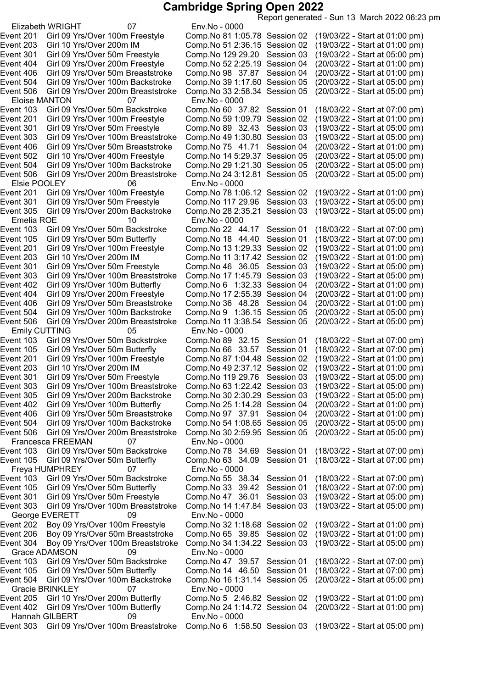Report generated - Sun 13 March 2022 06:23 pm

Elizabeth WRIGHT 07 Env.No - 0000 Eloise MANTON 07 Env.No - 0000 Elsie POOLEY 06 Env.No - 0000 Event 305 Girl 09 Yrs/Over 200m Backstroke Comp. No 28 2:35.21 Session 03 Emelia ROE 10 Env.No - 0000 Event 506 Girl 09 Yrs/Over 200m Breaststroke Comp.No 11 3:38.54 Session 05 Emily CUTTING 05 Env.No - 0000<br>
ent 103 Girl 09 Yrs/Over 50m Backstroke Comp.No 89 3 Francesca FREEMAN 07 Env.No - 0000 Freya HUMPHREY 07 Env.No - 0000 George EVERETT 09 Env.No - 0000 Grace ADAMSON 09 Env.No - 0000 Gracie BRINKLEY **07** Env.No - 0000 Hannah GILBERT 09 Env.No - 0000 Event 303 Girl 09 Yrs/Over 100m Breaststroke Comp.No 6 1:58.50 Session 03 (19/03/22 - Start at 05:00 pm)

Event 201 Girl 09 Yrs/Over 100m Freestyle Comp.No 811:05.78 Session 02 (19/03/22 - Start at 01:00 pm) Event 203 Girl 10 Yrs/Over 200m IM Comp.No 512:36.15 Session 02 (19/03/22 - Start at 01:00 pm) Event 301 Girl 09 Yrs/Over 50m Freestyle Comp.No 129 29.20 Session 03 (19/03/22 - Start at 05:00 pm) Event 404 Girl 09 Yrs/Over 200m Freestyle Comp.No 522:25.19 Session 04 (20/03/22 - Start at 01:00 pm) Event 406 Girl 09 Yrs/Over 50m Breaststroke Comp.No 98 37.87 Session 04 (20/03/22 - Start at 01:00 pm) Event 504 Girl 09 Yrs/Over 100m Backstroke Comp.No 391:17.60 Session 05 (20/03/22 - Start at 05:00 pm) Event 506 Girl 09 Yrs/Over 200m Breaststroke Comp.No 332:58.34 Session 05 (20/03/22 - Start at 05:00 pm) Event 103 Girl 09 Yrs/Over 50m Backstroke Comp.No 60 37.82 Session 01 (18/03/22 - Start at 07:00 pm) Event 201 Girl 09 Yrs/Over 100m Freestyle Comp.No 591:09.79 Session 02 (19/03/22 - Start at 01:00 pm) Event 301 Girl 09 Yrs/Over 50m Freestyle Comp.No 89 32.43 Session 03 (19/03/22 - Start at 05:00 pm) Event 303 Girl 09 Yrs/Over 100m Breaststroke Comp.No 49 1:30.80 Session 03 (19/03/22 - Start at 05:00 pm)<br>Event 406 Girl 09 Yrs/Over 50m Breaststroke Comp.No 75 41.71 Session 04 (20/03/22 - Start at 01:00 pm) Event 406 Girl 09 Yrs/Over 50m Breaststroke Comp.No 75 41.71 Session 04 (20/03/22 - Start at 01:00 pm) Event 502 Girl 10 Yrs/Over 400m Freestyle Comp.No 14 5:29.37 Session 05 (20/03/22 - Start at 05:00 pm)<br>Event 504 Girl 09 Yrs/Over 100m Backstroke Comp.No 29 1:21.30 Session 05 (20/03/22 - Start at 05:00 pm) Event 504 Girl 09 Yrs/Over 100m Backstroke Comp.No 29 1:21.30 Session 05 (20/03/22 - Start at 05:00 pm)<br>Event 506 Girl 09 Yrs/Over 200m Breaststroke Comp.No 24 3:12.81 Session 05 (20/03/22 - Start at 05:00 pm) Comp.No 24 3:12.81 Session 05 Girl 09 Yrs/Over 100m Freestyle Comp.No 78 1:06.12 Session 02 (19/03/22 - Start at 01:00 pm)<br>Girl 09 Yrs/Over 50m Freestyle Comp.No 117 29.96 Session 03 (19/03/22 - Start at 05:00 pm) Event 301 Girl 09 Yrs/Over 50m Freestyle Comp.No 117 29.96 Session 03 (19/03/22 - Start at 05:00 pm)<br>Event 305 Girl 09 Yrs/Over 200m Backstroke Comp.No 28 2:35.21 Session 03 (19/03/22 - Start at 05:00 pm) Event 103 Girl 09 Yrs/Over 50m Backstroke Comp.No 22 44.17 Session 01 (18/03/22 - Start at 07:00 pm) Event 105 Girl 09 Yrs/Over 50m Butterfly Comp.No 18 44.40 Session 01 (18/03/22 - Start at 07:00 pm)<br>Event 201 Girl 09 Yrs/Over 100m Freestyle Comp.No 13 1:29.33 Session 02 (19/03/22 - Start at 01:00 pm) Event 201 Girl 09 Yrs/Over 100m Freestyle Comp.No 13 1:29.33 Session 02 (19/03/22 - Start at 01:00 pm)<br>Event 203 Girl 10 Yrs/Over 200m IM Comp.No 11 3:17.42 Session 02 (19/03/22 - Start at 01:00 pm) Event 203 Girl 10 Yrs/Over 200m IM Comp.No 11 3:17.42 Session 02 (19/03/22 - Start at 01:00 pm)<br>Event 301 Girl 09 Yrs/Over 50m Freestyle Comp.No 46 36.05 Session 03 (19/03/22 - Start at 05:00 pm) Event 301 Girl 09 Yrs/Over 50m Freestyle Comp.No 46 36.05 Session 03 (19/03/22 - Start at 05:00 pm)<br>Event 303 Girl 09 Yrs/Over 100m Breaststroke Comp.No 17 1:45.79 Session 03 (19/03/22 - Start at 05:00 pm) Event 303 Girl 09 Yrs/Over 100m Breaststroke Comp.No 17 1:45.79 Session 03 (19/03/22 - Start at 05:00 pm)<br>Event 402 Girl 09 Yrs/Over 100m Butterfly Comp.No 6 1:32.33 Session 04 (20/03/22 - Start at 01:00 pm) Event 402 Girl 09 Yrs/Over 100m Butterfly Comp.No 6 1:32.33 Session 04 (20/03/22 - Start at 01:00 pm)<br>Event 404 Girl 09 Yrs/Over 200m Freestyle Comp.No 17 2:55.39 Session 04 (20/03/22 - Start at 01:00 pm) Event 404 Girl 09 Yrs/Over 200m Freestyle Comp.No 17 2:55.39 Session 04 (20/03/22 - Start at 01:00 pm)<br>Event 406 Girl 09 Yrs/Over 50m Breaststroke Comp.No 36 48.28 Session 04 (20/03/22 - Start at 01:00 pm) Event 406 Girl 09 Yrs/Over 50m Breaststroke Comp.No 36 48.28 Session 04 (20/03/22 - Start at 01:00 pm) Event 504 Girl 09 Yrs/Over 100m Backstroke Comp.No 9 1:36.15 Session 05 (20/03/22 - Start at 05:00 pm)<br>Event 506 Girl 09 Yrs/Over 200m Breaststroke Comp.No 11 3:38.54 Session 05 (20/03/22 - Start at 05:00 pm) Event 103 Girl 09 Yrs/Over 50m Backstroke Comp.No 89 32.15 Session 01 (18/03/22 - Start at 07:00 pm) Comp.No 66 33.57 Session 01 (18/03/22 - Start at 07:00 pm) Event 201 Girl 09 Yrs/Over 100m Freestyle Comp.No 87 1:04.48 Session 02 (19/03/22 - Start at 01:00 pm)<br>Event 203 Girl 10 Yrs/Over 200m IM Comp.No 49 2:37.12 Session 02 (19/03/22 - Start at 01:00 pm) Event 203 Girl 10 Yrs/Over 200m IM Comp.No 49 2:37.12 Session 02 (19/03/22 - Start at 01:00 pm)<br>Event 301 Girl 09 Yrs/Over 50m Freestyle Comp.No 119 29.76 Session 03 (19/03/22 - Start at 05:00 pm) Event 301 Girl 09 Yrs/Over 50m Freestyle Comp.No 119 29.76 Session 03 (19/03/22 - Start at 05:00 pm) Event 303 Girl 09 Yrs/Over 100m Breaststroke Comp.No 63 1:22.42 Session 03 (19/03/22 - Start at 05:00 pm)<br>Event 305 Girl 09 Yrs/Over 200m Backstroke Comp.No 30 2:30.29 Session 03 (19/03/22 - Start at 05:00 pm) Event 305 Girl 09 Yrs/Over 200m Backstroke Comp.No 302:30.29 Session 03 (19/03/22 - Start at 05:00 pm) Event 402 Girl 09 Yrs/Over 100m Butterfly Comp.No 251:14.28 Session 04 (20/03/22 - Start at 01:00 pm) Girl 09 Yrs/Over 50m Breaststroke Comp.No 97 37.91 Session 04 (20/03/22 - Start at 01:00 pm) Event 504 Girl 09 Yrs/Over 100m Backstroke Comp.No 541:08.65 Session 05 (20/03/22 - Start at 05:00 pm) Event 506 Girl 09 Yrs/Over 200m Breaststroke Comp.No 302:59.95 Session 05 (20/03/22 - Start at 05:00 pm) Event 103 Girl 09 Yrs/Over 50m Backstroke Comp.No 78 34.69 Session 01 (18/03/22 - Start at 07:00 pm) Event 105 Girl 09 Yrs/Over 50m Butterfly Comp.No 63 34.09 Session 01 (18/03/22 - Start at 07:00 pm) Event 103 Girl 09 Yrs/Over 50m Backstroke Comp.No 55 38.34 Session 01 (18/03/22 - Start at 07:00 pm) Event 105 Girl 09 Yrs/Over 50m Butterfly Comp.No 33 39.42 Session 01 (18/03/22 - Start at 07:00 pm) Event 301 Girl 09 Yrs/Over 50m Freestyle Comp.No 47 36.01 Session 03 (19/03/22 - Start at 05:00 pm) Event 303 Girl 09 Yrs/Over 100m Breaststroke Comp.No 141:47.84 Session 03 (19/03/22 - Start at 05:00 pm) Event 202 Boy 09 Yrs/Over 100m Freestyle Comp.No 321:18.68 Session 02 (19/03/22 - Start at 01:00 pm) Event 206 Boy 09 Yrs/Over 50m Breaststroke Comp.No 65 39.85 Session 02 (19/03/22 - Start at 01:00 pm) Event 304 Boy 09 Yrs/Over 100m Breaststroke Comp.No 341:34.22 Session 03 (19/03/22 - Start at 05:00 pm) Event 103 Girl 09 Yrs/Over 50m Backstroke Comp.No 47 39.57 Session 01 (18/03/22 - Start at 07:00 pm) Event 105 Girl 09 Yrs/Over 50m Butterfly Comp.No 14 46.50 Session 01 (18/03/22 - Start at 07:00 pm) Event 504 Girl 09 Yrs/Over 100m Backstroke Comp.No 161:31.14 Session 05 (20/03/22 - Start at 05:00 pm) Event 205 Girl 10 Yrs/Over 200m Butterfly Comp.No 5 2:46.82 Session 02 (19/03/22 - Start at 01:00 pm) Event 402 Girl 09 Yrs/Over 100m Butterfly Comp.No 241:14.72 Session 04 (20/03/22 - Start at 01:00 pm)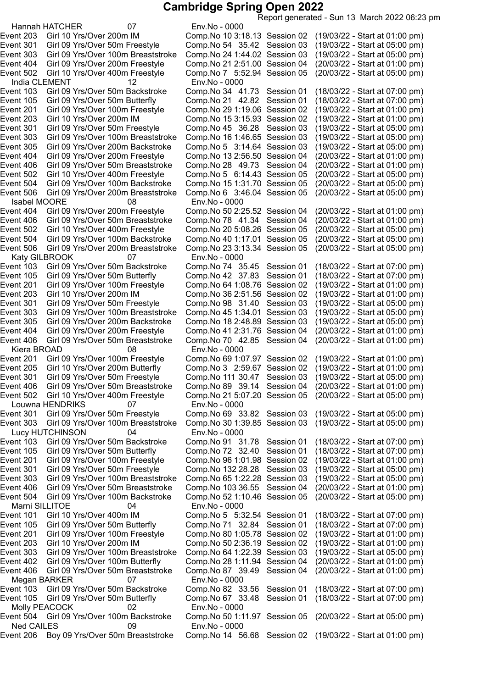Report generated - Sun 13 March 2022 06:23 pm

Hannah HATCHER 07 Env.No - 0000 India CLEMENT 12 Env.No - 0000 Event 506 Girl 09 Yrs/Over 200m Breaststroke Comp.No 6 3:46.04 Session 05 Isabel MOORE 08 Env.No - 0000<br>1:2 ent 404 Girl 09 Yrs/Over 200m Freestyle Comp.No 50 Event 406 Girl 09 Yrs/Over 50m Breaststroke Comp.No 78 41.34 Session 04 Event 506 Girl 09 Yrs/Over 200m Breaststroke Katy GILBROOK 07 Env.No - 0000 Event 201 Girl 09 Yrs/Over 100m Freestyle Comp.No 64 1:08.76 Session 02<br>Event 203 Girl 10 Yrs/Over 200m IM Comp.No 36 2:51.56 Session 02 Event 305 Girl 09 Yrs/Over 200m Backstroke Event 406 Girl 09 Yrs/Over 50m Breaststroke Comp.No 70 42.85 Session 04 Kiera BROAD 08 Env.No - 0000 Louwna HENDRIKS 07 Env.No - 0000 Lucy HUTCHINSON 04 Env.No - 0000 Marni SILLITOE 04 Env.No - 0000 Megan BARKER 07 Env.No - 0000 Molly PEACOCK 02 Env.No - 0000 Ned CAILES 09 Env.No - 0000 Event 206 Boy 09 Yrs/Over 50m Breaststroke Comp.No 14 56.68 Session 02 (19/03/22 - Start at 01:00 pm)

Event 203 Girl 10 Yrs/Over 200m IM Comp.No 103:18.13 Session 02 (19/03/22 - Start at 01:00 pm) Event 301 Girl 09 Yrs/Over 50m Freestyle Comp.No 54 35.42 Session 03 (19/03/22 - Start at 05:00 pm) Event 303 Girl 09 Yrs/Over 100m Breaststroke Comp.No 241:44.02 Session 03 (19/03/22 - Start at 05:00 pm) Event 404 Girl 09 Yrs/Over 200m Freestyle Comp.No 212:51.00 Session 04 (20/03/22 - Start at 01:00 pm) Event 502 Girl 10 Yrs/Over 400m Freestyle Comp.No 7 5:52.94 Session 05 (20/03/22 - Start at 05:00 pm) Event 103 Girl 09 Yrs/Over 50m Backstroke Comp.No 34 41.73 Session 01 (18/03/22 - Start at 07:00 pm) Event 105 Girl 09 Yrs/Over 50m Butterfly Comp.No 21 42.82 Session 01 (18/03/22 - Start at 07:00 pm) Event 201 Girl 09 Yrs/Over 100m Freestyle Comp.No 291:19.06 Session 02 (19/03/22 - Start at 01:00 pm) Event 203 Girl 10 Yrs/Over 200m IM Comp.No 153:15.93 Session 02 (19/03/22 - Start at 01:00 pm) Event 301 Girl 09 Yrs/Over 50m Freestyle Comp.No 45 36.28 Session 03 (19/03/22 - Start at 05:00 pm)<br>Event 303 Girl 09 Yrs/Over 100m Breaststroke Comp.No 16 1:46.65 Session 03 (19/03/22 - Start at 05:00 pm) Event 303 Girl 09 Yrs/Over 100m Breaststroke Comp.No 161:46.65 Session 03 (19/03/22 - Start at 05:00 pm) Event 305 Girl 09 Yrs/Over 200m Backstroke Comp.No 5 3:14.64 Session 03 (19/03/22 - Start at 05:00 pm) Event 404 Girl 09 Yrs/Over 200m Freestyle Comp.No 13 2:56.50 Session 04 (20/03/22 - Start at 01:00 pm)<br>Event 406 Girl 09 Yrs/Over 50m Breaststroke Comp.No 28 49.73 Session 04 (20/03/22 - Start at 01:00 pm) Event 406 Girl 09 Yrs/Over 50m Breaststroke Comp.No 28 49.73 Session 04 (20/03/22 - Start at 01:00 pm) Event 502 Girl 10 Yrs/Over 400m Freestyle Comp.No 5 6:14.43 Session 05 (20/03/22 - Start at 05:00 pm)<br>Event 504 Girl 09 Yrs/Over 100m Backstroke Comp.No 15 1:31.70 Session 05 (20/03/22 - Start at 05:00 pm) Event 504 Girl 09 Yrs/Over 100m Backstroke Comp.No 151:31.70 Session 05 (20/03/22 - Start at 05:00 pm) Event 404 Girl 09 Yrs/Over 200m Freestyle Comp.No 50 2:25.52 Session 04 (20/03/22 - Start at 01:00 pm)<br>Event 406 Girl 09 Yrs/Over 50m Breaststroke Comp.No 78 41.34 Session 04 (20/03/22 - Start at 01:00 pm) Event 502 Girl 10 Yrs/Over 400m Freestyle Comp.No 205:08.26 Session 05 (20/03/22 - Start at 05:00 pm) Event 504 Girl 09 Yrs/Over 100m Backstroke Comp.No 40 1:17.01 Session 05 (20/03/22 - Start at 05:00 pm)<br>Event 506 Girl 09 Yrs/Over 200m Breaststroke Comp.No 23 3:13.34 Session 05 (20/03/22 - Start at 05:00 pm) Event 103 Girl 09 Yrs/Over 50m Backstroke Comp.No 74 35.45 Session 01 (18/03/22 - Start at 07:00 pm)<br>Event 105 Girl 09 Yrs/Over 50m Butterfly Comp.No 42 37.83 Session 01 (18/03/22 - Start at 07:00 pm) Event 105 Girl 09 Yrs/Over 50m Butterfly Comp.No 42 37.83 Session 01 (18/03/22 - Start at 07:00 pm)<br>Event 201 Girl 09 Yrs/Over 100m Freestyle Comp.No 64 1:08.76 Session 02 (19/03/22 - Start at 01:00 pm) Event 203 Girl 10 Yrs/Over 200m IM Comp.No 362:51.56 Session 02 (19/03/22 - Start at 01:00 pm) Event 301 Girl 09 Yrs/Over 50m Freestyle Comp.No 98 31.40 Session 03 (19/03/22 - Start at 05:00 pm)<br>Event 303 Girl 09 Yrs/Over 100m Breaststroke Comp.No 45 1:34.01 Session 03 (19/03/22 - Start at 05:00 pm) Event 303 Girl 09 Yrs/Over 100m Breaststroke Comp.No 45 1:34.01 Session 03 (19/03/22 - Start at 05:00 pm)<br>Event 305 Girl 09 Yrs/Over 200m Backstroke Comp.No 18 2:48.89 Session 03 (19/03/22 - Start at 05:00 pm) Event 404 Girl 09 Yrs/Over 200m Freestyle Comp.No 412:31.76 Session 04 (20/03/22 - Start at 01:00 pm) Event 201 Girl 09 Yrs/Over 100m Freestyle Comp.No 69 1:07.97 Session 02 (19/03/22 - Start at 01:00 pm)<br>Event 205 Girl 10 Yrs/Over 200m Butterfly Comp.No 3 2:59.67 Session 02 (19/03/22 - Start at 01:00 pm) Girl 10 Yrs/Over 200m Butterfly Comp.No 3 2:59.67 Session 02 (19/03/22 - Start at 01:00 pm) Event 301 Girl 09 Yrs/Over 50m Freestyle Comp.No 111 30.47 Session 03 (19/03/22 - Start at 05:00 pm) Girl 09 Yrs/Over 50m Breaststroke Comp.No 89 39.14 Session 04 (20/03/22 - Start at 01:00 pm) Event 502 Girl 10 Yrs/Over 400m Freestyle Comp.No 215:07.20 Session 05 (20/03/22 - Start at 05:00 pm) Event 301 Girl 09 Yrs/Over 50m Freestyle Comp.No 69 33.82 Session 03 (19/03/22 - Start at 05:00 pm) Event 303 Girl 09 Yrs/Over 100m Breaststroke Comp.No 301:39.85 Session 03 (19/03/22 - Start at 05:00 pm) Event 103 Girl 09 Yrs/Over 50m Backstroke Comp.No 91 31.78 Session 01 (18/03/22 - Start at 07:00 pm) Event 105 Girl 09 Yrs/Over 50m Butterfly Comp.No 72 32.40 Session 01 (18/03/22 - Start at 07:00 pm) Event 201 Girl 09 Yrs/Over 100m Freestyle Comp.No 961:01.98 Session 02 (19/03/22 - Start at 01:00 pm) Event 301 Girl 09 Yrs/Over 50m Freestyle Comp.No 132 28.28 Session 03 (19/03/22 - Start at 05:00 pm) Event 303 Girl 09 Yrs/Over 100m Breaststroke Comp.No 651:22.28 Session 03 (19/03/22 - Start at 05:00 pm) Event 406 Girl 09 Yrs/Over 50m Breaststroke Comp.No 103 36.55 Session 04 (20/03/22 - Start at 01:00 pm) Event 504 Girl 09 Yrs/Over 100m Backstroke Comp.No 521:10.46 Session 05 (20/03/22 - Start at 05:00 pm) Event 101 Girl 10 Yrs/Over 400m IM Comp.No 5 5:32.54 Session 01 (18/03/22 - Start at 07:00 pm) Event 105 Girl 09 Yrs/Over 50m Butterfly Comp.No 71 32.84 Session 01 (18/03/22 - Start at 07:00 pm) Event 201 Girl 09 Yrs/Over 100m Freestyle Comp.No 801:05.78 Session 02 (19/03/22 - Start at 01:00 pm) Event 203 Girl 10 Yrs/Over 200m IM Comp.No 502:36.19 Session 02 (19/03/22 - Start at 01:00 pm) Event 303 Girl 09 Yrs/Over 100m Breaststroke Comp.No 641:22.39 Session 03 (19/03/22 - Start at 05:00 pm) Event 402 Girl 09 Yrs/Over 100m Butterfly Comp.No 281:11.94 Session 04 (20/03/22 - Start at 01:00 pm) Event 406 Girl 09 Yrs/Over 50m Breaststroke Comp.No 87 39.49 Session 04 (20/03/22 - Start at 01:00 pm) Event 103 Girl 09 Yrs/Over 50m Backstroke Comp.No 82 33.56 Session 01 (18/03/22 - Start at 07:00 pm) Event 105 Girl 09 Yrs/Over 50m Butterfly Comp.No 67 33.48 Session 01 (18/03/22 - Start at 07:00 pm) Event 504 Girl 09 Yrs/Over 100m Backstroke Comp.No 501:11.97 Session 05 (20/03/22 - Start at 05:00 pm)